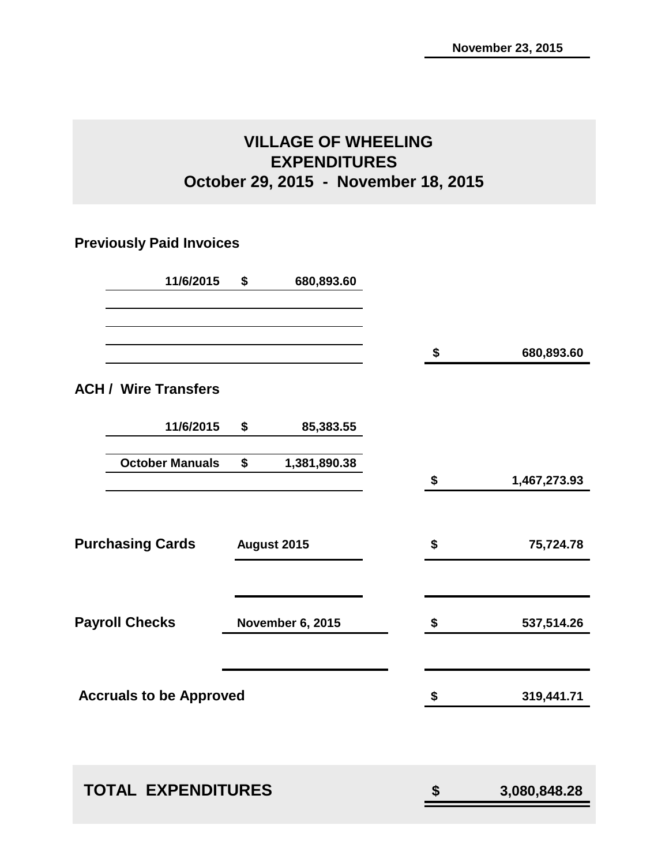### **VILLAGE OF WHEELING EXPENDITURES October 29, 2015 - November 18, 2015**

### **Previously Paid Invoices**

| 11/6/2015                      | \$<br>680,893.60        |    |              |
|--------------------------------|-------------------------|----|--------------|
|                                |                         | \$ | 680,893.60   |
| <b>ACH / Wire Transfers</b>    |                         |    |              |
| 11/6/2015                      | \$<br>85,383.55         |    |              |
| <b>October Manuals</b>         | \$<br>1,381,890.38      | \$ | 1,467,273.93 |
|                                |                         |    |              |
| <b>Purchasing Cards</b>        | August 2015             | \$ | 75,724.78    |
| <b>Payroll Checks</b>          | <b>November 6, 2015</b> | \$ | 537,514.26   |
| <b>Accruals to be Approved</b> |                         | \$ | 319,441.71   |
|                                |                         |    |              |
| <b>TOTAL EXPENDITURES</b>      |                         | \$ | 3,080,848.28 |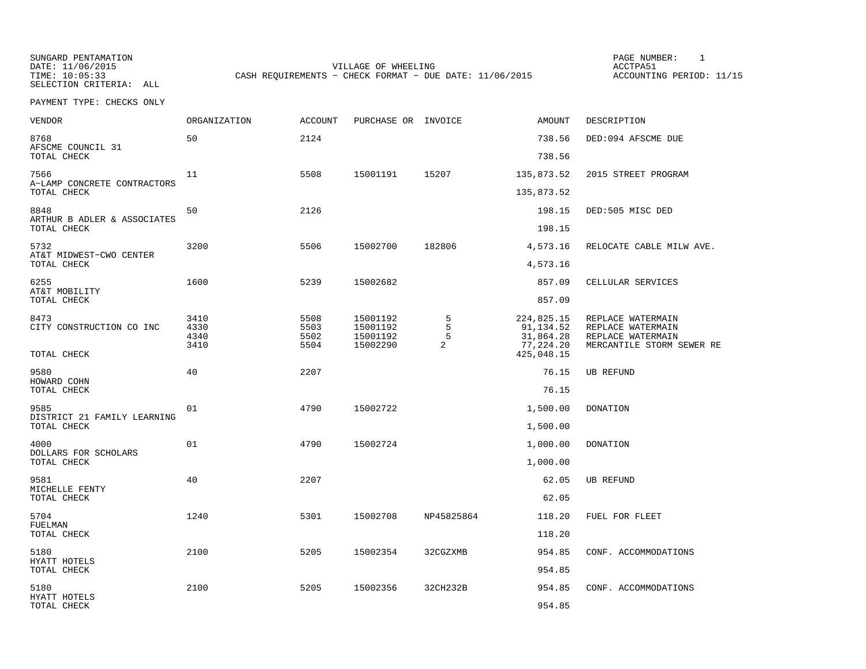SUNGARD PENTAMATION SUNGARD PENTAMATION SUNG PAGE NUMBER: 1 SUNGARD PENTAMATION SUNG PAGE NUMBER: 1 SUNG PAGE NUMBER: 1 SUNG PAGE NUMBER: 1 SUNG PAGE NUMBER: 1 SUNG PAGE NUMBER: 1 SUNG PAGE NUMBER: 1 SUNG PAGE NUMBER: 1 SU SELECTION CRITERIA: ALL

DATE: 11/06/2015 VILLAGE OF WHEELING ACCTPA51CASH REQUIREMENTS - CHECK FORMAT - DUE DATE: 11/06/2015

ACCOUNTING PERIOD: 11/15

| VENDOR                                         | ORGANIZATION                 | <b>ACCOUNT</b>               | PURCHASE OR INVOICE                          |                  | AMOUNT                                            | DESCRIPTION                                                                              |
|------------------------------------------------|------------------------------|------------------------------|----------------------------------------------|------------------|---------------------------------------------------|------------------------------------------------------------------------------------------|
| 8768<br>AFSCME COUNCIL 31                      | 50                           | 2124                         |                                              |                  | 738.56                                            | DED:094 AFSCME DUE                                                                       |
| TOTAL CHECK                                    |                              |                              |                                              |                  | 738.56                                            |                                                                                          |
| 7566<br>A-LAMP CONCRETE CONTRACTORS            | 11                           | 5508                         | 15001191                                     | 15207            | 135,873.52                                        | 2015 STREET PROGRAM                                                                      |
| TOTAL CHECK                                    |                              |                              |                                              |                  | 135,873.52                                        |                                                                                          |
| 8848<br>ARTHUR B ADLER & ASSOCIATES            | 50                           | 2126                         |                                              |                  | 198.15                                            | DED:505 MISC DED                                                                         |
| TOTAL CHECK                                    |                              |                              |                                              |                  | 198.15                                            |                                                                                          |
| 5732<br>AT&T MIDWEST-CWO CENTER<br>TOTAL CHECK | 3200                         | 5506                         | 15002700                                     | 182806           | 4,573.16                                          | RELOCATE CABLE MILW AVE.                                                                 |
|                                                |                              |                              |                                              |                  | 4,573.16                                          |                                                                                          |
| 6255<br>AT&T MOBILITY                          | 1600                         | 5239                         | 15002682                                     |                  | 857.09                                            | CELLULAR SERVICES                                                                        |
| TOTAL CHECK                                    |                              |                              |                                              |                  | 857.09                                            |                                                                                          |
| 8473<br>CITY CONSTRUCTION CO INC               | 3410<br>4330<br>4340<br>3410 | 5508<br>5503<br>5502<br>5504 | 15001192<br>15001192<br>15001192<br>15002290 | 5<br>5<br>5<br>2 | 224,825.15<br>91,134.52<br>31,864.28<br>77,224.20 | REPLACE WATERMAIN<br>REPLACE WATERMAIN<br>REPLACE WATERMAIN<br>MERCANTILE STORM SEWER RE |
| TOTAL CHECK                                    |                              |                              |                                              |                  | 425,048.15                                        |                                                                                          |
| 9580<br>HOWARD COHN                            | 40                           | 2207                         |                                              |                  | 76.15                                             | <b>UB REFUND</b>                                                                         |
| TOTAL CHECK                                    |                              |                              |                                              |                  | 76.15                                             |                                                                                          |
| 9585                                           | 01                           | 4790                         | 15002722                                     |                  | 1,500.00                                          | DONATION                                                                                 |
| DISTRICT 21 FAMILY LEARNING<br>TOTAL CHECK     |                              |                              |                                              |                  | 1,500.00                                          |                                                                                          |
| 4000                                           | 01                           | 4790                         | 15002724                                     |                  | 1,000.00                                          | <b>DONATION</b>                                                                          |
| DOLLARS FOR SCHOLARS<br>TOTAL CHECK            |                              |                              |                                              |                  | 1,000.00                                          |                                                                                          |
| 9581                                           | 40                           | 2207                         |                                              |                  | 62.05                                             | UB REFUND                                                                                |
| MICHELLE FENTY<br>TOTAL CHECK                  |                              |                              |                                              |                  | 62.05                                             |                                                                                          |
| 5704<br>FUELMAN                                | 1240                         | 5301                         | 15002708                                     | NP45825864       | 118.20                                            | FUEL FOR FLEET                                                                           |
| TOTAL CHECK                                    |                              |                              |                                              |                  | 118.20                                            |                                                                                          |
| 5180<br>HYATT HOTELS                           | 2100                         | 5205                         | 15002354                                     | 32CGZXMB         | 954.85                                            | CONF. ACCOMMODATIONS                                                                     |
| TOTAL CHECK                                    |                              |                              |                                              |                  | 954.85                                            |                                                                                          |
| 5180<br>HYATT HOTELS                           | 2100                         | 5205                         | 15002356                                     | 32CH232B         | 954.85                                            | CONF. ACCOMMODATIONS                                                                     |
| TOTAL CHECK                                    |                              |                              |                                              |                  | 954.85                                            |                                                                                          |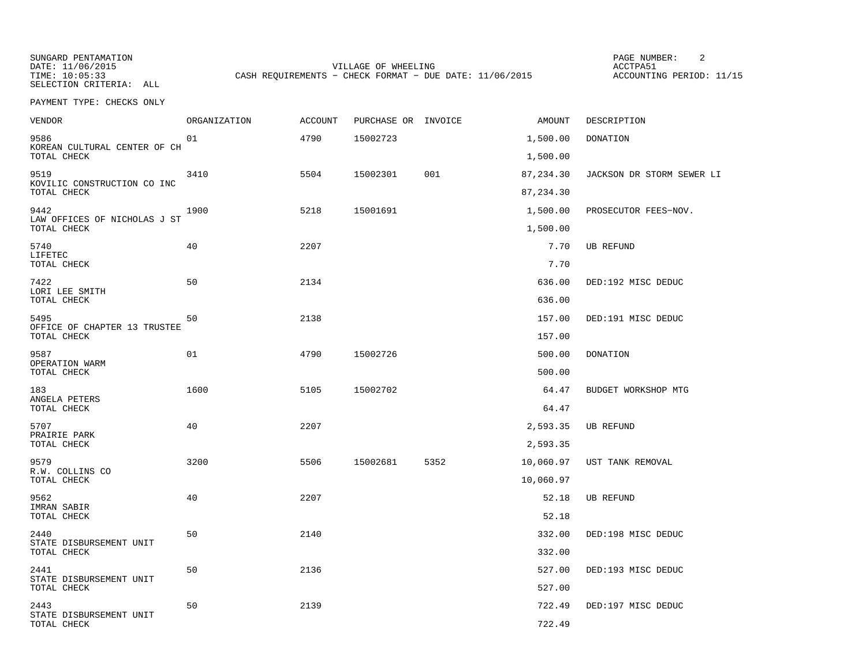SELECTION CRITERIA: ALL

SUNGARD PENTAMATION SUNGARD PENTAMATION SUNG PAGE NUMBER: 2 DATE: 11/06/2015 VILLAGE OF WHEELING ACCTPA51CASH REQUIREMENTS - CHECK FORMAT - DUE DATE: 11/06/2015

ACCOUNTING PERIOD: 11/15

| <b>VENDOR</b>                               | <b>ORGANIZATION</b> | <b>ACCOUNT</b> | PURCHASE OR INVOICE |      | AMOUNT     | DESCRIPTION               |
|---------------------------------------------|---------------------|----------------|---------------------|------|------------|---------------------------|
| 9586                                        | 01                  | 4790           | 15002723            |      | 1,500.00   | <b>DONATION</b>           |
| KOREAN CULTURAL CENTER OF CH<br>TOTAL CHECK |                     |                |                     |      | 1,500.00   |                           |
| 9519<br>KOVILIC CONSTRUCTION CO INC         | 3410                | 5504           | 15002301            | 001  | 87,234.30  | JACKSON DR STORM SEWER LI |
| TOTAL CHECK                                 |                     |                |                     |      | 87, 234.30 |                           |
| 9442<br>LAW OFFICES OF NICHOLAS J ST        | 1900                | 5218           | 15001691            |      | 1,500.00   | PROSECUTOR FEES-NOV.      |
| TOTAL CHECK                                 |                     |                |                     |      | 1,500.00   |                           |
| 5740<br>LIFETEC                             | 40                  | 2207           |                     |      | 7.70       | UB REFUND                 |
| TOTAL CHECK                                 |                     |                |                     |      | 7.70       |                           |
| 7422<br>LORI LEE SMITH                      | 50                  | 2134           |                     |      | 636.00     | DED:192 MISC DEDUC        |
| TOTAL CHECK                                 |                     |                |                     |      | 636.00     |                           |
| 5495<br>OFFICE OF CHAPTER 13 TRUSTEE        | 50                  | 2138           |                     |      | 157.00     | DED:191 MISC DEDUC        |
| TOTAL CHECK                                 |                     |                |                     |      | 157.00     |                           |
| 9587<br>OPERATION WARM                      | 01                  | 4790           | 15002726            |      | 500.00     | <b>DONATION</b>           |
| TOTAL CHECK                                 |                     |                |                     |      | 500.00     |                           |
| 183<br>ANGELA PETERS                        | 1600                | 5105           | 15002702            |      | 64.47      | BUDGET WORKSHOP MTG       |
| TOTAL CHECK                                 |                     |                |                     |      | 64.47      |                           |
| 5707<br>PRAIRIE PARK                        | 40                  | 2207           |                     |      | 2,593.35   | <b>UB REFUND</b>          |
| TOTAL CHECK                                 |                     |                |                     |      | 2,593.35   |                           |
| 9579<br>R.W. COLLINS CO                     | 3200                | 5506           | 15002681            | 5352 | 10,060.97  | UST TANK REMOVAL          |
| TOTAL CHECK                                 |                     |                |                     |      | 10,060.97  |                           |
| 9562<br>IMRAN SABIR                         | 40                  | 2207           |                     |      | 52.18      | UB REFUND                 |
| TOTAL CHECK                                 |                     |                |                     |      | 52.18      |                           |
| 2440<br>STATE DISBURSEMENT UNIT             | 50                  | 2140           |                     |      | 332.00     | DED:198 MISC DEDUC        |
| TOTAL CHECK                                 |                     |                |                     |      | 332.00     |                           |
| 2441<br>STATE DISBURSEMENT UNIT             | 50                  | 2136           |                     |      | 527.00     | DED:193 MISC DEDUC        |
| TOTAL CHECK                                 |                     |                |                     |      | 527.00     |                           |
| 2443<br>STATE DISBURSEMENT UNIT             | 50                  | 2139           |                     |      | 722.49     | DED:197 MISC DEDUC        |
| TOTAL CHECK                                 |                     |                |                     |      | 722.49     |                           |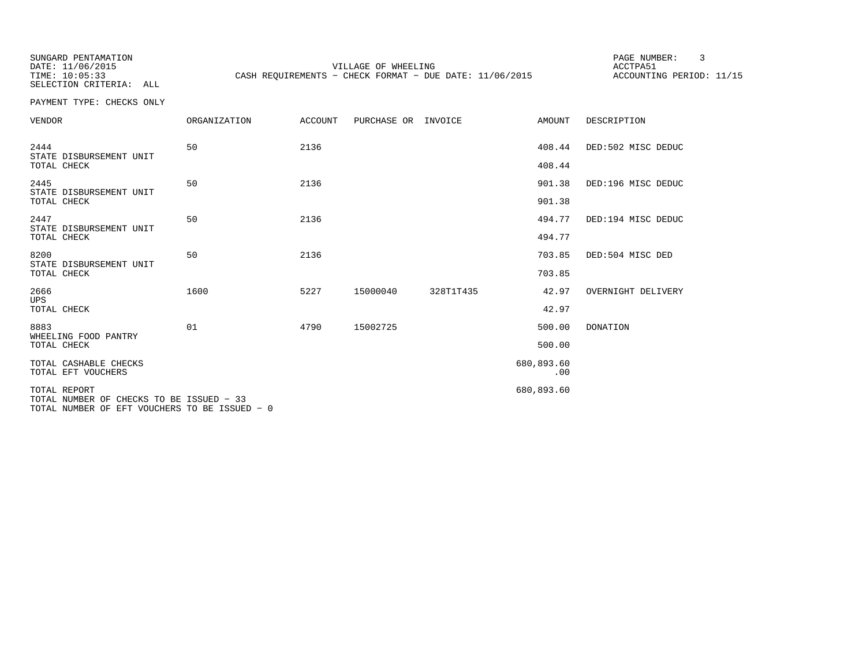SUNGARD PENTAMATION SUNGARD PENTAMATION SUNG PAGE NUMBER: 3<br>
PAGE PENTAMATION SUNG PAGE NUMBER: 3 SELECTION CRITERIA: ALL

DATE: 11/06/2015 VILLAGE OF WHEELING ACCTPA51CASH REQUIREMENTS - CHECK FORMAT - DUE DATE: 11/06/2015

ACCOUNTING PERIOD: 11/15

| <b>VENDOR</b>                                                                                             | ORGANIZATION | ACCOUNT | PURCHASE OR | INVOICE   | AMOUNT            | DESCRIPTION        |
|-----------------------------------------------------------------------------------------------------------|--------------|---------|-------------|-----------|-------------------|--------------------|
| 2444<br>STATE DISBURSEMENT UNIT                                                                           | 50           | 2136    |             |           | 408.44            | DED:502 MISC DEDUC |
| TOTAL CHECK                                                                                               |              |         |             |           | 408.44            |                    |
| 2445<br>STATE DISBURSEMENT UNIT                                                                           | 50           | 2136    |             |           | 901.38            | DED:196 MISC DEDUC |
| TOTAL CHECK                                                                                               |              |         |             |           | 901.38            |                    |
| 2447<br>STATE DISBURSEMENT UNIT                                                                           | 50           | 2136    |             |           | 494.77            | DED:194 MISC DEDUC |
| TOTAL CHECK                                                                                               |              |         |             |           | 494.77            |                    |
| 8200<br>STATE DISBURSEMENT UNIT                                                                           | 50           | 2136    |             |           | 703.85            | DED:504 MISC DED   |
| TOTAL CHECK                                                                                               |              |         |             |           | 703.85            |                    |
| 2666<br><b>UPS</b>                                                                                        | 1600         | 5227    | 15000040    | 328T1T435 | 42.97             | OVERNIGHT DELIVERY |
| TOTAL CHECK                                                                                               |              |         |             |           | 42.97             |                    |
| 8883<br>WHEELING FOOD PANTRY                                                                              | 01           | 4790    | 15002725    |           | 500.00            | <b>DONATION</b>    |
| TOTAL CHECK                                                                                               |              |         |             |           | 500.00            |                    |
| TOTAL CASHABLE CHECKS<br>TOTAL EFT VOUCHERS                                                               |              |         |             |           | 680,893.60<br>.00 |                    |
| TOTAL REPORT<br>TOTAL NUMBER OF CHECKS TO BE ISSUED - 33<br>TOTAL NUMBER OF EFT VOUCHERS TO BE ISSUED - 0 |              |         |             |           | 680,893.60        |                    |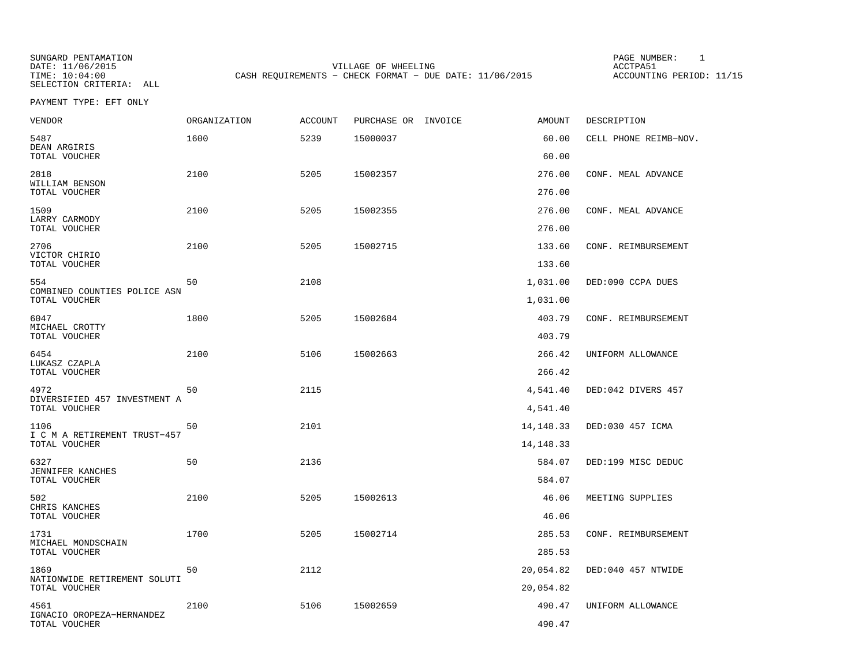SELECTION CRITERIA: ALL

SUNGARD PENTAMATION SUNGARD PENTAMATION SUNG PAGE NUMBER: 1 SUNGARD PENTAMATION SUNG PAGE NUMBER: 1 SUNG PAGE NUMBER: 1 SUNG PAGE NUMBER: 1 SUNG PAGE NUMBER: 1 SUNG PAGE NUMBER: 1 SUNG PAGE NUMBER: 1 SUNG PAGE NUMBER: 1 SU DATE: 11/06/2015 VILLAGE OF WHEELING ACCTPA51CASH REQUIREMENTS - CHECK FORMAT - DUE DATE: 11/06/2015

ACCOUNTING PERIOD: 11/15

PAYMENT TYPE: EFT ONLY

| <b>VENDOR</b>                        | <b>ORGANIZATION</b> | <b>ACCOUNT</b> | PURCHASE OR INVOICE | <b>AMOUNT</b> | DESCRIPTION           |
|--------------------------------------|---------------------|----------------|---------------------|---------------|-----------------------|
| 5487                                 | 1600                | 5239           | 15000037            | 60.00         | CELL PHONE REIMB-NOV. |
| DEAN ARGIRIS<br>TOTAL VOUCHER        |                     |                |                     | 60.00         |                       |
| 2818                                 | 2100                | 5205           | 15002357            | 276.00        | CONF. MEAL ADVANCE    |
| WILLIAM BENSON<br>TOTAL VOUCHER      |                     |                |                     | 276.00        |                       |
| 1509                                 | 2100                | 5205           | 15002355            | 276.00        | CONF. MEAL ADVANCE    |
| LARRY CARMODY<br>TOTAL VOUCHER       |                     |                |                     | 276.00        |                       |
| 2706<br>VICTOR CHIRIO                | 2100                | 5205           | 15002715            | 133.60        | CONF. REIMBURSEMENT   |
| TOTAL VOUCHER                        |                     |                |                     | 133.60        |                       |
| 554<br>COMBINED COUNTIES POLICE ASN  | 50                  | 2108           |                     | 1,031.00      | DED:090 CCPA DUES     |
| TOTAL VOUCHER                        |                     |                |                     | 1,031.00      |                       |
| 6047<br>MICHAEL CROTTY               | 1800                | 5205           | 15002684            | 403.79        | CONF. REIMBURSEMENT   |
| TOTAL VOUCHER                        |                     |                |                     | 403.79        |                       |
| 6454<br>LUKASZ CZAPLA                | 2100                | 5106           | 15002663            | 266.42        | UNIFORM ALLOWANCE     |
| TOTAL VOUCHER                        |                     |                |                     | 266.42        |                       |
| 4972<br>DIVERSIFIED 457 INVESTMENT A | 50                  | 2115           |                     | 4,541.40      | DED:042 DIVERS 457    |
| TOTAL VOUCHER                        |                     |                |                     | 4,541.40      |                       |
| 1106<br>I C M A RETIREMENT TRUST-457 | 50                  | 2101           |                     | 14, 148. 33   | DED:030 457 ICMA      |
| TOTAL VOUCHER                        |                     |                |                     | 14, 148. 33   |                       |
| 6327<br>JENNIFER KANCHES             | 50                  | 2136           |                     | 584.07        | DED:199 MISC DEDUC    |
| TOTAL VOUCHER                        |                     |                |                     | 584.07        |                       |
| 502<br>CHRIS KANCHES                 | 2100                | 5205           | 15002613            | 46.06         | MEETING SUPPLIES      |
| TOTAL VOUCHER                        |                     |                |                     | 46.06         |                       |
| 1731<br>MICHAEL MONDSCHAIN           | 1700                | 5205           | 15002714            | 285.53        | CONF. REIMBURSEMENT   |
| TOTAL VOUCHER                        |                     |                |                     | 285.53        |                       |
| 1869<br>NATIONWIDE RETIREMENT SOLUTI | 50                  | 2112           |                     | 20,054.82     | DED:040 457 NTWIDE    |
| TOTAL VOUCHER                        |                     |                |                     | 20,054.82     |                       |
| 4561<br>IGNACIO OROPEZA-HERNANDEZ    | 2100                | 5106           | 15002659            | 490.47        | UNIFORM ALLOWANCE     |
| TOTAL VOUCHER                        |                     |                |                     | 490.47        |                       |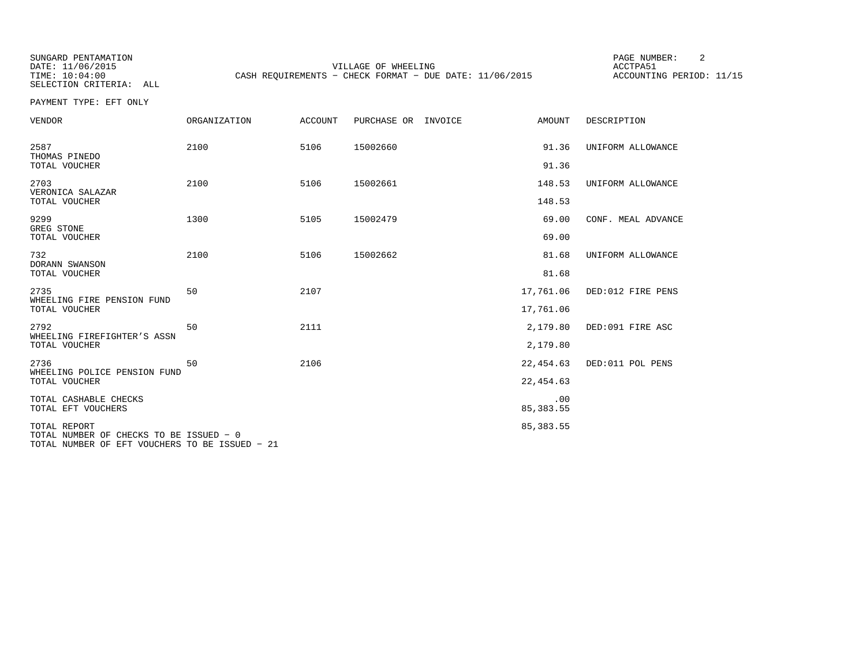SELECTION CRITERIA: ALL

SUNGARD PENTAMATION SUNGARD PENTAMATION SUNG PAGE NUMBER: 2 VILLAGE OF WHEELING **ACCTPA51** TIME: 10:04:00 CASH REQUIREMENTS - CHECK FORMAT - DUE DATE: 11/06/2015

ACCOUNTING PERIOD: 11/15

PAYMENT TYPE: EFT ONLY

| <b>VENDOR</b>                                                                                             | <b>ORGANIZATION</b> | <b>ACCOUNT</b> | PURCHASE OR INVOICE | AMOUNT                 | DESCRIPTION        |
|-----------------------------------------------------------------------------------------------------------|---------------------|----------------|---------------------|------------------------|--------------------|
| 2587<br>THOMAS PINEDO<br>TOTAL VOUCHER                                                                    | 2100                | 5106           | 15002660            | 91.36<br>91.36         | UNIFORM ALLOWANCE  |
| 2703<br>VERONICA SALAZAR<br>TOTAL VOUCHER                                                                 | 2100                | 5106           | 15002661            | 148.53<br>148.53       | UNIFORM ALLOWANCE  |
| 9299<br>GREG STONE<br>TOTAL VOUCHER                                                                       | 1300                | 5105           | 15002479            | 69.00<br>69.00         | CONF. MEAL ADVANCE |
| 732<br>DORANN SWANSON<br>TOTAL VOUCHER                                                                    | 2100                | 5106           | 15002662            | 81.68<br>81.68         | UNIFORM ALLOWANCE  |
| 2735<br>WHEELING FIRE PENSION FUND<br>TOTAL VOUCHER                                                       | 50                  | 2107           |                     | 17,761.06<br>17,761.06 | DED:012 FIRE PENS  |
| 2792<br>WHEELING FIREFIGHTER'S ASSN<br>TOTAL VOUCHER                                                      | 50                  | 2111           |                     | 2,179.80<br>2,179.80   | DED:091 FIRE ASC   |
| 2736<br>WHEELING POLICE PENSION FUND<br>TOTAL VOUCHER                                                     | 50                  | 2106           |                     | 22,454.63<br>22,454.63 | DED:011 POL PENS   |
| TOTAL CASHABLE CHECKS<br>TOTAL EFT VOUCHERS                                                               |                     |                |                     | .00<br>85, 383.55      |                    |
| TOTAL REPORT<br>TOTAL NUMBER OF CHECKS TO BE ISSUED - 0<br>TOTAL NUMBER OF EFT VOUCHERS TO BE ISSUED - 21 |                     |                |                     | 85, 383.55             |                    |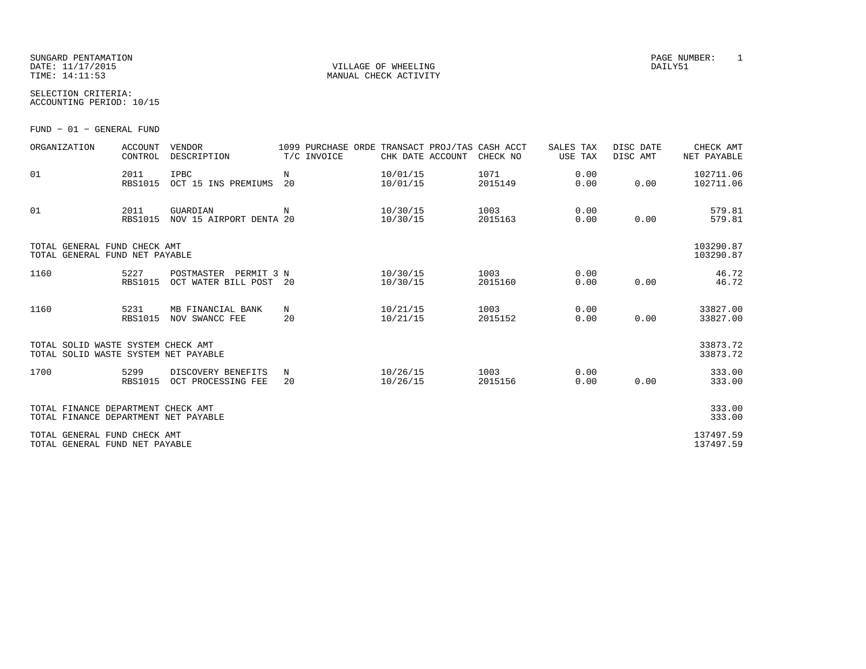SUNGARD PENTAMATION<br>
SUNGARD PENTAMATION<br>
DATE: 11/17/2015 DATE: 11/17/2015 VILLAGE OF WHEELING DAILY51

MANUAL CHECK ACTIVITY

SELECTION CRITERIA:ACCOUNTING PERIOD: 10/15

FUND − 01 − GENERAL FUND

| ORGANIZATION                                                               | <b>ACCOUNT</b><br>CONTROL | <b>VENDOR</b><br>DESCRIPTION                       | T/C INVOICE | 1099 PURCHASE ORDE TRANSACT PROJ/TAS CASH ACCT<br>CHK DATE ACCOUNT | CHECK NO        | SALES TAX<br>USE TAX | DISC DATE<br>DISC AMT | CHECK AMT<br>NET PAYABLE |
|----------------------------------------------------------------------------|---------------------------|----------------------------------------------------|-------------|--------------------------------------------------------------------|-----------------|----------------------|-----------------------|--------------------------|
| 01                                                                         | 2011<br><b>RBS1015</b>    | IPBC<br>OCT 15 INS PREMIUMS                        | N<br>20     | 10/01/15<br>10/01/15                                               | 1071<br>2015149 | 0.00<br>0.00         | 0.00                  | 102711.06<br>102711.06   |
| 01                                                                         | 2011<br><b>RBS1015</b>    | GUARDIAN<br>NOV 15 AIRPORT DENTA 20                | N           | 10/30/15<br>10/30/15                                               | 1003<br>2015163 | 0.00<br>0.00         | 0.00                  | 579.81<br>579.81         |
| TOTAL GENERAL FUND CHECK AMT<br>TOTAL GENERAL FUND NET PAYABLE             |                           |                                                    |             |                                                                    |                 |                      |                       | 103290.87<br>103290.87   |
| 1160                                                                       | 5227<br><b>RBS1015</b>    | PERMIT 3 N<br>POSTMASTER<br>OCT WATER BILL POST 20 |             | 10/30/15<br>10/30/15                                               | 1003<br>2015160 | 0.00<br>0.00         | 0.00                  | 46.72<br>46.72           |
| 1160                                                                       | 5231<br><b>RBS1015</b>    | MB FINANCIAL BANK<br>NOV SWANCC FEE                | N<br>20     | 10/21/15<br>10/21/15                                               | 1003<br>2015152 | 0.00<br>0.00         | 0.00                  | 33827.00<br>33827.00     |
| TOTAL SOLID WASTE SYSTEM CHECK AMT<br>TOTAL SOLID WASTE SYSTEM NET PAYABLE |                           |                                                    |             |                                                                    |                 |                      |                       | 33873.72<br>33873.72     |
| 1700                                                                       | 5299<br><b>RBS1015</b>    | DISCOVERY BENEFITS<br>OCT PROCESSING FEE           | N<br>20     | 10/26/15<br>10/26/15                                               | 1003<br>2015156 | 0.00<br>0.00         | 0.00                  | 333.00<br>333.00         |
| TOTAL FINANCE DEPARTMENT CHECK AMT<br>TOTAL FINANCE DEPARTMENT NET PAYABLE |                           |                                                    |             |                                                                    |                 |                      |                       | 333.00<br>333.00         |
| TOTAL GENERAL FUND CHECK AMT<br>TOTAL GENERAL FUND NET PAYABLE             |                           |                                                    |             |                                                                    |                 |                      |                       | 137497.59<br>137497.59   |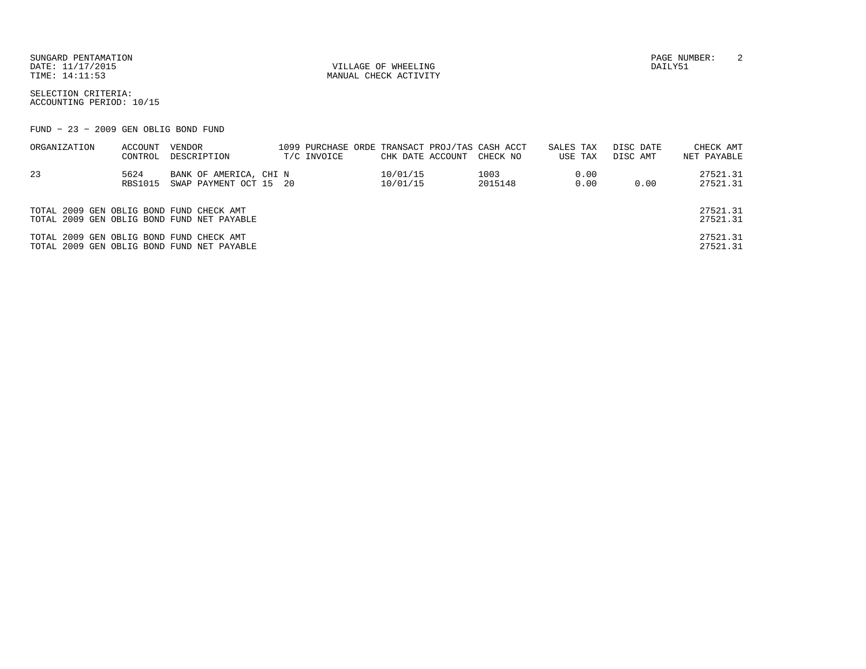SUNGARD PENTAMATION PAGE NUMBER: 2DATE: 11/17/2015 VILLAGE OF WHEELING DAILY51

MANUAL CHECK ACTIVITY

SELECTION CRITERIA:ACCOUNTING PERIOD: 10/15

FUND − 23 − 2009 GEN OBLIG BOND FUND

| ORGANIZATION                             | ACCOUNT<br>CONTROL | VENDOR<br>DESCRIPTION                            | 1099 PURCHASE ORDE TRANSACT PROJ/TAS CASH ACCT<br>T/C INVOICE | CHK DATE ACCOUNT     | CHECK NO        | SALES TAX<br>USE TAX | DISC DATE<br>DISC AMT | CHECK AMT<br>NET PAYABLE |
|------------------------------------------|--------------------|--------------------------------------------------|---------------------------------------------------------------|----------------------|-----------------|----------------------|-----------------------|--------------------------|
| 23                                       | 5624<br>RBS1015    | BANK OF AMERICA, CHI N<br>SWAP PAYMENT OCT 15 20 |                                                               | 10/01/15<br>10/01/15 | 1003<br>2015148 | 0.00<br>0.00         | 0.00                  | 27521.31<br>27521.31     |
| TOTAL 2009 GEN OBLIG BOND FUND CHECK AMT |                    | TOTAL 2009 GEN OBLIG BOND FUND NET PAYABLE       |                                                               |                      |                 |                      |                       | 27521.31<br>27521.31     |
| TOTAL 2009 GEN OBLIG BOND FUND CHECK AMT |                    | TOTAL 2009 GEN OBLIG BOND FUND NET PAYABLE       |                                                               |                      |                 |                      |                       | 27521.31<br>27521.31     |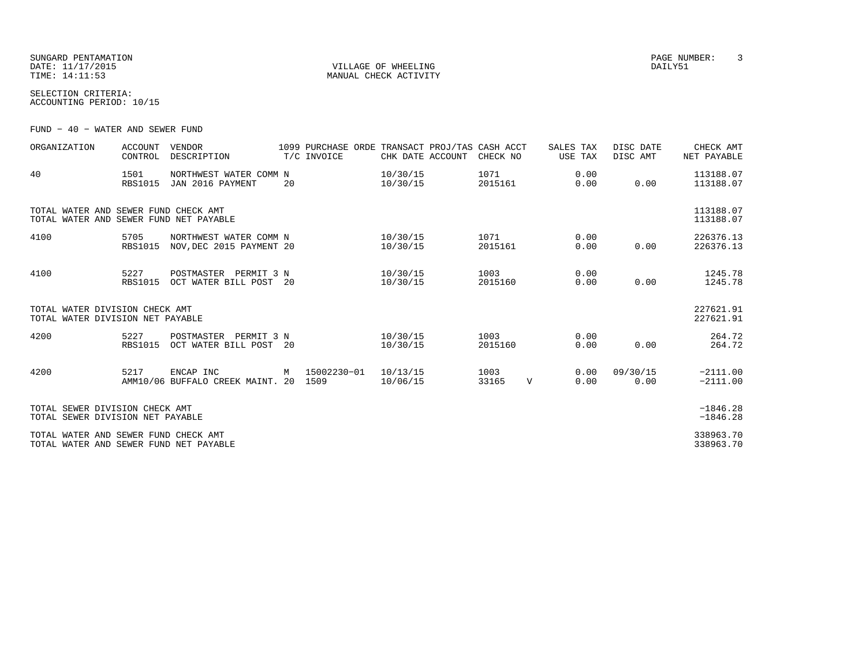SUNGARD PENTAMATION PAGE NUMBER: 3DATE: 11/17/2015 VILLAGE OF WHEELING DAILY51TIME:  $14:11:53$  MANUAL CHECK ACTIVITY

SELECTION CRITERIA:ACCOUNTING PERIOD: 10/15

FUND − 40 − WATER AND SEWER FUND

| ORGANIZATION                                                                   | <b>ACCOUNT</b><br>CONTROL | VENDOR<br>DESCRIPTION                              |    | 1099 PURCHASE ORDE TRANSACT PROJ/TAS CASH ACCT<br>T/C INVOICE | CHK DATE ACCOUNT     | CHECK NO        |             | SALES TAX<br>USE TAX | DISC DATE<br>DISC AMT | CHECK AMT<br>NET PAYABLE |
|--------------------------------------------------------------------------------|---------------------------|----------------------------------------------------|----|---------------------------------------------------------------|----------------------|-----------------|-------------|----------------------|-----------------------|--------------------------|
| 40                                                                             | 1501<br><b>RBS1015</b>    | NORTHWEST WATER COMM N<br>JAN 2016 PAYMENT         | 20 |                                                               | 10/30/15<br>10/30/15 | 1071<br>2015161 |             | 0.00<br>0.00         | 0.00                  | 113188.07<br>113188.07   |
| TOTAL WATER AND SEWER FUND CHECK AMT<br>TOTAL WATER AND SEWER FUND NET PAYABLE |                           |                                                    |    |                                                               |                      |                 |             |                      |                       | 113188.07<br>113188.07   |
| 4100                                                                           | 5705<br><b>RBS1015</b>    | NORTHWEST WATER COMM N<br>NOV.DEC 2015 PAYMENT 20  |    |                                                               | 10/30/15<br>10/30/15 | 1071<br>2015161 |             | 0.00<br>0.00         | 0.00                  | 226376.13<br>226376.13   |
| 4100                                                                           | 5227<br><b>RBS1015</b>    | POSTMASTER PERMIT 3 N<br>OCT WATER BILL POST 20    |    |                                                               | 10/30/15<br>10/30/15 | 1003<br>2015160 |             | 0.00<br>0.00         | 0.00                  | 1245.78<br>1245.78       |
| TOTAL WATER DIVISION CHECK AMT<br>TOTAL WATER DIVISION NET PAYABLE             |                           |                                                    |    |                                                               |                      |                 |             |                      |                       | 227621.91<br>227621.91   |
| 4200                                                                           | 5227<br>RBS1015           | POSTMASTER<br>PERMIT 3 N<br>OCT WATER BILL POST 20 |    |                                                               | 10/30/15<br>10/30/15 | 1003<br>2015160 |             | 0.00<br>0.00         | 0.00                  | 264.72<br>264.72         |
| 4200                                                                           | 5217                      | ENCAP INC<br>AMM10/06 BUFFALO CREEK MAINT, 20      | M  | 15002230-01<br>1509                                           | 10/13/15<br>10/06/15 | 1003<br>33165   | $\mathbf V$ | 0.00<br>0.00         | 09/30/15<br>0.00      | $-2111.00$<br>$-2111.00$ |
| TOTAL SEWER DIVISION CHECK AMT<br>TOTAL SEWER DIVISION NET PAYABLE             |                           |                                                    |    |                                                               |                      |                 |             |                      |                       | $-1846.28$<br>$-1846.28$ |
| TOTAL WATER AND SEWER FUND CHECK AMT<br>TOTAL WATER AND SEWER FUND NET PAYABLE |                           |                                                    |    |                                                               |                      |                 |             |                      |                       | 338963.70<br>338963.70   |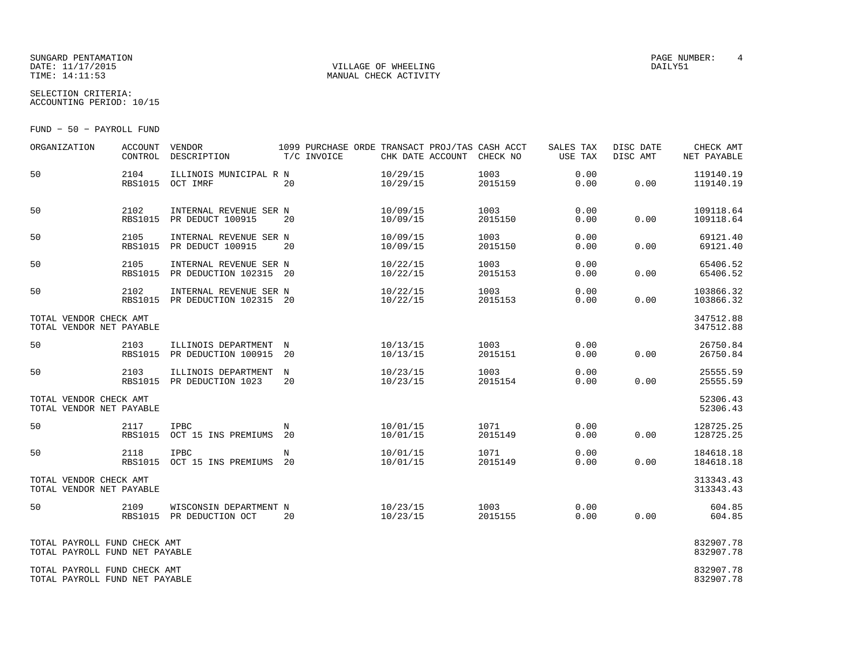#### SUNGARD PENTAMATION SUNGARD PENTAMATION SUNGARD PAGE NUMBER: 4 SECOND PAGE NUMBER: 4 SECOND PAGE NUMBER: 4 SECOND PAGE NUMBER: 4 SECOND PAGE NUMBER: 4 SECOND PAGE NUMBER: 4 SECOND PAGE NUMBER: 4 SECOND PAGE NUMBER: 4 SECON DATE: 11/17/2015 VILLAGE OF WHEELING DAILY51

MANUAL CHECK ACTIVITY

SELECTION CRITERIA:ACCOUNTING PERIOD: 10/15

FUND − 50 − PAYROLL FUND

| ORGANIZATION                                                   | <b>ACCOUNT</b><br>CONTROL | VENDOR<br>DESCRIPTION                                    | 1099 PURCHASE ORDE TRANSACT PROJ/TAS CASH ACCT<br>T/C INVOICE | CHK DATE ACCOUNT     | CHECK NO        | SALES TAX<br>USE TAX | DISC DATE<br>DISC AMT | CHECK AMT<br>NET PAYABLE |
|----------------------------------------------------------------|---------------------------|----------------------------------------------------------|---------------------------------------------------------------|----------------------|-----------------|----------------------|-----------------------|--------------------------|
| 50                                                             | 2104<br><b>RBS1015</b>    | ILLINOIS MUNICIPAL R N<br>OCT IMRF                       | 20                                                            | 10/29/15<br>10/29/15 | 1003<br>2015159 | 0.00<br>0.00         | 0.00                  | 119140.19<br>119140.19   |
| 50                                                             | 2102<br><b>RBS1015</b>    | INTERNAL REVENUE SER N<br>PR DEDUCT 100915               | 20                                                            | 10/09/15<br>10/09/15 | 1003<br>2015150 | 0.00<br>0.00         | 0.00                  | 109118.64<br>109118.64   |
| 50                                                             | 2105<br><b>RBS1015</b>    | INTERNAL REVENUE SER N<br>PR DEDUCT 100915               | 20                                                            | 10/09/15<br>10/09/15 | 1003<br>2015150 | 0.00<br>0.00         | 0.00                  | 69121.40<br>69121.40     |
| 50                                                             | 2105<br><b>RBS1015</b>    | INTERNAL REVENUE SER N<br>PR DEDUCTION 102315 20         |                                                               | 10/22/15<br>10/22/15 | 1003<br>2015153 | 0.00<br>0.00         | 0.00                  | 65406.52<br>65406.52     |
| 50                                                             | 2102                      | INTERNAL REVENUE SER N<br>RBS1015 PR DEDUCTION 102315 20 |                                                               | 10/22/15<br>10/22/15 | 1003<br>2015153 | 0.00<br>0.00         | 0.00                  | 103866.32<br>103866.32   |
| TOTAL VENDOR CHECK AMT<br>TOTAL VENDOR NET PAYABLE             |                           |                                                          |                                                               |                      |                 |                      |                       | 347512.88<br>347512.88   |
| 50                                                             | 2103<br>RBS1015           | ILLINOIS DEPARTMENT N<br>PR DEDUCTION 100915             | 20                                                            | 10/13/15<br>10/13/15 | 1003<br>2015151 | 0.00<br>0.00         | 0.00                  | 26750.84<br>26750.84     |
| 50                                                             | 2103                      | ILLINOIS DEPARTMENT<br>RBS1015 PR DEDUCTION 1023         | $_{\rm N}$<br>20                                              | 10/23/15<br>10/23/15 | 1003<br>2015154 | 0.00<br>0.00         | 0.00                  | 25555.59<br>25555.59     |
| TOTAL VENDOR CHECK AMT<br>TOTAL VENDOR NET PAYABLE             |                           |                                                          |                                                               |                      |                 |                      |                       | 52306.43<br>52306.43     |
| 50                                                             | 2117<br><b>RBS1015</b>    | <b>IPBC</b><br>OCT 15 INS PREMIUMS                       | N<br>20                                                       | 10/01/15<br>10/01/15 | 1071<br>2015149 | 0.00<br>0.00         | 0.00                  | 128725.25<br>128725.25   |
| 50                                                             | 2118<br><b>RBS1015</b>    | IPBC<br>OCT 15 INS PREMIUMS 20                           | N                                                             | 10/01/15<br>10/01/15 | 1071<br>2015149 | 0.00<br>0.00         | 0.00                  | 184618.18<br>184618.18   |
| TOTAL VENDOR CHECK AMT<br>TOTAL VENDOR NET PAYABLE             |                           |                                                          |                                                               |                      |                 |                      |                       | 313343.43<br>313343.43   |
| 50                                                             | 2109                      | WISCONSIN DEPARTMENT N<br>RBS1015 PR DEDUCTION OCT       | 20                                                            | 10/23/15<br>10/23/15 | 1003<br>2015155 | 0.00<br>0.00         | 0.00                  | 604.85<br>604.85         |
| TOTAL PAYROLL FUND CHECK AMT<br>TOTAL PAYROLL FUND NET PAYABLE |                           |                                                          |                                                               |                      |                 |                      |                       | 832907.78<br>832907.78   |
| TOTAL PAYROLL FUND CHECK AMT<br>TOTAL PAYROLL FUND NET PAYABLE |                           |                                                          |                                                               |                      |                 |                      |                       | 832907.78<br>832907.78   |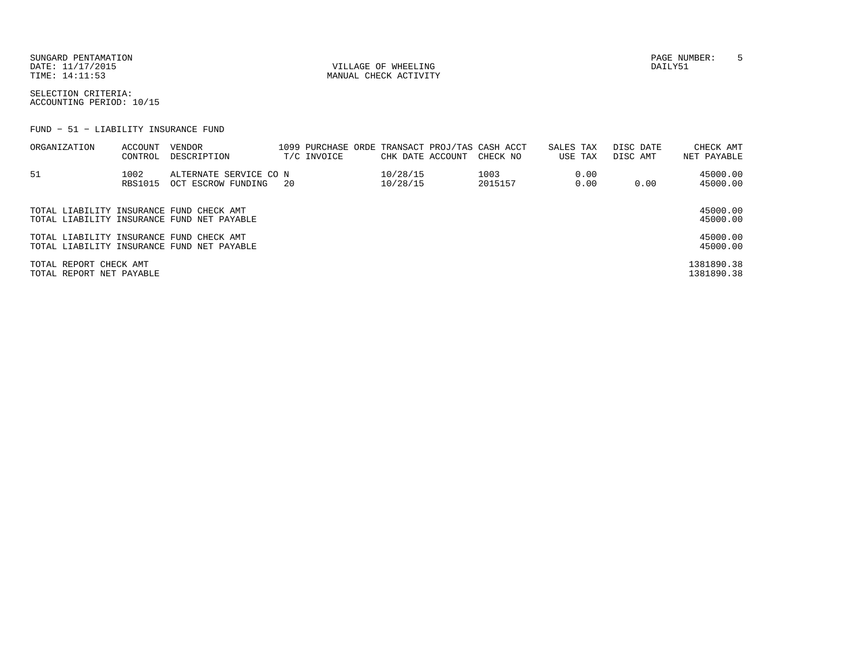SUNGARD PENTAMATION SUNGARD PENTAMATION SUNGARD PAGE NUMBER: 5 SECRETARY PAGE NUMBER: 5 SECRETARY PAGE NUMBER: 5 SECRETARY PAGE NUMBER: 5 SECRETARY PAGE NUMBER: 5 SECRETARY PAGE NUMBER: 5 SECRETARY PAGE NUMBER: 5 SECRETARY DATE: 11/17/2015 VILLAGE OF WHEELING DAILY51

MANUAL CHECK ACTIVITY

SELECTION CRITERIA:ACCOUNTING PERIOD: 10/15

FUND − 51 − LIABILITY INSURANCE FUND

| ORGANIZATION                                       | ACCOUNT<br>CONTROL | VENDOR<br>DESCRIPTION                        |      | T/C INVOICE | CHK DATE ACCOUNT     | 1099 PURCHASE ORDE TRANSACT PROJ/TAS CASH ACCT<br>CHECK NO | SALES TAX | USE TAX      | DISC DATE<br>DISC AMT | CHECK AMT<br>NET PAYABLE |
|----------------------------------------------------|--------------------|----------------------------------------------|------|-------------|----------------------|------------------------------------------------------------|-----------|--------------|-----------------------|--------------------------|
| 51                                                 | 1002<br>RBS1015    | ALTERNATE SERVICE CO N<br>OCT ESCROW FUNDING | - 20 |             | 10/28/15<br>10/28/15 | 1003<br>2015157                                            |           | 0.00<br>0.00 | 0.00                  | 45000.00<br>45000.00     |
| TOTAL LIABILITY INSURANCE FUND CHECK AMT           |                    | TOTAL LIABILITY INSURANCE FUND NET PAYABLE   |      |             |                      |                                                            |           |              |                       | 45000.00<br>45000.00     |
| TOTAL LIABILITY INSURANCE FUND CHECK AMT           |                    | TOTAL LIABILITY INSURANCE FUND NET PAYABLE   |      |             |                      |                                                            |           |              |                       | 45000.00<br>45000.00     |
| TOTAL REPORT CHECK AMT<br>TOTAL REPORT NET PAYABLE |                    |                                              |      |             |                      |                                                            |           |              |                       | 1381890.38<br>1381890.38 |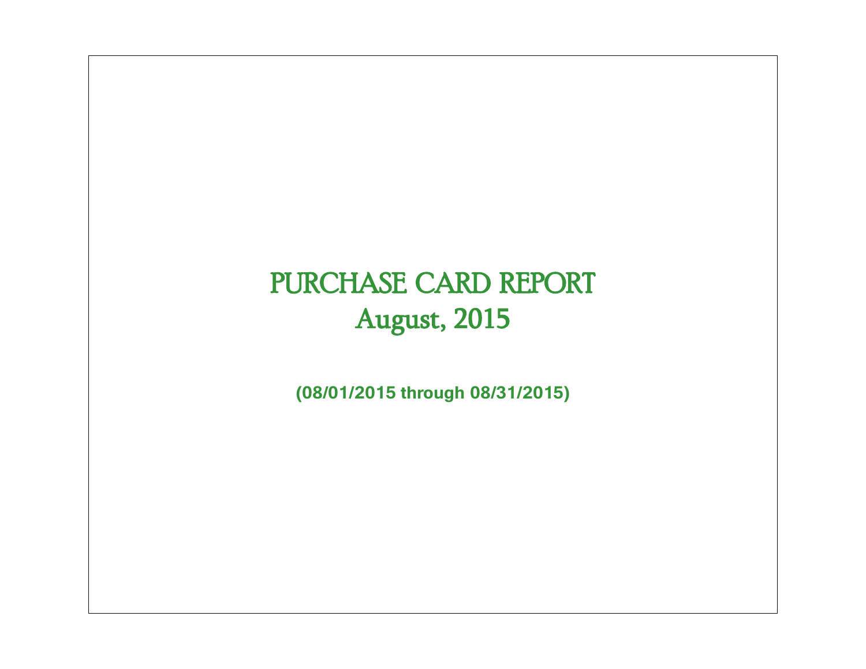# PURCHASE CARD REPORT August, 2015

**(08/01/2015 through 08/31/2015)**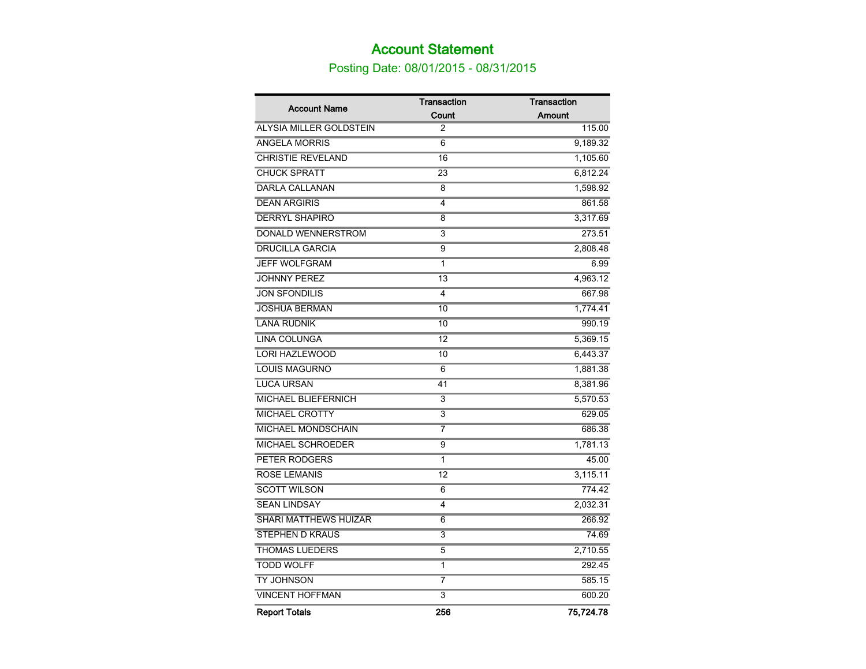### Account Statement

Posting Date: 08/01/2015 - 08/31/2015

| <b>Account Name</b>          | <b>Transaction</b>        | <b>Transaction</b> |
|------------------------------|---------------------------|--------------------|
|                              | Count                     | Amount             |
| ALYSIA MILLER GOLDSTEIN      | 2                         | 115.00             |
| <b>ANGELA MORRIS</b>         | 6                         | 9,189.32           |
| <b>CHRISTIE REVELAND</b>     | 16                        | 1,105.60           |
| <b>CHUCK SPRATT</b>          | 23                        | 6,812.24           |
| <b>DARLA CALLANAN</b>        | 8                         | 1,598.92           |
| <b>DEAN ARGIRIS</b>          | $\overline{4}$            | 861.58             |
| <b>DERRYL SHAPIRO</b>        | 8                         | 3,317.69           |
| DONALD WENNERSTROM           | 3                         | 273.51             |
| <b>DRUCILLA GARCIA</b>       | 9                         | 2,808.48           |
| <b>JEFF WOLFGRAM</b>         | 1                         | 6.99               |
| <b>JOHNNY PEREZ</b>          | 13                        | 4,963.12           |
| <b>JON SFONDILIS</b>         | 4                         | 667.98             |
| <b>JOSHUA BERMAN</b>         | 10                        | 1,774.41           |
| <b>LANA RUDNIK</b>           | 10                        | 990.19             |
| <b>LINA COLUNGA</b>          | 12                        | 5,369.15           |
| <b>LORI HAZLEWOOD</b>        | 10                        | 6,443.37           |
| <b>LOUIS MAGURNO</b>         | 6                         | 1,881.38           |
| <b>LUCA URSAN</b>            | 41                        | 8,381.96           |
| MICHAEL BLIEFERNICH          | 3                         | 5,570.53           |
| <b>MICHAEL CROTTY</b>        | 3                         | 629.05             |
| <b>MICHAEL MONDSCHAIN</b>    | 7                         | 686.38             |
| MICHAEL SCHROEDER            | 9                         | 1,781.13           |
| PETER RODGERS                | 1                         | 45.00              |
| <b>ROSE LEMANIS</b>          | $\overline{12}$           | 3,115.11           |
| <b>SCOTT WILSON</b>          | 6                         | 774.42             |
| <b>SEAN LINDSAY</b>          | $\overline{4}$            | 2,032.31           |
| <b>SHARI MATTHEWS HUIZAR</b> | $\overline{6}$            | 266.92             |
| STEPHEN D KRAUS              | 3                         | 74.69              |
| <b>THOMAS LUEDERS</b>        | 5                         | 2,710.55           |
| <b>TODD WOLFF</b>            | 1                         | 292.45             |
| <b>TY JOHNSON</b>            | 7                         | 585.15             |
| <b>VINCENT HOFFMAN</b>       | $\overline{\overline{3}}$ | 600.20             |
| <b>Report Totals</b>         | 256                       | 75,724.78          |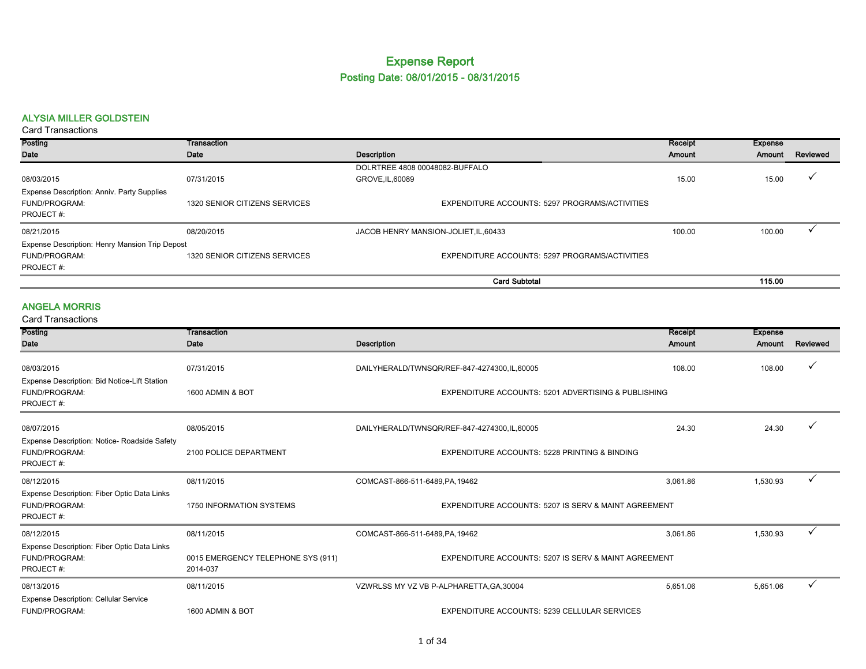#### Expense Report Posting Date: 08/01/2015 - 08/31/2015

#### ALYSIA MILLER GOLDSTEIN

Card Transactions

| Posting                                        | Transaction                   |                                                | Receipt | <b>Expense</b> |          |
|------------------------------------------------|-------------------------------|------------------------------------------------|---------|----------------|----------|
| Date                                           | Date                          | Description                                    | Amount  | Amount         | Reviewed |
|                                                |                               | DOLRTREE 4808 00048082-BUFFALO                 |         |                |          |
| 08/03/2015                                     | 07/31/2015                    | GROVE, IL, 60089                               | 15.00   | 15.00          |          |
| Expense Description: Anniv. Party Supplies     |                               |                                                |         |                |          |
| FUND/PROGRAM:                                  | 1320 SENIOR CITIZENS SERVICES | EXPENDITURE ACCOUNTS: 5297 PROGRAMS/ACTIVITIES |         |                |          |
| PROJECT#:                                      |                               |                                                |         |                |          |
| 08/21/2015                                     | 08/20/2015                    | JACOB HENRY MANSION-JOLIET, IL, 60433          | 100.00  | 100.00         |          |
| Expense Description: Henry Mansion Trip Depost |                               |                                                |         |                |          |
| FUND/PROGRAM:                                  | 1320 SENIOR CITIZENS SERVICES | EXPENDITURE ACCOUNTS: 5297 PROGRAMS/ACTIVITIES |         |                |          |
| PROJECT#:                                      |                               |                                                |         |                |          |
|                                                |                               | <b>Card Subtotal</b>                           |         | 115.00         |          |

#### ANGELA MORRIS

| <b>Card Transactions</b>                                                   |                                                |                                                      |                |                |              |
|----------------------------------------------------------------------------|------------------------------------------------|------------------------------------------------------|----------------|----------------|--------------|
| Posting                                                                    | Transaction                                    |                                                      | <b>Receipt</b> | <b>Expense</b> |              |
| Date                                                                       | Date                                           | <b>Description</b>                                   | Amount         | Amount         | Reviewed     |
| 08/03/2015<br>Expense Description: Bid Notice-Lift Station                 | 07/31/2015                                     | DAILYHERALD/TWNSQR/REF-847-4274300,IL,60005          | 108.00         | 108.00         |              |
| FUND/PROGRAM:<br>PROJECT#:                                                 | 1600 ADMIN & BOT                               | EXPENDITURE ACCOUNTS: 5201 ADVERTISING & PUBLISHING  |                |                |              |
| 08/07/2015                                                                 | 08/05/2015                                     | DAILYHERALD/TWNSQR/REF-847-4274300,IL,60005          | 24.30          | 24.30          |              |
| Expense Description: Notice- Roadside Safety<br>FUND/PROGRAM:<br>PROJECT#: | 2100 POLICE DEPARTMENT                         | EXPENDITURE ACCOUNTS: 5228 PRINTING & BINDING        |                |                |              |
| 08/12/2015                                                                 | 08/11/2015                                     | COMCAST-866-511-6489, PA, 19462                      | 3,061.86       | 1,530.93       |              |
| Expense Description: Fiber Optic Data Links<br>FUND/PROGRAM:<br>PROJECT#:  | 1750 INFORMATION SYSTEMS                       | EXPENDITURE ACCOUNTS: 5207 IS SERV & MAINT AGREEMENT |                |                |              |
| 08/12/2015                                                                 | 08/11/2015                                     | COMCAST-866-511-6489, PA, 19462                      | 3.061.86       | 1,530.93       | $\checkmark$ |
| Expense Description: Fiber Optic Data Links<br>FUND/PROGRAM:<br>PROJECT#:  | 0015 EMERGENCY TELEPHONE SYS (911)<br>2014-037 | EXPENDITURE ACCOUNTS: 5207 IS SERV & MAINT AGREEMENT |                |                |              |
| 08/13/2015                                                                 | 08/11/2015                                     | VZWRLSS MY VZ VB P-ALPHARETTA, GA, 30004             | 5,651.06       | 5,651.06       |              |
| <b>Expense Description: Cellular Service</b><br>FUND/PROGRAM:              | 1600 ADMIN & BOT                               | EXPENDITURE ACCOUNTS: 5239 CELLULAR SERVICES         |                |                |              |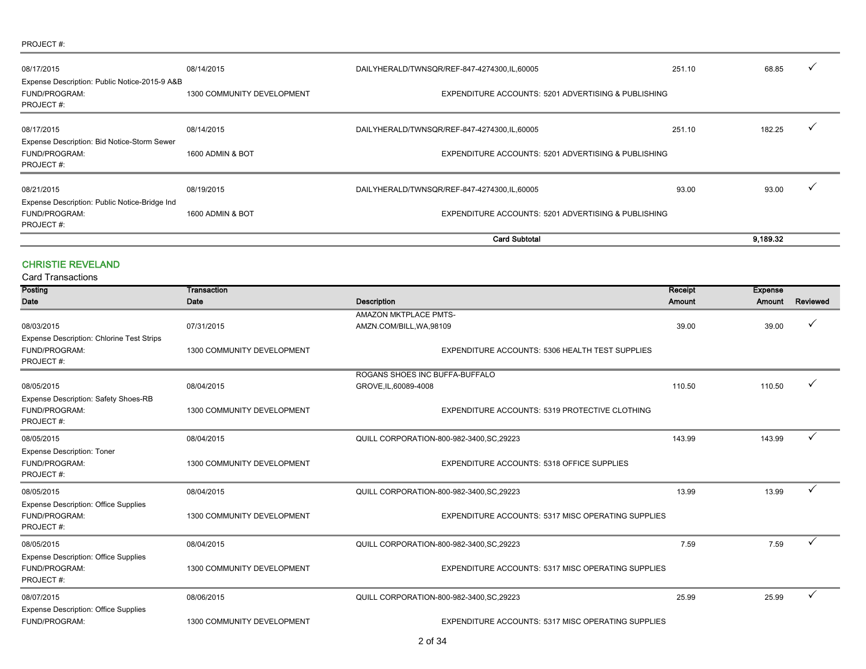#### PROJECT #:

|                                                                                  |                            | <b>Card Subtotal</b>                                  |                                                     | 9.189.32 |   |  |  |
|----------------------------------------------------------------------------------|----------------------------|-------------------------------------------------------|-----------------------------------------------------|----------|---|--|--|
| FUND/PROGRAM:<br><b>PROJECT#:</b>                                                | 1600 ADMIN & BOT           | EXPENDITURE ACCOUNTS: 5201 ADVERTISING & PUBLISHING   |                                                     |          |   |  |  |
| 08/21/2015<br>Expense Description: Public Notice-Bridge Ind                      | 08/19/2015                 | DAILYHERALD/TWNSQR/REF-847-4274300,IL,60005           | 93.00                                               | 93.00    |   |  |  |
| Expense Description: Bid Notice-Storm Sewer<br>FUND/PROGRAM:<br><b>PROJECT#:</b> | 1600 ADMIN & BOT           |                                                       | EXPENDITURE ACCOUNTS: 5201 ADVERTISING & PUBLISHING |          |   |  |  |
| 08/17/2015                                                                       | 08/14/2015                 | DAILYHERALD/TWNSQR/REF-847-4274300,IL,60005           | 251.10                                              | 182.25   |   |  |  |
| Expense Description: Public Notice-2015-9 A&B<br>FUND/PROGRAM:<br>PROJECT#:      | 1300 COMMUNITY DEVELOPMENT |                                                       | EXPENDITURE ACCOUNTS: 5201 ADVERTISING & PUBLISHING |          |   |  |  |
| 08/17/2015                                                                       | 08/14/2015                 | 251.10<br>DAILYHERALD/TWNSQR/REF-847-4274300,IL,60005 |                                                     | 68.85    | ✓ |  |  |

#### CHRISTIE REVELAND

| Posting                                     | Transaction                |                                                           | Receipt | <b>Expense</b> |          |
|---------------------------------------------|----------------------------|-----------------------------------------------------------|---------|----------------|----------|
| Date                                        | Date                       | <b>Description</b>                                        | Amount  | Amount         | Reviewed |
|                                             |                            | AMAZON MKTPLACE PMTS-                                     |         |                |          |
| 08/03/2015                                  | 07/31/2015                 | AMZN.COM/BILL, WA, 98109                                  | 39.00   | 39.00          | ✓        |
| Expense Description: Chlorine Test Strips   |                            |                                                           |         |                |          |
| FUND/PROGRAM:                               | 1300 COMMUNITY DEVELOPMENT | EXPENDITURE ACCOUNTS: 5306 HEALTH TEST SUPPLIES           |         |                |          |
| PROJECT#:                                   |                            |                                                           |         |                |          |
|                                             |                            | ROGANS SHOES INC BUFFA-BUFFALO                            |         |                |          |
| 08/05/2015                                  | 08/04/2015                 | GROVE, IL, 60089-4008                                     | 110.50  | 110.50         |          |
| Expense Description: Safety Shoes-RB        |                            |                                                           |         |                |          |
| FUND/PROGRAM:                               | 1300 COMMUNITY DEVELOPMENT | EXPENDITURE ACCOUNTS: 5319 PROTECTIVE CLOTHING            |         |                |          |
| PROJECT#:                                   |                            |                                                           |         |                |          |
| 08/05/2015                                  | 08/04/2015                 | QUILL CORPORATION-800-982-3400, SC, 29223                 | 143.99  | 143.99         |          |
| <b>Expense Description: Toner</b>           |                            |                                                           |         |                |          |
| FUND/PROGRAM:                               | 1300 COMMUNITY DEVELOPMENT | EXPENDITURE ACCOUNTS: 5318 OFFICE SUPPLIES                |         |                |          |
| PROJECT#:                                   |                            |                                                           |         |                |          |
| 08/05/2015                                  | 08/04/2015                 | QUILL CORPORATION-800-982-3400, SC, 29223                 | 13.99   | 13.99          | ✓        |
| <b>Expense Description: Office Supplies</b> |                            |                                                           |         |                |          |
| FUND/PROGRAM:                               | 1300 COMMUNITY DEVELOPMENT | EXPENDITURE ACCOUNTS: 5317 MISC OPERATING SUPPLIES        |         |                |          |
| PROJECT#:                                   |                            |                                                           |         |                |          |
| 08/05/2015                                  | 08/04/2015                 | QUILL CORPORATION-800-982-3400, SC, 29223                 | 7.59    | 7.59           | ✓        |
| <b>Expense Description: Office Supplies</b> |                            |                                                           |         |                |          |
| FUND/PROGRAM:                               | 1300 COMMUNITY DEVELOPMENT | <b>EXPENDITURE ACCOUNTS: 5317 MISC OPERATING SUPPLIES</b> |         |                |          |
| PROJECT#:                                   |                            |                                                           |         |                |          |
| 08/07/2015                                  | 08/06/2015                 | QUILL CORPORATION-800-982-3400, SC, 29223                 | 25.99   | 25.99          | ✓        |
| <b>Expense Description: Office Supplies</b> |                            |                                                           |         |                |          |
| FUND/PROGRAM:                               | 1300 COMMUNITY DEVELOPMENT | <b>EXPENDITURE ACCOUNTS: 5317 MISC OPERATING SUPPLIES</b> |         |                |          |
|                                             |                            |                                                           |         |                |          |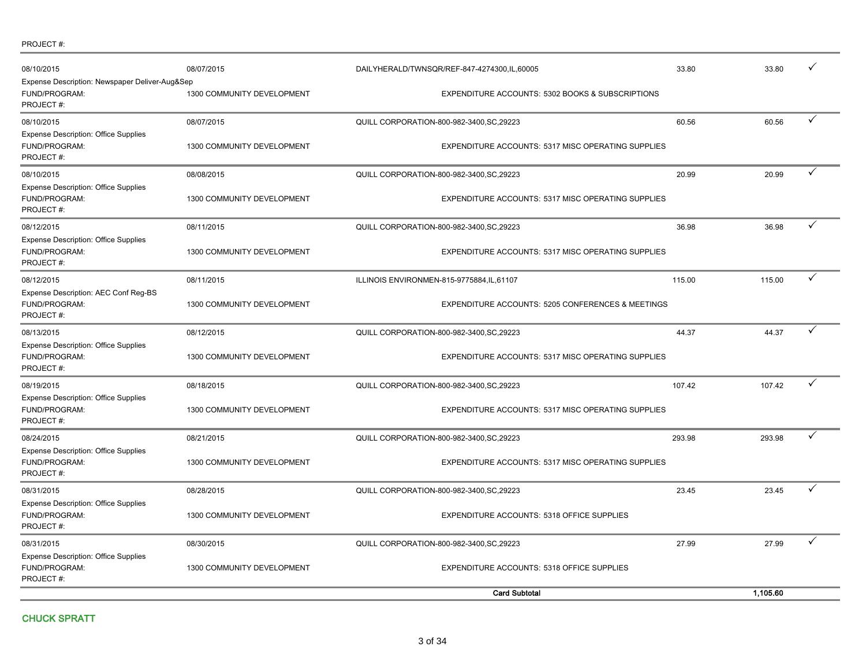| PROJECT#: |
|-----------|
|-----------|

| 08/10/2015<br>Expense Description: Newspaper Deliver-Aug&Sep<br>FUND/PROGRAM:<br>PROJECT#: | 08/07/2015<br>1300 COMMUNITY DEVELOPMENT |                                           | DAILYHERALD/TWNSQR/REF-847-4274300,IL,60005<br>EXPENDITURE ACCOUNTS: 5302 BOOKS & SUBSCRIPTIONS | 33.80  | 33.80    |   |
|--------------------------------------------------------------------------------------------|------------------------------------------|-------------------------------------------|-------------------------------------------------------------------------------------------------|--------|----------|---|
| 08/10/2015<br><b>Expense Description: Office Supplies</b><br>FUND/PROGRAM:<br>PROJECT#:    | 08/07/2015<br>1300 COMMUNITY DEVELOPMENT | QUILL CORPORATION-800-982-3400, SC, 29223 | EXPENDITURE ACCOUNTS: 5317 MISC OPERATING SUPPLIES                                              | 60.56  | 60.56    | ✓ |
| 08/10/2015<br><b>Expense Description: Office Supplies</b><br>FUND/PROGRAM:<br>PROJECT#:    | 08/08/2015<br>1300 COMMUNITY DEVELOPMENT | QUILL CORPORATION-800-982-3400, SC, 29223 | EXPENDITURE ACCOUNTS: 5317 MISC OPERATING SUPPLIES                                              | 20.99  | 20.99    |   |
| 08/12/2015<br><b>Expense Description: Office Supplies</b><br>FUND/PROGRAM:<br>PROJECT#:    | 08/11/2015<br>1300 COMMUNITY DEVELOPMENT | QUILL CORPORATION-800-982-3400, SC, 29223 | <b>EXPENDITURE ACCOUNTS: 5317 MISC OPERATING SUPPLIES</b>                                       | 36.98  | 36.98    | ✓ |
| 08/12/2015<br>Expense Description: AEC Conf Reg-BS<br>FUND/PROGRAM:<br>PROJECT#:           | 08/11/2015<br>1300 COMMUNITY DEVELOPMENT | ILLINOIS ENVIRONMEN-815-9775884,IL,61107  | <b>EXPENDITURE ACCOUNTS: 5205 CONFERENCES &amp; MEETINGS</b>                                    | 115.00 | 115.00   | ✓ |
| 08/13/2015<br><b>Expense Description: Office Supplies</b><br>FUND/PROGRAM:<br>PROJECT#:    | 08/12/2015<br>1300 COMMUNITY DEVELOPMENT | QUILL CORPORATION-800-982-3400, SC, 29223 | EXPENDITURE ACCOUNTS: 5317 MISC OPERATING SUPPLIES                                              | 44.37  | 44.37    | ✓ |
| 08/19/2015<br><b>Expense Description: Office Supplies</b><br>FUND/PROGRAM:<br>PROJECT#:    | 08/18/2015<br>1300 COMMUNITY DEVELOPMENT | QUILL CORPORATION-800-982-3400, SC, 29223 | <b>EXPENDITURE ACCOUNTS: 5317 MISC OPERATING SUPPLIES</b>                                       | 107.42 | 107.42   | ✓ |
| 08/24/2015<br>Expense Description: Office Supplies<br>FUND/PROGRAM:<br>PROJECT#:           | 08/21/2015<br>1300 COMMUNITY DEVELOPMENT | QUILL CORPORATION-800-982-3400, SC, 29223 | EXPENDITURE ACCOUNTS: 5317 MISC OPERATING SUPPLIES                                              | 293.98 | 293.98   | ✓ |
| 08/31/2015<br><b>Expense Description: Office Supplies</b><br>FUND/PROGRAM:<br>PROJECT#:    | 08/28/2015<br>1300 COMMUNITY DEVELOPMENT | QUILL CORPORATION-800-982-3400, SC, 29223 | EXPENDITURE ACCOUNTS: 5318 OFFICE SUPPLIES                                                      | 23.45  | 23.45    | ✓ |
| 08/31/2015<br><b>Expense Description: Office Supplies</b><br>FUND/PROGRAM:<br>PROJECT#:    | 08/30/2015<br>1300 COMMUNITY DEVELOPMENT | QUILL CORPORATION-800-982-3400, SC, 29223 | EXPENDITURE ACCOUNTS: 5318 OFFICE SUPPLIES                                                      | 27.99  | 27.99    |   |
|                                                                                            |                                          |                                           | <b>Card Subtotal</b>                                                                            |        | 1,105.60 |   |

CHUCK SPRATT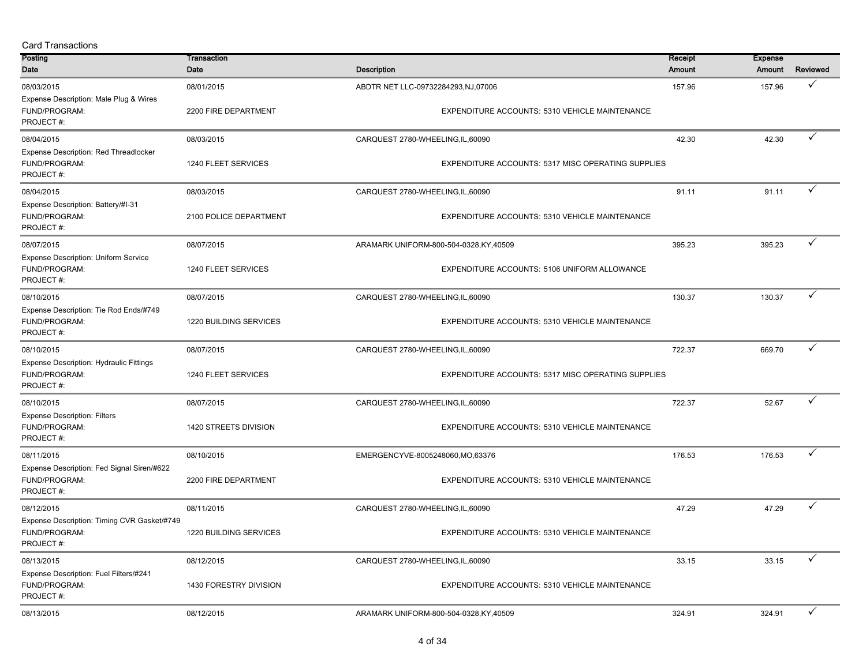| <b>Card Transactions</b>                                                           |                                    |                                    |                                                    |               |                |              |
|------------------------------------------------------------------------------------|------------------------------------|------------------------------------|----------------------------------------------------|---------------|----------------|--------------|
| Posting                                                                            | Transaction                        |                                    |                                                    | Receipt       | <b>Expense</b> |              |
| Date                                                                               | Date                               | <b>Description</b>                 |                                                    | <b>Amount</b> | Amount         | Reviewed     |
| 08/03/2015<br>Expense Description: Male Plug & Wires<br>FUND/PROGRAM:<br>PROJECT#: | 08/01/2015<br>2200 FIRE DEPARTMENT | ABDTR NET LLC-09732284293,NJ,07006 | EXPENDITURE ACCOUNTS: 5310 VEHICLE MAINTENANCE     | 157.96        | 157.96         | $\checkmark$ |
| 08/04/2015                                                                         | 08/03/2015                         | CARQUEST 2780-WHEELING,IL,60090    |                                                    | 42.30         | 42.30          | ✓            |
| Expense Description: Red Threadlocker<br>FUND/PROGRAM:<br>PROJECT#:                | 1240 FLEET SERVICES                |                                    | EXPENDITURE ACCOUNTS: 5317 MISC OPERATING SUPPLIES |               |                |              |
| 08/04/2015                                                                         | 08/03/2015                         | CARQUEST 2780-WHEELING,IL,60090    |                                                    | 91.11         | 91.11          | $\checkmark$ |
| Expense Description: Battery/#I-31<br>FUND/PROGRAM:<br>PROJECT#:                   | 2100 POLICE DEPARTMENT             |                                    | EXPENDITURE ACCOUNTS: 5310 VEHICLE MAINTENANCE     |               |                |              |
| 08/07/2015                                                                         | 08/07/2015                         |                                    | ARAMARK UNIFORM-800-504-0328, KY, 40509            | 395.23        | 395.23         | ✓            |
| <b>Expense Description: Uniform Service</b><br>FUND/PROGRAM:<br>PROJECT#:          | 1240 FLEET SERVICES                |                                    | EXPENDITURE ACCOUNTS: 5106 UNIFORM ALLOWANCE       |               |                |              |
| 08/10/2015                                                                         | 08/07/2015                         | CARQUEST 2780-WHEELING, IL, 60090  |                                                    | 130.37        | 130.37         | ✓            |
| Expense Description: Tie Rod Ends/#749<br>FUND/PROGRAM:<br>PROJECT#:               | 1220 BUILDING SERVICES             |                                    | EXPENDITURE ACCOUNTS: 5310 VEHICLE MAINTENANCE     |               |                |              |
| 08/10/2015                                                                         | 08/07/2015                         | CARQUEST 2780-WHEELING, IL, 60090  |                                                    | 722.37        | 669.70         | ✓            |
| Expense Description: Hydraulic Fittings<br>FUND/PROGRAM:<br>PROJECT#:              | 1240 FLEET SERVICES                |                                    | EXPENDITURE ACCOUNTS: 5317 MISC OPERATING SUPPLIES |               |                |              |
| 08/10/2015                                                                         | 08/07/2015                         | CARQUEST 2780-WHEELING, IL, 60090  |                                                    | 722.37        | 52.67          | ✓            |
| <b>Expense Description: Filters</b><br>FUND/PROGRAM:<br>PROJECT#:                  | 1420 STREETS DIVISION              |                                    | EXPENDITURE ACCOUNTS: 5310 VEHICLE MAINTENANCE     |               |                |              |
| 08/11/2015                                                                         | 08/10/2015                         | EMERGENCYVE-8005248060,MO,63376    |                                                    | 176.53        | 176.53         | $\checkmark$ |
| Expense Description: Fed Signal Siren/#622<br>FUND/PROGRAM:<br>PROJECT#:           | 2200 FIRE DEPARTMENT               |                                    | EXPENDITURE ACCOUNTS: 5310 VEHICLE MAINTENANCE     |               |                |              |
| 08/12/2015                                                                         | 08/11/2015                         | CARQUEST 2780-WHEELING,IL,60090    |                                                    | 47.29         | 47.29          | ✓            |
| Expense Description: Timing CVR Gasket/#749<br>FUND/PROGRAM:<br>PROJECT#:          | 1220 BUILDING SERVICES             |                                    | EXPENDITURE ACCOUNTS: 5310 VEHICLE MAINTENANCE     |               |                |              |
| 08/13/2015                                                                         | 08/12/2015                         | CARQUEST 2780-WHEELING, IL, 60090  |                                                    | 33.15         | 33.15          | $\checkmark$ |
| Expense Description: Fuel Filters/#241<br>FUND/PROGRAM:<br>PROJECT#:               | 1430 FORESTRY DIVISION             |                                    | EXPENDITURE ACCOUNTS: 5310 VEHICLE MAINTENANCE     |               |                |              |
| 08/13/2015                                                                         | 08/12/2015                         |                                    | ARAMARK UNIFORM-800-504-0328,KY,40509              | 324.91        | 324.91         | $\checkmark$ |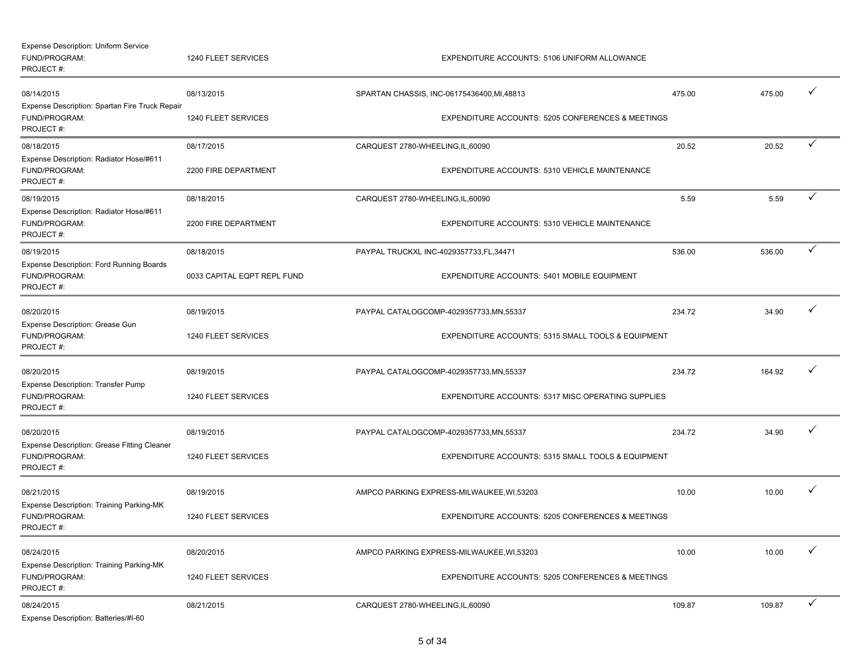| <b>Expense Description: Uniform Service</b><br>FUND/PROGRAM:<br>PROJECT#:    | 1240 FLEET SERVICES         |                                   | EXPENDITURE ACCOUNTS: 5106 UNIFORM ALLOWANCE       |        |        |   |
|------------------------------------------------------------------------------|-----------------------------|-----------------------------------|----------------------------------------------------|--------|--------|---|
| 08/14/2015                                                                   | 08/13/2015                  |                                   | SPARTAN CHASSIS, INC-06175436400, MI, 48813        | 475.00 | 475.00 | ✓ |
| Expense Description: Spartan Fire Truck Repair<br>FUND/PROGRAM:<br>PROJECT#: | 1240 FLEET SERVICES         |                                   | EXPENDITURE ACCOUNTS: 5205 CONFERENCES & MEETINGS  |        |        |   |
| 08/18/2015                                                                   | 08/17/2015                  | CARQUEST 2780-WHEELING,IL,60090   |                                                    | 20.52  | 20.52  | ✓ |
| Expense Description: Radiator Hose/#611<br>FUND/PROGRAM:<br>PROJECT#:        | 2200 FIRE DEPARTMENT        |                                   | EXPENDITURE ACCOUNTS: 5310 VEHICLE MAINTENANCE     |        |        |   |
| 08/19/2015                                                                   | 08/18/2015                  | CARQUEST 2780-WHEELING, IL, 60090 |                                                    | 5.59   | 5.59   | ✓ |
| Expense Description: Radiator Hose/#611<br>FUND/PROGRAM:<br>PROJECT#:        | 2200 FIRE DEPARTMENT        |                                   | EXPENDITURE ACCOUNTS: 5310 VEHICLE MAINTENANCE     |        |        |   |
| 08/19/2015                                                                   | 08/18/2015                  |                                   | PAYPAL TRUCKXL INC-4029357733,FL,34471             | 536.00 | 536.00 | ✓ |
| Expense Description: Ford Running Boards<br>FUND/PROGRAM:<br>PROJECT#:       | 0033 CAPITAL EQPT REPL FUND |                                   | EXPENDITURE ACCOUNTS: 5401 MOBILE EQUIPMENT        |        |        |   |
| 08/20/2015                                                                   | 08/19/2015                  |                                   | PAYPAL CATALOGCOMP-4029357733,MN,55337             | 234.72 | 34.90  | ✓ |
| Expense Description: Grease Gun<br>FUND/PROGRAM:<br>PROJECT#:                | 1240 FLEET SERVICES         |                                   | EXPENDITURE ACCOUNTS: 5315 SMALL TOOLS & EQUIPMENT |        |        |   |
| 08/20/2015                                                                   | 08/19/2015                  |                                   | PAYPAL CATALOGCOMP-4029357733,MN,55337             | 234.72 | 164.92 | ✓ |
| Expense Description: Transfer Pump<br>FUND/PROGRAM:<br>PROJECT#:             | 1240 FLEET SERVICES         |                                   | EXPENDITURE ACCOUNTS: 5317 MISC OPERATING SUPPLIES |        |        |   |
| 08/20/2015                                                                   | 08/19/2015                  |                                   | PAYPAL CATALOGCOMP-4029357733,MN,55337             | 234.72 | 34.90  |   |
| Expense Description: Grease Fitting Cleaner<br>FUND/PROGRAM:<br>PROJECT#:    | 1240 FLEET SERVICES         |                                   | EXPENDITURE ACCOUNTS: 5315 SMALL TOOLS & EQUIPMENT |        |        |   |
| 08/21/2015                                                                   | 08/19/2015                  |                                   | AMPCO PARKING EXPRESS-MILWAUKEE, WI,53203          | 10.00  | 10.00  | ✓ |
| Expense Description: Training Parking-MK<br>FUND/PROGRAM:<br>PROJECT#:       | 1240 FLEET SERVICES         |                                   | EXPENDITURE ACCOUNTS: 5205 CONFERENCES & MEETINGS  |        |        |   |
| 08/24/2015                                                                   | 08/20/2015                  |                                   | AMPCO PARKING EXPRESS-MILWAUKEE, WI,53203          | 10.00  | 10.00  |   |
| Expense Description: Training Parking-MK<br>FUND/PROGRAM:<br>PROJECT#:       | 1240 FLEET SERVICES         |                                   | EXPENDITURE ACCOUNTS: 5205 CONFERENCES & MEETINGS  |        |        |   |
| 08/24/2015<br>Expense Description: Batteries/#I-60                           | 08/21/2015                  | CARQUEST 2780-WHEELING,IL,60090   |                                                    | 109.87 | 109.87 | ✓ |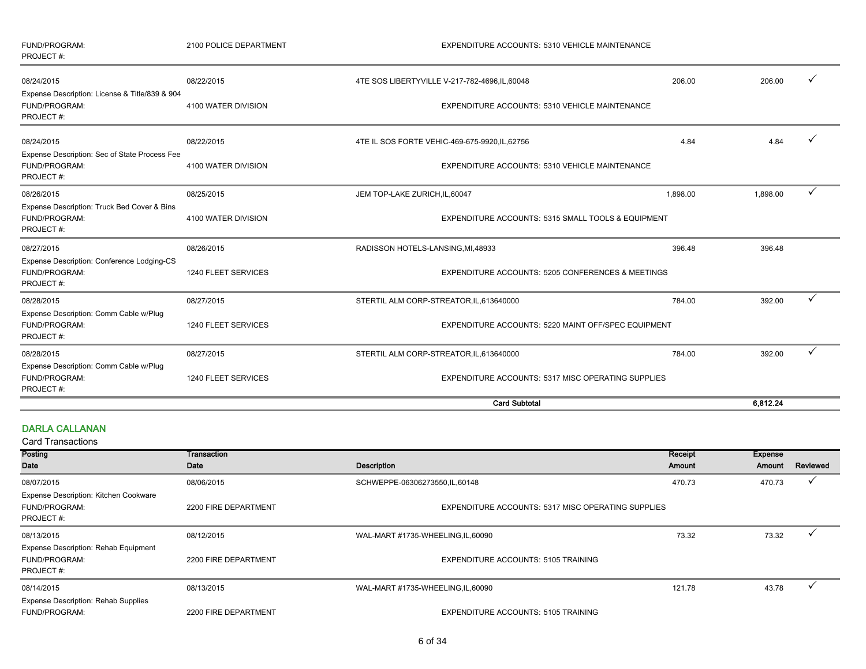| FUND/PROGRAM:<br>PROJECT#:                                                   | 2100 POLICE DEPARTMENT | EXPENDITURE ACCOUNTS: 5310 VEHICLE MAINTENANCE      |                                                    |          |   |
|------------------------------------------------------------------------------|------------------------|-----------------------------------------------------|----------------------------------------------------|----------|---|
| 08/24/2015                                                                   | 08/22/2015             | 4TE SOS LIBERTYVILLE V-217-782-4696, IL, 60048      | 206.00                                             | 206.00   |   |
| Expense Description: License & Title/839 & 904<br>FUND/PROGRAM:<br>PROJECT#: | 4100 WATER DIVISION    | EXPENDITURE ACCOUNTS: 5310 VEHICLE MAINTENANCE      |                                                    |          |   |
| 08/24/2015                                                                   | 08/22/2015             | 4TE IL SOS FORTE VEHIC-469-675-9920, IL, 62756      | 4.84                                               | 4.84     |   |
| Expense Description: Sec of State Process Fee<br>FUND/PROGRAM:<br>PROJECT#:  | 4100 WATER DIVISION    | EXPENDITURE ACCOUNTS: 5310 VEHICLE MAINTENANCE      |                                                    |          |   |
| 08/26/2015                                                                   | 08/25/2015             | JEM TOP-LAKE ZURICH, IL, 60047                      | 1,898.00                                           | 1,898.00 |   |
| Expense Description: Truck Bed Cover & Bins<br>FUND/PROGRAM:<br>PROJECT#:    | 4100 WATER DIVISION    | EXPENDITURE ACCOUNTS: 5315 SMALL TOOLS & EQUIPMENT  |                                                    |          |   |
| 08/27/2015                                                                   | 08/26/2015             | RADISSON HOTELS-LANSING, MI, 48933                  | 396.48                                             | 396.48   |   |
| Expense Description: Conference Lodging-CS<br>FUND/PROGRAM:<br>PROJECT#:     | 1240 FLEET SERVICES    | EXPENDITURE ACCOUNTS: 5205 CONFERENCES & MEETINGS   |                                                    |          |   |
| 08/28/2015                                                                   | 08/27/2015             | STERTIL ALM CORP-STREATOR, IL, 613640000            | 784.00                                             | 392.00   |   |
| Expense Description: Comm Cable w/Plug<br>FUND/PROGRAM:<br>PROJECT#:         | 1240 FLEET SERVICES    | EXPENDITURE ACCOUNTS: 5220 MAINT OFF/SPEC EQUIPMENT |                                                    |          |   |
| 08/28/2015                                                                   | 08/27/2015             | STERTIL ALM CORP-STREATOR, IL, 613640000            | 784.00                                             | 392.00   | ✓ |
| Expense Description: Comm Cable w/Plug<br>FUND/PROGRAM:<br>PROJECT#:         | 1240 FLEET SERVICES    |                                                     | EXPENDITURE ACCOUNTS: 5317 MISC OPERATING SUPPLIES |          |   |
|                                                                              |                        | <b>Card Subtotal</b>                                |                                                    | 6.812.24 |   |

#### DARLA CALLANAN

| Posting                                                                    | Transaction          |                                                           | Receipt | <b>Expense</b> |          |
|----------------------------------------------------------------------------|----------------------|-----------------------------------------------------------|---------|----------------|----------|
| Date                                                                       | Date                 | <b>Description</b>                                        | Amount  | Amount         | Reviewed |
| 08/07/2015                                                                 | 08/06/2015           | SCHWEPPE-06306273550,IL,60148                             | 470.73  | 470.73         |          |
| Expense Description: Kitchen Cookware<br><b>FUND/PROGRAM:</b><br>PROJECT#: | 2200 FIRE DEPARTMENT | <b>EXPENDITURE ACCOUNTS: 5317 MISC OPERATING SUPPLIES</b> |         |                |          |
| 08/13/2015                                                                 | 08/12/2015           | WAL-MART #1735-WHEELING,IL,60090                          | 73.32   | 73.32          |          |
| <b>Expense Description: Rehab Equipment</b><br>FUND/PROGRAM:<br>PROJECT#:  | 2200 FIRE DEPARTMENT | <b>EXPENDITURE ACCOUNTS: 5105 TRAINING</b>                |         |                |          |
| 08/14/2015                                                                 | 08/13/2015           | WAL-MART #1735-WHEELING, IL, 60090                        | 121.78  | 43.78          |          |
| <b>Expense Description: Rehab Supplies</b><br><b>FUND/PROGRAM:</b>         | 2200 FIRE DEPARTMENT | <b>EXPENDITURE ACCOUNTS: 5105 TRAINING</b>                |         |                |          |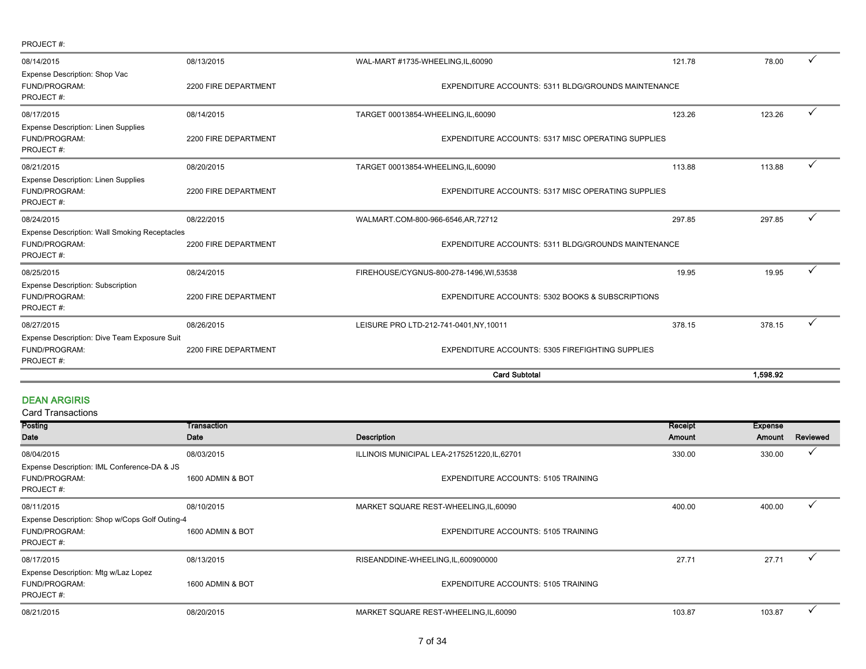|                                                                                    |                      | <b>Card Subtotal</b>                                |                                                     | 1.598.92 |   |
|------------------------------------------------------------------------------------|----------------------|-----------------------------------------------------|-----------------------------------------------------|----------|---|
| Expense Description: Dive Team Exposure Suit<br>FUND/PROGRAM:<br>PROJECT#:         | 2200 FIRE DEPARTMENT | EXPENDITURE ACCOUNTS: 5305 FIREFIGHTING SUPPLIES    |                                                     |          |   |
| 08/27/2015                                                                         | 08/26/2015           | LEISURE PRO LTD-212-741-0401, NY, 10011             | 378.15                                              | 378.15   | ✓ |
| <b>Expense Description: Subscription</b><br>FUND/PROGRAM:<br>PROJECT#:             | 2200 FIRE DEPARTMENT | EXPENDITURE ACCOUNTS: 5302 BOOKS & SUBSCRIPTIONS    |                                                     |          |   |
| 08/25/2015                                                                         | 08/24/2015           | FIREHOUSE/CYGNUS-800-278-1496, WI, 53538            | 19.95                                               | 19.95    | ✓ |
| <b>Expense Description: Wall Smoking Receptacles</b><br>FUND/PROGRAM:<br>PROJECT#: | 2200 FIRE DEPARTMENT |                                                     | EXPENDITURE ACCOUNTS: 5311 BLDG/GROUNDS MAINTENANCE |          |   |
| 08/24/2015                                                                         | 08/22/2015           | WALMART.COM-800-966-6546,AR,72712                   | 297.85                                              | 297.85   | ✓ |
| <b>Expense Description: Linen Supplies</b><br>FUND/PROGRAM:<br>PROJECT#:           | 2200 FIRE DEPARTMENT | EXPENDITURE ACCOUNTS: 5317 MISC OPERATING SUPPLIES  |                                                     |          |   |
| 08/21/2015                                                                         | 08/20/2015           | TARGET 00013854-WHEELING, IL, 60090                 | 113.88                                              | 113.88   | ✓ |
| <b>Expense Description: Linen Supplies</b><br>FUND/PROGRAM:<br>PROJECT#:           | 2200 FIRE DEPARTMENT | EXPENDITURE ACCOUNTS: 5317 MISC OPERATING SUPPLIES  |                                                     |          |   |
| 08/17/2015                                                                         | 08/14/2015           | TARGET 00013854-WHEELING, IL, 60090                 | 123.26                                              | 123.26   | ✓ |
| Expense Description: Shop Vac<br>FUND/PROGRAM:<br>PROJECT#:                        | 2200 FIRE DEPARTMENT | EXPENDITURE ACCOUNTS: 5311 BLDG/GROUNDS MAINTENANCE |                                                     |          |   |
| 08/14/2015                                                                         | 08/13/2015           | WAL-MART #1735-WHEELING,IL,60090                    | 121.78                                              | 78.00    | ✓ |
| PROJECT#:                                                                          |                      |                                                     |                                                     |          |   |

#### DEAN ARGIRIS

| Posting                                                                   | Transaction      |                                              | Receipt | <b>Expense</b> |          |
|---------------------------------------------------------------------------|------------------|----------------------------------------------|---------|----------------|----------|
| Date                                                                      | Date             | <b>Description</b>                           | Amount  | Amount         | Reviewed |
| 08/04/2015                                                                | 08/03/2015       | ILLINOIS MUNICIPAL LEA-2175251220, IL, 62701 | 330.00  | 330.00         |          |
| Expense Description: IML Conference-DA & JS<br>FUND/PROGRAM:<br>PROJECT#: | 1600 ADMIN & BOT | <b>EXPENDITURE ACCOUNTS: 5105 TRAINING</b>   |         |                |          |
| 08/11/2015                                                                | 08/10/2015       | MARKET SQUARE REST-WHEELING, IL, 60090       | 400.00  | 400.00         |          |
| Expense Description: Shop w/Cops Golf Outing-4                            |                  |                                              |         |                |          |
| FUND/PROGRAM:                                                             | 1600 ADMIN & BOT | <b>EXPENDITURE ACCOUNTS: 5105 TRAINING</b>   |         |                |          |
| PROJECT#:                                                                 |                  |                                              |         |                |          |
| 08/17/2015                                                                | 08/13/2015       | RISEANDDINE-WHEELING, IL, 600900000          | 27.71   | 27.71          |          |
| Expense Description: Mtg w/Laz Lopez                                      |                  |                                              |         |                |          |
| FUND/PROGRAM:                                                             | 1600 ADMIN & BOT | <b>EXPENDITURE ACCOUNTS: 5105 TRAINING</b>   |         |                |          |
| PROJECT#:                                                                 |                  |                                              |         |                |          |
| 08/21/2015                                                                | 08/20/2015       | MARKET SQUARE REST-WHEELING, IL, 60090       | 103.87  | 103.87         |          |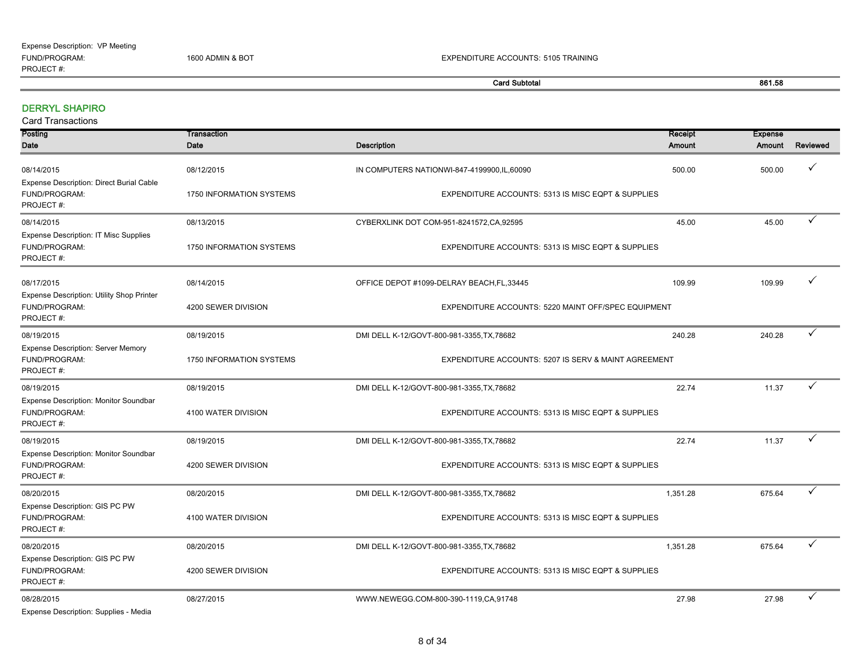| <b>Card Subtotal</b>                                                       |                          |                                                      | 861.58        |                |              |
|----------------------------------------------------------------------------|--------------------------|------------------------------------------------------|---------------|----------------|--------------|
| <b>DERRYL SHAPIRO</b><br><b>Card Transactions</b>                          |                          |                                                      |               |                |              |
| Posting                                                                    | Transaction              |                                                      | Receipt       | <b>Expense</b> |              |
| Date                                                                       | Date                     | <b>Description</b>                                   | <b>Amount</b> | Amount         | Reviewed     |
| 08/14/2015                                                                 | 08/12/2015               | IN COMPUTERS NATIONWI-847-4199900,IL,60090           | 500.00        | 500.00         | ✓            |
| Expense Description: Direct Burial Cable<br>FUND/PROGRAM:<br>PROJECT#:     | 1750 INFORMATION SYSTEMS | EXPENDITURE ACCOUNTS: 5313 IS MISC EQPT & SUPPLIES   |               |                |              |
| 08/14/2015                                                                 | 08/13/2015               | CYBERXLINK DOT COM-951-8241572, CA, 92595            | 45.00         | 45.00          | ✓            |
| <b>Expense Description: IT Misc Supplies</b><br>FUND/PROGRAM:<br>PROJECT#: | 1750 INFORMATION SYSTEMS | EXPENDITURE ACCOUNTS: 5313 IS MISC EQPT & SUPPLIES   |               |                |              |
| 08/17/2015                                                                 | 08/14/2015               | OFFICE DEPOT #1099-DELRAY BEACH, FL, 33445           | 109.99        | 109.99         | ✓            |
| Expense Description: Utility Shop Printer<br>FUND/PROGRAM:<br>PROJECT#:    | 4200 SEWER DIVISION      | EXPENDITURE ACCOUNTS: 5220 MAINT OFF/SPEC EQUIPMENT  |               |                |              |
| 08/19/2015                                                                 | 08/19/2015               | DMI DELL K-12/GOVT-800-981-3355, TX, 78682           | 240.28        | 240.28         | $\checkmark$ |
| Expense Description: Server Memory<br>FUND/PROGRAM:<br>PROJECT#:           | 1750 INFORMATION SYSTEMS | EXPENDITURE ACCOUNTS: 5207 IS SERV & MAINT AGREEMENT |               |                |              |
| 08/19/2015                                                                 | 08/19/2015               | DMI DELL K-12/GOVT-800-981-3355, TX, 78682           | 22.74         | 11.37          | ✓            |
| Expense Description: Monitor Soundbar<br>FUND/PROGRAM:<br>PROJECT#:        | 4100 WATER DIVISION      | EXPENDITURE ACCOUNTS: 5313 IS MISC EQPT & SUPPLIES   |               |                |              |
| 08/19/2015                                                                 | 08/19/2015               | DMI DELL K-12/GOVT-800-981-3355, TX, 78682           | 22.74         | 11.37          | ✓            |
| Expense Description: Monitor Soundbar<br>FUND/PROGRAM:<br>PROJECT#:        | 4200 SEWER DIVISION      | EXPENDITURE ACCOUNTS: 5313 IS MISC EQPT & SUPPLIES   |               |                |              |
| 08/20/2015                                                                 | 08/20/2015               | DMI DELL K-12/GOVT-800-981-3355, TX, 78682           | 1,351.28      | 675.64         | $\checkmark$ |
| Expense Description: GIS PC PW<br>FUND/PROGRAM:<br>PROJECT#:               | 4100 WATER DIVISION      | EXPENDITURE ACCOUNTS: 5313 IS MISC EQPT & SUPPLIES   |               |                |              |
| 08/20/2015                                                                 | 08/20/2015               | DMI DELL K-12/GOVT-800-981-3355, TX, 78682           | 1,351.28      | 675.64         | ✓            |
| Expense Description: GIS PC PW<br>FUND/PROGRAM:<br>PROJECT#:               | 4200 SEWER DIVISION      | EXPENDITURE ACCOUNTS: 5313 IS MISC EQPT & SUPPLIES   |               |                |              |
| 08/28/2015<br>Expense Description: Supplies - Media                        | 08/27/2015               | WWW.NEWEGG.COM-800-390-1119,CA,91748                 | 27.98         | 27.98          | ✓            |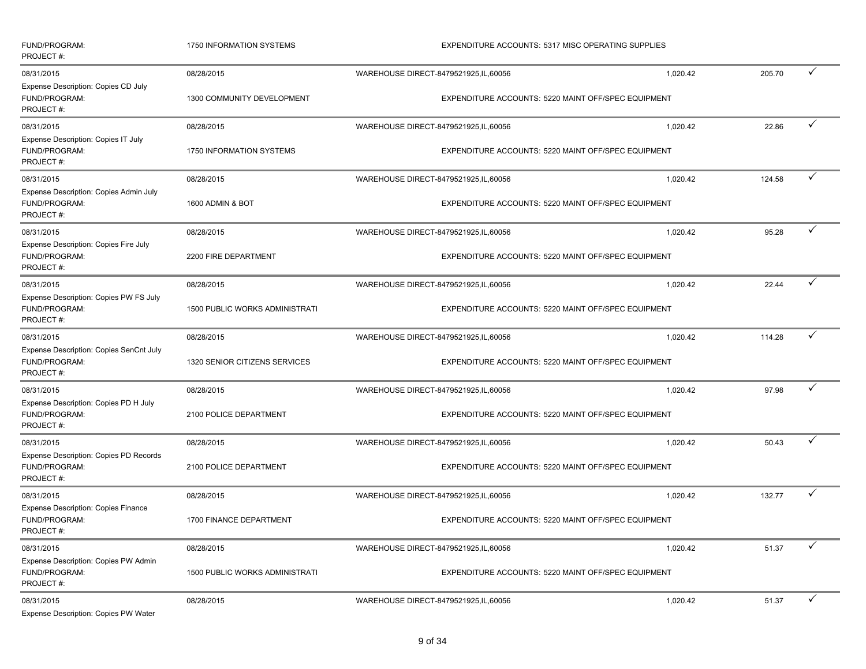| FUND/PROGRAM:<br>PROJECT#:                                                          | 1750 INFORMATION SYSTEMS                 | <b>EXPENDITURE ACCOUNTS: 5317 MISC OPERATING SUPPLIES</b>                                     |          |        |              |  |
|-------------------------------------------------------------------------------------|------------------------------------------|-----------------------------------------------------------------------------------------------|----------|--------|--------------|--|
| 08/31/2015<br>Expense Description: Copies CD July<br>FUND/PROGRAM:<br>PROJECT#:     | 08/28/2015<br>1300 COMMUNITY DEVELOPMENT | WAREHOUSE DIRECT-8479521925, IL, 60056<br>EXPENDITURE ACCOUNTS: 5220 MAINT OFF/SPEC EQUIPMENT | 1,020.42 | 205.70 | $\checkmark$ |  |
| 08/31/2015<br>Expense Description: Copies IT July<br>FUND/PROGRAM:                  | 08/28/2015<br>1750 INFORMATION SYSTEMS   | WAREHOUSE DIRECT-8479521925, IL, 60056<br>EXPENDITURE ACCOUNTS: 5220 MAINT OFF/SPEC EQUIPMENT | 1,020.42 | 22.86  | $\checkmark$ |  |
| PROJECT#:                                                                           |                                          |                                                                                               |          |        |              |  |
| 08/31/2015<br>Expense Description: Copies Admin July<br>FUND/PROGRAM:<br>PROJECT #: | 08/28/2015<br>1600 ADMIN & BOT           | WAREHOUSE DIRECT-8479521925, IL, 60056<br>EXPENDITURE ACCOUNTS: 5220 MAINT OFF/SPEC EQUIPMENT | 1,020.42 | 124.58 | ✓            |  |
| 08/31/2015                                                                          | 08/28/2015                               | WAREHOUSE DIRECT-8479521925, IL, 60056                                                        | 1,020.42 | 95.28  | ✓            |  |
| Expense Description: Copies Fire July<br>FUND/PROGRAM:<br>PROJECT#:                 | 2200 FIRE DEPARTMENT                     | EXPENDITURE ACCOUNTS: 5220 MAINT OFF/SPEC EQUIPMENT                                           |          |        |              |  |
| 08/31/2015                                                                          | 08/28/2015                               | WAREHOUSE DIRECT-8479521925, IL, 60056                                                        | 1,020.42 | 22.44  |              |  |
| Expense Description: Copies PW FS July<br>FUND/PROGRAM:<br>PROJECT#:                | <b>1500 PUBLIC WORKS ADMINISTRATI</b>    | EXPENDITURE ACCOUNTS: 5220 MAINT OFF/SPEC EQUIPMENT                                           |          |        |              |  |
| 08/31/2015                                                                          | 08/28/2015                               | WAREHOUSE DIRECT-8479521925, IL, 60056                                                        | 1,020.42 | 114.28 |              |  |
| Expense Description: Copies SenCnt July<br>FUND/PROGRAM:<br>PROJECT#:               | 1320 SENIOR CITIZENS SERVICES            | EXPENDITURE ACCOUNTS: 5220 MAINT OFF/SPEC EQUIPMENT                                           |          |        |              |  |
| 08/31/2015                                                                          | 08/28/2015                               | WAREHOUSE DIRECT-8479521925, IL, 60056                                                        | 1,020.42 | 97.98  |              |  |
| Expense Description: Copies PD H July<br>FUND/PROGRAM:<br>PROJECT#:                 | 2100 POLICE DEPARTMENT                   | EXPENDITURE ACCOUNTS: 5220 MAINT OFF/SPEC EQUIPMENT                                           |          |        |              |  |
| 08/31/2015                                                                          | 08/28/2015                               | WAREHOUSE DIRECT-8479521925, IL, 60056                                                        | 1,020.42 | 50.43  | ✓            |  |
| <b>Expense Description: Copies PD Records</b><br>FUND/PROGRAM:<br>PROJECT#:         | 2100 POLICE DEPARTMENT                   | EXPENDITURE ACCOUNTS: 5220 MAINT OFF/SPEC EQUIPMENT                                           |          |        |              |  |
| 08/31/2015                                                                          | 08/28/2015                               | WAREHOUSE DIRECT-8479521925, IL, 60056                                                        | 1,020.42 | 132.77 | $\checkmark$ |  |
| <b>Expense Description: Copies Finance</b><br>FUND/PROGRAM:<br>PROJECT#:            | 1700 FINANCE DEPARTMENT                  | EXPENDITURE ACCOUNTS: 5220 MAINT OFF/SPEC EQUIPMENT                                           |          |        |              |  |
| 08/31/2015                                                                          | 08/28/2015                               | WAREHOUSE DIRECT-8479521925, IL, 60056                                                        | 1,020.42 | 51.37  |              |  |
| Expense Description: Copies PW Admin<br>FUND/PROGRAM:<br>PROJECT#:                  | <b>1500 PUBLIC WORKS ADMINISTRATI</b>    | EXPENDITURE ACCOUNTS: 5220 MAINT OFF/SPEC EQUIPMENT                                           |          |        |              |  |
| 08/31/2015<br>Expense Description: Copies PW Water                                  | 08/28/2015                               | WAREHOUSE DIRECT-8479521925, IL, 60056                                                        | 1,020.42 | 51.37  |              |  |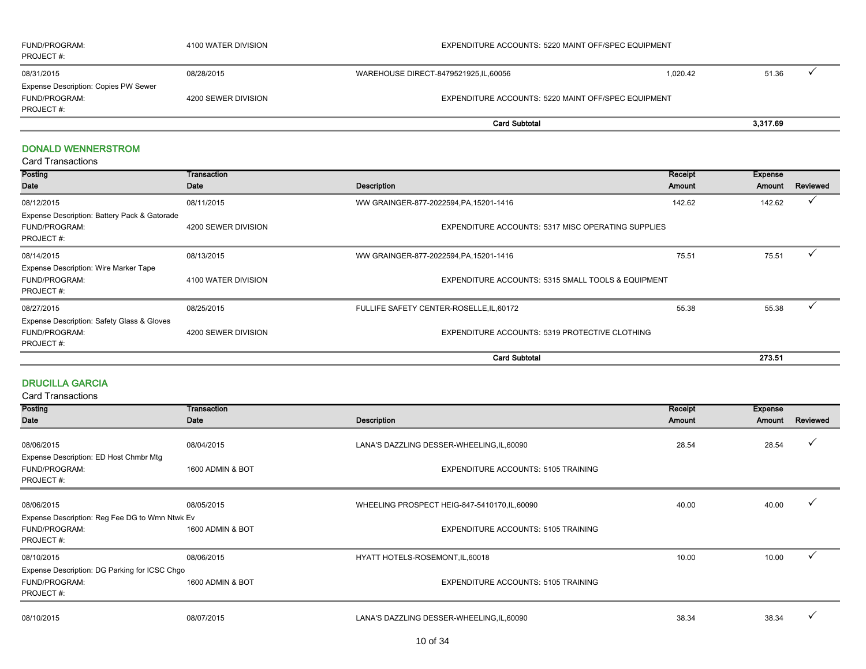| FUND/PROGRAM:<br>PROJECT #:                 | 4100 WATER DIVISION | EXPENDITURE ACCOUNTS: 5220 MAINT OFF/SPEC EQUIPMENT |  |       |  |  |
|---------------------------------------------|---------------------|-----------------------------------------------------|--|-------|--|--|
| 08/31/2015                                  | 08/28/2015          | WAREHOUSE DIRECT-8479521925,IL,60056<br>1.020.42    |  | 51.36 |  |  |
| <b>Expense Description: Copies PW Sewer</b> |                     |                                                     |  |       |  |  |
| FUND/PROGRAM:                               | 4200 SEWER DIVISION | EXPENDITURE ACCOUNTS: 5220 MAINT OFF/SPEC EQUIPMENT |  |       |  |  |
| PROJECT #:                                  |                     |                                                     |  |       |  |  |
|                                             |                     | 3,317.69<br><b>Card Subtotal</b>                    |  |       |  |  |

#### DONALD WENNERSTROM

| Posting                                      | Transaction         |                                                           | Receipt | <b>Expense</b> |              |
|----------------------------------------------|---------------------|-----------------------------------------------------------|---------|----------------|--------------|
| Date                                         | Date                | Description                                               | Amount  | Amount         | Reviewed     |
| 08/12/2015                                   | 08/11/2015          | WW GRAINGER-877-2022594, PA, 15201-1416                   | 142.62  | 142.62         | $\checkmark$ |
| Expense Description: Battery Pack & Gatorade |                     |                                                           |         |                |              |
| FUND/PROGRAM:                                | 4200 SEWER DIVISION | <b>EXPENDITURE ACCOUNTS: 5317 MISC OPERATING SUPPLIES</b> |         |                |              |
| PROJECT#:                                    |                     |                                                           |         |                |              |
| 08/14/2015                                   | 08/13/2015          | WW GRAINGER-877-2022594, PA, 15201-1416                   | 75.51   | 75.51          |              |
| <b>Expense Description: Wire Marker Tape</b> |                     |                                                           |         |                |              |
| FUND/PROGRAM:                                | 4100 WATER DIVISION | EXPENDITURE ACCOUNTS: 5315 SMALL TOOLS & EQUIPMENT        |         |                |              |
| PROJECT#:                                    |                     |                                                           |         |                |              |
| 08/27/2015                                   | 08/25/2015          | FULLIFE SAFETY CENTER-ROSELLE, IL, 60172                  | 55.38   | 55.38          |              |
| Expense Description: Safety Glass & Gloves   |                     |                                                           |         |                |              |
| FUND/PROGRAM:                                | 4200 SEWER DIVISION | EXPENDITURE ACCOUNTS: 5319 PROTECTIVE CLOTHING            |         |                |              |
| PROJECT#:                                    |                     |                                                           |         |                |              |
|                                              |                     | <b>Card Subtotal</b>                                      |         | 273.51         |              |

#### DRUCILLA GARCIA

| Amount<br>28.54 | Amount<br>28.54 | Reviewed<br>$\checkmark$ |
|-----------------|-----------------|--------------------------|
|                 |                 |                          |
|                 |                 |                          |
|                 |                 |                          |
|                 |                 |                          |
|                 |                 |                          |
|                 |                 |                          |
|                 |                 |                          |
|                 |                 |                          |
|                 |                 |                          |
|                 |                 |                          |
|                 |                 |                          |
| 10.00           | 10.00           |                          |
|                 |                 |                          |
|                 |                 |                          |
|                 |                 |                          |
| 38.34           | 38.34           |                          |
|                 | 40.00           | 40.00                    |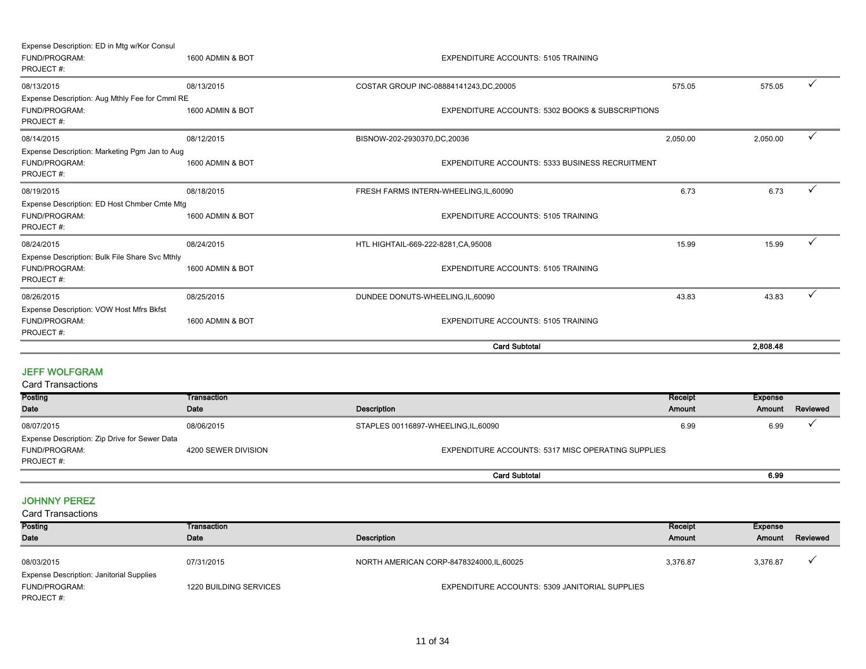| Expense Description: ED in Mtg w/Kor Consul                                  |                  |                                                  |        |          |              |
|------------------------------------------------------------------------------|------------------|--------------------------------------------------|--------|----------|--------------|
| FUND/PROGRAM:<br>PROJECT#:                                                   | 1600 ADMIN & BOT | <b>EXPENDITURE ACCOUNTS: 5105 TRAINING</b>       |        |          |              |
| 08/13/2015                                                                   | 08/13/2015       | COSTAR GROUP INC-08884141243, DC, 20005          | 575.05 | 575.05   | $\checkmark$ |
| Expense Description: Aug Mthly Fee for Cmml RE<br>FUND/PROGRAM:<br>PROJECT#: | 1600 ADMIN & BOT | EXPENDITURE ACCOUNTS: 5302 BOOKS & SUBSCRIPTIONS |        |          |              |
| 08/14/2015                                                                   | 08/12/2015       | 2,050.00<br>BISNOW-202-2930370,DC,20036          |        | 2,050.00 |              |
| Expense Description: Marketing Pgm Jan to Aug<br>FUND/PROGRAM:<br>PROJECT#:  | 1600 ADMIN & BOT | EXPENDITURE ACCOUNTS: 5333 BUSINESS RECRUITMENT  |        |          |              |
| 08/19/2015                                                                   | 08/18/2015       | FRESH FARMS INTERN-WHEELING,IL,60090             | 6.73   | 6.73     |              |
| Expense Description: ED Host Chmber Cmte Mtg<br>FUND/PROGRAM:<br>PROJECT#:   | 1600 ADMIN & BOT | <b>EXPENDITURE ACCOUNTS: 5105 TRAINING</b>       |        |          |              |
| 08/24/2015                                                                   | 08/24/2015       | HTL HIGHTAIL-669-222-8281, CA, 95008             | 15.99  | 15.99    | ✓            |
| Expense Description: Bulk File Share Svc Mthly<br>FUND/PROGRAM:<br>PROJECT#: | 1600 ADMIN & BOT | <b>EXPENDITURE ACCOUNTS: 5105 TRAINING</b>       |        |          |              |
| 08/26/2015                                                                   | 08/25/2015       | DUNDEE DONUTS-WHEELING, IL, 60090                | 43.83  | 43.83    |              |
| Expense Description: VOW Host Mfrs Bkfst<br>FUND/PROGRAM:<br>PROJECT#:       | 1600 ADMIN & BOT | <b>EXPENDITURE ACCOUNTS: 5105 TRAINING</b>       |        |          |              |
|                                                                              |                  | <b>Card Subtotal</b>                             |        | 2.808.48 |              |

#### JEFF WOLFGRAM

Card Transactions

| Posting                                       | Transaction         |                                                    | Receipt | <b>Expense</b> |          |
|-----------------------------------------------|---------------------|----------------------------------------------------|---------|----------------|----------|
| <b>Date</b>                                   | Date                | Description                                        | Amount  | Amount         | Reviewed |
| 08/07/2015                                    | 08/06/2015          | STAPLES 00116897-WHEELING,IL,60090                 | 6.99    | 6.99           |          |
| Expense Description: Zip Drive for Sewer Data |                     |                                                    |         |                |          |
| FUND/PROGRAM:                                 | 4200 SEWER DIVISION | EXPENDITURE ACCOUNTS: 5317 MISC OPERATING SUPPLIES |         |                |          |
| PROJECT#:                                     |                     |                                                    |         |                |          |
|                                               |                     | <b>Card Subtotal</b>                               |         | 6.99           |          |

#### JOHNNY PEREZ

| <b>Card Transactions</b>                        |                        |                                                |          |          |          |  |  |
|-------------------------------------------------|------------------------|------------------------------------------------|----------|----------|----------|--|--|
| Posting                                         | Transaction            |                                                | Receipt  | Expense  |          |  |  |
| Date                                            | Date                   | Description                                    | Amount   | Amount   | Reviewed |  |  |
|                                                 |                        |                                                |          |          |          |  |  |
| 08/03/2015                                      | 07/31/2015             | NORTH AMERICAN CORP-8478324000,IL,60025        | 3.376.87 | 3.376.87 |          |  |  |
| <b>Expense Description: Janitorial Supplies</b> |                        |                                                |          |          |          |  |  |
| FUND/PROGRAM:                                   | 1220 BUILDING SERVICES | EXPENDITURE ACCOUNTS: 5309 JANITORIAL SUPPLIES |          |          |          |  |  |
| PROJECT#:                                       |                        |                                                |          |          |          |  |  |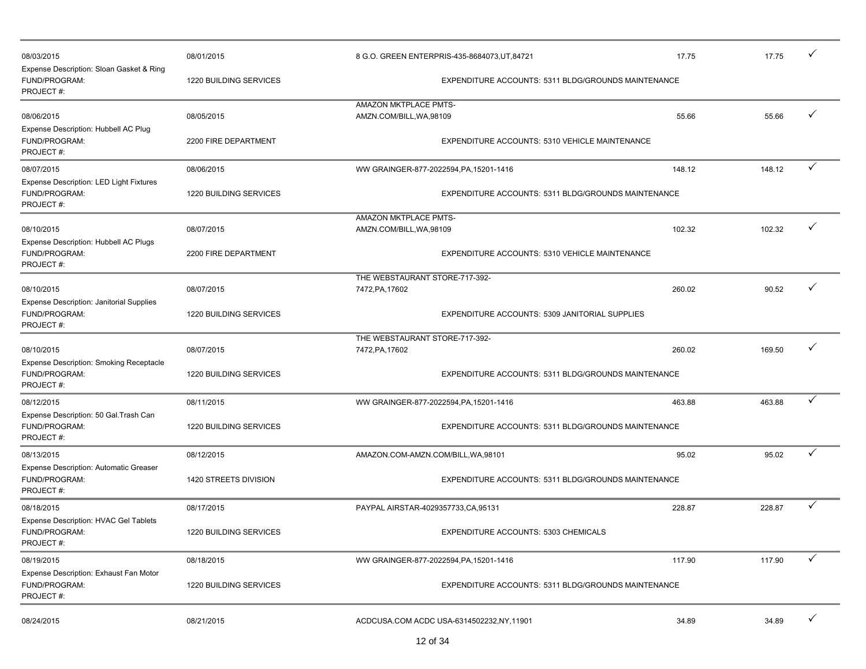|                                                        |                        |                                      |                                                     |        |        | ✓            |
|--------------------------------------------------------|------------------------|--------------------------------------|-----------------------------------------------------|--------|--------|--------------|
| 08/03/2015<br>Expense Description: Sloan Gasket & Ring | 08/01/2015             |                                      | 8 G.O. GREEN ENTERPRIS-435-8684073, UT, 84721       | 17.75  | 17.75  |              |
| FUND/PROGRAM:<br>PROJECT#:                             | 1220 BUILDING SERVICES |                                      | EXPENDITURE ACCOUNTS: 5311 BLDG/GROUNDS MAINTENANCE |        |        |              |
|                                                        |                        | AMAZON MKTPLACE PMTS-                |                                                     |        |        |              |
| 08/06/2015                                             | 08/05/2015             | AMZN.COM/BILL, WA, 98109             |                                                     | 55.66  | 55.66  | ✓            |
| Expense Description: Hubbell AC Plug                   |                        |                                      |                                                     |        |        |              |
| FUND/PROGRAM:                                          | 2200 FIRE DEPARTMENT   |                                      | EXPENDITURE ACCOUNTS: 5310 VEHICLE MAINTENANCE      |        |        |              |
| PROJECT#:                                              |                        |                                      |                                                     |        |        |              |
| 08/07/2015                                             | 08/06/2015             |                                      |                                                     | 148.12 | 148.12 | ✓            |
|                                                        |                        |                                      | WW GRAINGER-877-2022594, PA, 15201-1416             |        |        |              |
| <b>Expense Description: LED Light Fixtures</b>         |                        |                                      |                                                     |        |        |              |
| FUND/PROGRAM:<br>PROJECT#:                             | 1220 BUILDING SERVICES |                                      | EXPENDITURE ACCOUNTS: 5311 BLDG/GROUNDS MAINTENANCE |        |        |              |
|                                                        |                        |                                      |                                                     |        |        |              |
|                                                        |                        | AMAZON MKTPLACE PMTS-                |                                                     |        |        | ✓            |
| 08/10/2015                                             | 08/07/2015             | AMZN.COM/BILL, WA, 98109             |                                                     | 102.32 | 102.32 |              |
| Expense Description: Hubbell AC Plugs                  |                        |                                      |                                                     |        |        |              |
| FUND/PROGRAM:                                          | 2200 FIRE DEPARTMENT   |                                      | EXPENDITURE ACCOUNTS: 5310 VEHICLE MAINTENANCE      |        |        |              |
| PROJECT#:                                              |                        |                                      |                                                     |        |        |              |
|                                                        |                        | THE WEBSTAURANT STORE-717-392-       |                                                     |        |        | ✓            |
| 08/10/2015                                             | 08/07/2015             | 7472, PA, 17602                      |                                                     | 260.02 | 90.52  |              |
| <b>Expense Description: Janitorial Supplies</b>        |                        |                                      |                                                     |        |        |              |
| FUND/PROGRAM:                                          | 1220 BUILDING SERVICES |                                      | EXPENDITURE ACCOUNTS: 5309 JANITORIAL SUPPLIES      |        |        |              |
| PROJECT#:                                              |                        |                                      |                                                     |        |        |              |
|                                                        |                        | THE WEBSTAURANT STORE-717-392-       |                                                     |        |        | ✓            |
| 08/10/2015                                             | 08/07/2015             | 7472, PA, 17602                      |                                                     | 260.02 | 169.50 |              |
| <b>Expense Description: Smoking Receptacle</b>         |                        |                                      |                                                     |        |        |              |
| FUND/PROGRAM:                                          | 1220 BUILDING SERVICES |                                      | EXPENDITURE ACCOUNTS: 5311 BLDG/GROUNDS MAINTENANCE |        |        |              |
| PROJECT#:                                              |                        |                                      |                                                     |        |        |              |
| 08/12/2015                                             | 08/11/2015             |                                      | WW GRAINGER-877-2022594, PA, 15201-1416             | 463.88 | 463.88 | ✓            |
| Expense Description: 50 Gal. Trash Can                 |                        |                                      |                                                     |        |        |              |
| FUND/PROGRAM:                                          | 1220 BUILDING SERVICES |                                      | EXPENDITURE ACCOUNTS: 5311 BLDG/GROUNDS MAINTENANCE |        |        |              |
| PROJECT#:                                              |                        |                                      |                                                     |        |        |              |
| 08/13/2015                                             | 08/12/2015             | AMAZON.COM-AMZN.COM/BILL, WA, 98101  |                                                     | 95.02  | 95.02  | ✓            |
| Expense Description: Automatic Greaser                 |                        |                                      |                                                     |        |        |              |
| FUND/PROGRAM:                                          | 1420 STREETS DIVISION  |                                      | EXPENDITURE ACCOUNTS: 5311 BLDG/GROUNDS MAINTENANCE |        |        |              |
| PROJECT#:                                              |                        |                                      |                                                     |        |        |              |
|                                                        |                        |                                      |                                                     |        |        |              |
| 08/18/2015                                             | 08/17/2015             | PAYPAL AIRSTAR-4029357733, CA, 95131 |                                                     | 228.87 | 228.87 | ✓            |
| Expense Description: HVAC Gel Tablets                  |                        |                                      |                                                     |        |        |              |
| FUND/PROGRAM:                                          | 1220 BUILDING SERVICES |                                      | EXPENDITURE ACCOUNTS: 5303 CHEMICALS                |        |        |              |
| PROJECT#:                                              |                        |                                      |                                                     |        |        |              |
| 08/19/2015                                             | 08/18/2015             |                                      | WW GRAINGER-877-2022594, PA, 15201-1416             | 117.90 | 117.90 | $\checkmark$ |
| Expense Description: Exhaust Fan Motor                 |                        |                                      |                                                     |        |        |              |
| FUND/PROGRAM:                                          | 1220 BUILDING SERVICES |                                      | EXPENDITURE ACCOUNTS: 5311 BLDG/GROUNDS MAINTENANCE |        |        |              |
| PROJECT#:                                              |                        |                                      |                                                     |        |        |              |
|                                                        |                        |                                      |                                                     |        |        |              |
| 08/24/2015                                             | 08/21/2015             |                                      | ACDCUSA.COM ACDC USA-6314502232, NY, 11901          | 34.89  | 34.89  | $\checkmark$ |
|                                                        |                        |                                      |                                                     |        |        |              |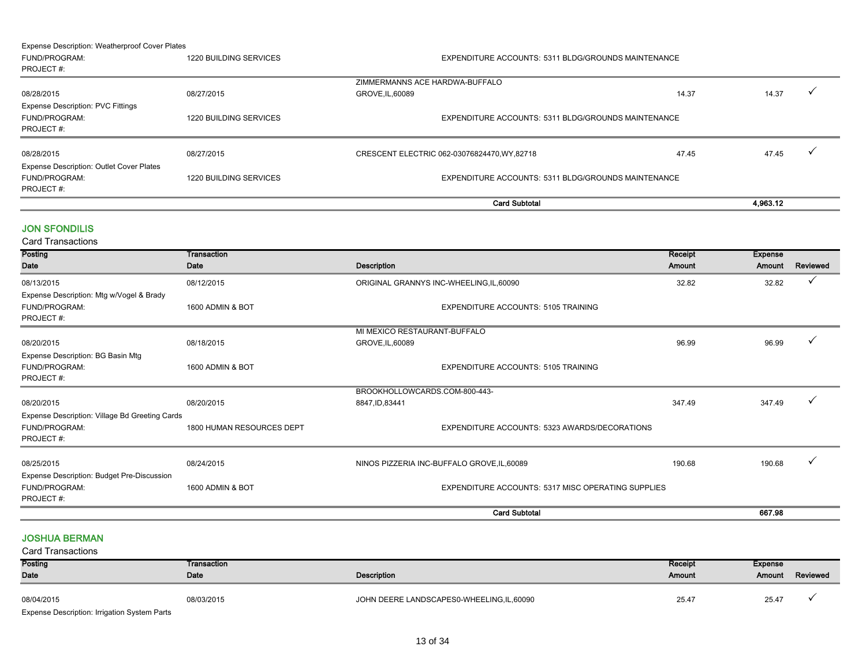#### Expense Description: Weatherproof Cover Plates

|                                                                               |                        | <b>Card Subtotal</b>                                |       | 4.963.12 |  |
|-------------------------------------------------------------------------------|------------------------|-----------------------------------------------------|-------|----------|--|
| <b>Expense Description: Outlet Cover Plates</b><br>FUND/PROGRAM:<br>PROJECT#: | 1220 BUILDING SERVICES | EXPENDITURE ACCOUNTS: 5311 BLDG/GROUNDS MAINTENANCE |       |          |  |
| 08/28/2015                                                                    | 08/27/2015             | CRESCENT ELECTRIC 062-03076824470, WY, 82718        | 47.45 | 47.45    |  |
| <b>Expense Description: PVC Fittings</b><br>FUND/PROGRAM:<br>PROJECT#:        | 1220 BUILDING SERVICES | EXPENDITURE ACCOUNTS: 5311 BLDG/GROUNDS MAINTENANCE |       |          |  |
| 08/28/2015                                                                    | 08/27/2015             | ZIMMERMANNS ACE HARDWA-BUFFALO<br>GROVE, IL, 60089  | 14.37 | 14.37    |  |
| PROJECT#:                                                                     |                        |                                                     |       |          |  |
| FUND/PROGRAM:                                                                 | 1220 BUILDING SERVICES | EXPENDITURE ACCOUNTS: 5311 BLDG/GROUNDS MAINTENANCE |       |          |  |

#### JON SFONDILIS

Card Transactions

| Posting                                        | Transaction               |                                                    | Receipt | <b>Expense</b> |              |
|------------------------------------------------|---------------------------|----------------------------------------------------|---------|----------------|--------------|
| Date                                           | Date                      | <b>Description</b>                                 | Amount  | Amount         | Reviewed     |
| 08/13/2015                                     | 08/12/2015                | ORIGINAL GRANNYS INC-WHEELING, IL, 60090           | 32.82   | 32.82          | $\checkmark$ |
| Expense Description: Mtg w/Vogel & Brady       |                           |                                                    |         |                |              |
| FUND/PROGRAM:                                  | 1600 ADMIN & BOT          | <b>EXPENDITURE ACCOUNTS: 5105 TRAINING</b>         |         |                |              |
| PROJECT#:                                      |                           |                                                    |         |                |              |
|                                                |                           | MI MEXICO RESTAURANT-BUFFALO                       |         |                |              |
| 08/20/2015                                     | 08/18/2015                | GROVE, IL, 60089                                   | 96.99   | 96.99          | $\check{ }$  |
| Expense Description: BG Basin Mtg              |                           |                                                    |         |                |              |
| FUND/PROGRAM:                                  | 1600 ADMIN & BOT          | <b>EXPENDITURE ACCOUNTS: 5105 TRAINING</b>         |         |                |              |
| PROJECT#:                                      |                           |                                                    |         |                |              |
|                                                |                           | BROOKHOLLOWCARDS.COM-800-443-                      |         |                |              |
| 08/20/2015                                     | 08/20/2015                | 8847, ID, 83441                                    | 347.49  | 347.49         | $\checkmark$ |
| Expense Description: Village Bd Greeting Cards |                           |                                                    |         |                |              |
| FUND/PROGRAM:                                  | 1800 HUMAN RESOURCES DEPT | EXPENDITURE ACCOUNTS: 5323 AWARDS/DECORATIONS      |         |                |              |
| PROJECT#:                                      |                           |                                                    |         |                |              |
| 08/25/2015                                     | 08/24/2015                | NINOS PIZZERIA INC-BUFFALO GROVE, IL, 60089        | 190.68  | 190.68         |              |
|                                                |                           |                                                    |         |                |              |
| Expense Description: Budget Pre-Discussion     |                           |                                                    |         |                |              |
| FUND/PROGRAM:                                  | 1600 ADMIN & BOT          | EXPENDITURE ACCOUNTS: 5317 MISC OPERATING SUPPLIES |         |                |              |
| PROJECT#:                                      |                           |                                                    |         |                |              |
|                                                |                           | <b>Card Subtotal</b>                               |         | 667.98         |              |

#### JOSHUA BERMAN

| Posting                                      | Transaction |                                          | Receipt       | <b>Expense</b> |                 |
|----------------------------------------------|-------------|------------------------------------------|---------------|----------------|-----------------|
| Date                                         | Date        | Description                              | <b>Amount</b> |                | Amount Reviewed |
| 08/04/2015                                   | 08/03/2015  | JOHN DEERE LANDSCAPES0-WHEELING,IL,60090 | 25.47         | 25.47          |                 |
| Expense Description: Irrigation System Parts |             |                                          |               |                |                 |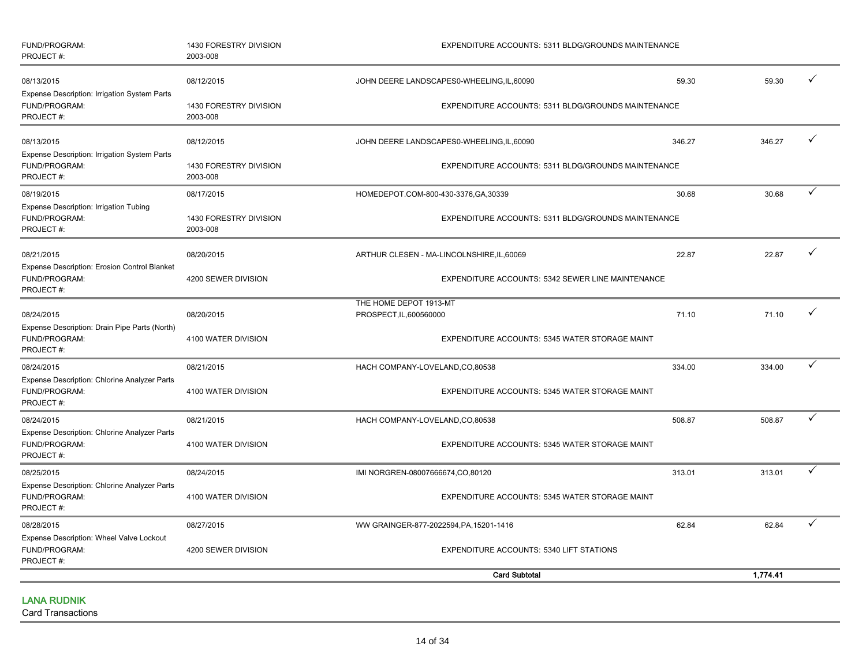| FUND/PROGRAM:<br>PROJECT#:                                                        | 1430 FORESTRY DIVISION<br>2003-008 | EXPENDITURE ACCOUNTS: 5311 BLDG/GROUNDS MAINTENANCE |        |          |              |
|-----------------------------------------------------------------------------------|------------------------------------|-----------------------------------------------------|--------|----------|--------------|
| 08/13/2015<br>Expense Description: Irrigation System Parts                        | 08/12/2015                         | JOHN DEERE LANDSCAPES0-WHEELING, IL, 60090          | 59.30  | 59.30    | ✓            |
| FUND/PROGRAM:<br>PROJECT#:                                                        | 1430 FORESTRY DIVISION<br>2003-008 | EXPENDITURE ACCOUNTS: 5311 BLDG/GROUNDS MAINTENANCE |        |          |              |
| 08/13/2015<br>Expense Description: Irrigation System Parts                        | 08/12/2015                         | JOHN DEERE LANDSCAPES0-WHEELING, IL, 60090          | 346.27 | 346.27   | ✓            |
| FUND/PROGRAM:<br>PROJECT#:                                                        | 1430 FORESTRY DIVISION<br>2003-008 | EXPENDITURE ACCOUNTS: 5311 BLDG/GROUNDS MAINTENANCE |        |          |              |
| 08/19/2015                                                                        | 08/17/2015                         | HOMEDEPOT.COM-800-430-3376,GA,30339                 | 30.68  | 30.68    | ✓            |
| Expense Description: Irrigation Tubing<br>FUND/PROGRAM:<br>PROJECT#:              | 1430 FORESTRY DIVISION<br>2003-008 | EXPENDITURE ACCOUNTS: 5311 BLDG/GROUNDS MAINTENANCE |        |          |              |
| 08/21/2015                                                                        | 08/20/2015                         | ARTHUR CLESEN - MA-LINCOLNSHIRE, IL, 60069          | 22.87  | 22.87    | ✓            |
| Expense Description: Erosion Control Blanket<br>FUND/PROGRAM:<br>PROJECT#:        | 4200 SEWER DIVISION                | EXPENDITURE ACCOUNTS: 5342 SEWER LINE MAINTENANCE   |        |          |              |
| 08/24/2015                                                                        | 08/20/2015                         | THE HOME DEPOT 1913-MT<br>PROSPECT, IL, 600560000   | 71.10  | 71.10    |              |
| Expense Description: Drain Pipe Parts (North)<br>FUND/PROGRAM:<br>PROJECT#:       | 4100 WATER DIVISION                | EXPENDITURE ACCOUNTS: 5345 WATER STORAGE MAINT      |        |          |              |
| 08/24/2015                                                                        | 08/21/2015                         | HACH COMPANY-LOVELAND,CO,80538                      | 334.00 | 334.00   | ✓            |
| <b>Expense Description: Chlorine Analyzer Parts</b><br>FUND/PROGRAM:<br>PROJECT#: | 4100 WATER DIVISION                | EXPENDITURE ACCOUNTS: 5345 WATER STORAGE MAINT      |        |          |              |
| 08/24/2015                                                                        | 08/21/2015                         | HACH COMPANY-LOVELAND,CO,80538                      | 508.87 | 508.87   | ✓            |
| Expense Description: Chlorine Analyzer Parts<br>FUND/PROGRAM:<br>PROJECT#:        | 4100 WATER DIVISION                | EXPENDITURE ACCOUNTS: 5345 WATER STORAGE MAINT      |        |          |              |
| 08/25/2015                                                                        | 08/24/2015                         | IMI NORGREN-08007666674,CO,80120                    | 313.01 | 313.01   |              |
| Expense Description: Chlorine Analyzer Parts<br>FUND/PROGRAM:<br>PROJECT#:        | 4100 WATER DIVISION                | EXPENDITURE ACCOUNTS: 5345 WATER STORAGE MAINT      |        |          |              |
| 08/28/2015                                                                        | 08/27/2015                         | WW GRAINGER-877-2022594, PA, 15201-1416             | 62.84  | 62.84    | $\checkmark$ |
| Expense Description: Wheel Valve Lockout<br>FUND/PROGRAM:<br>PROJECT#:            | 4200 SEWER DIVISION                | EXPENDITURE ACCOUNTS: 5340 LIFT STATIONS            |        |          |              |
|                                                                                   |                                    | <b>Card Subtotal</b>                                |        | 1,774.41 |              |

LANA RUDNIK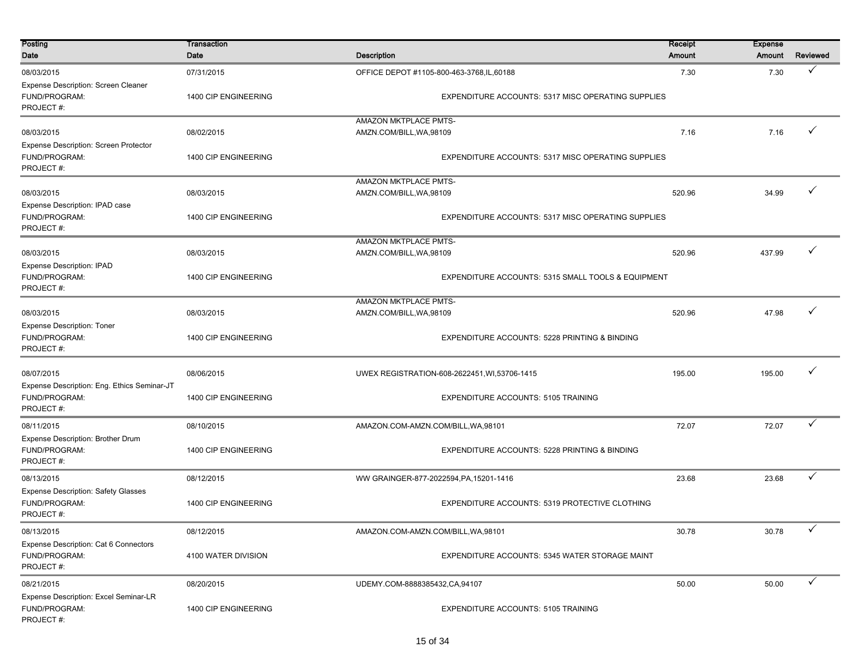| Posting<br>Date                                                           | Transaction<br>Date  | <b>Description</b>                                                                       | Receipt<br><b>Amount</b> | <b>Expense</b><br>Amount | Reviewed     |
|---------------------------------------------------------------------------|----------------------|------------------------------------------------------------------------------------------|--------------------------|--------------------------|--------------|
| 08/03/2015<br>Expense Description: Screen Cleaner                         | 07/31/2015           | OFFICE DEPOT #1105-800-463-3768, IL, 60188                                               | 7.30                     | 7.30                     | ✓            |
| FUND/PROGRAM:<br>PROJECT#:                                                | 1400 CIP ENGINEERING | EXPENDITURE ACCOUNTS: 5317 MISC OPERATING SUPPLIES                                       |                          |                          |              |
| 08/03/2015<br>Expense Description: Screen Protector                       | 08/02/2015           | AMAZON MKTPLACE PMTS-<br>AMZN.COM/BILL, WA, 98109                                        | 7.16                     | 7.16                     | $\checkmark$ |
| FUND/PROGRAM:<br>PROJECT#:                                                | 1400 CIP ENGINEERING | EXPENDITURE ACCOUNTS: 5317 MISC OPERATING SUPPLIES                                       |                          |                          |              |
| 08/03/2015                                                                | 08/03/2015           | AMAZON MKTPLACE PMTS-<br>AMZN.COM/BILL, WA, 98109                                        | 520.96                   | 34.99                    | ✓            |
| Expense Description: IPAD case<br>FUND/PROGRAM:<br>PROJECT#:              | 1400 CIP ENGINEERING | EXPENDITURE ACCOUNTS: 5317 MISC OPERATING SUPPLIES                                       |                          |                          |              |
| 08/03/2015                                                                | 08/03/2015           | AMAZON MKTPLACE PMTS-                                                                    |                          | 437.99                   |              |
| <b>Expense Description: IPAD</b><br>FUND/PROGRAM:<br>PROJECT#:            | 1400 CIP ENGINEERING | 520.96<br>AMZN.COM/BILL, WA, 98109<br>EXPENDITURE ACCOUNTS: 5315 SMALL TOOLS & EQUIPMENT |                          |                          |              |
|                                                                           |                      | AMAZON MKTPLACE PMTS-                                                                    |                          |                          |              |
| 08/03/2015                                                                | 08/03/2015           | AMZN.COM/BILL, WA, 98109                                                                 | 520.96                   | 47.98                    | ✓            |
| <b>Expense Description: Toner</b><br>FUND/PROGRAM:<br>PROJECT#:           | 1400 CIP ENGINEERING | EXPENDITURE ACCOUNTS: 5228 PRINTING & BINDING                                            |                          |                          |              |
| 08/07/2015                                                                | 08/06/2015           | UWEX REGISTRATION-608-2622451, WI,53706-1415                                             | 195.00                   | 195.00                   | $\checkmark$ |
| Expense Description: Eng. Ethics Seminar-JT<br>FUND/PROGRAM:<br>PROJECT#: | 1400 CIP ENGINEERING | EXPENDITURE ACCOUNTS: 5105 TRAINING                                                      |                          |                          |              |
| 08/11/2015                                                                | 08/10/2015           | AMAZON.COM-AMZN.COM/BILL, WA, 98101                                                      | 72.07                    | 72.07                    | ✓            |
| Expense Description: Brother Drum<br>FUND/PROGRAM:<br>PROJECT#:           | 1400 CIP ENGINEERING | EXPENDITURE ACCOUNTS: 5228 PRINTING & BINDING                                            |                          |                          |              |
| 08/13/2015                                                                | 08/12/2015           | WW GRAINGER-877-2022594, PA, 15201-1416                                                  | 23.68                    | 23.68                    | ✓            |
| <b>Expense Description: Safety Glasses</b><br>FUND/PROGRAM:<br>PROJECT#:  | 1400 CIP ENGINEERING | EXPENDITURE ACCOUNTS: 5319 PROTECTIVE CLOTHING                                           |                          |                          |              |
| 08/13/2015                                                                | 08/12/2015           | AMAZON.COM-AMZN.COM/BILL, WA, 98101                                                      | 30.78                    | 30.78                    | $\checkmark$ |
| Expense Description: Cat 6 Connectors<br>FUND/PROGRAM:<br>PROJECT#:       | 4100 WATER DIVISION  | EXPENDITURE ACCOUNTS: 5345 WATER STORAGE MAINT                                           |                          |                          |              |
| 08/21/2015                                                                | 08/20/2015           | UDEMY.COM-8888385432,CA,94107                                                            | 50.00                    | 50.00                    | $\checkmark$ |
| Expense Description: Excel Seminar-LR<br>FUND/PROGRAM:<br>PROJECT#:       | 1400 CIP ENGINEERING | <b>EXPENDITURE ACCOUNTS: 5105 TRAINING</b>                                               |                          |                          |              |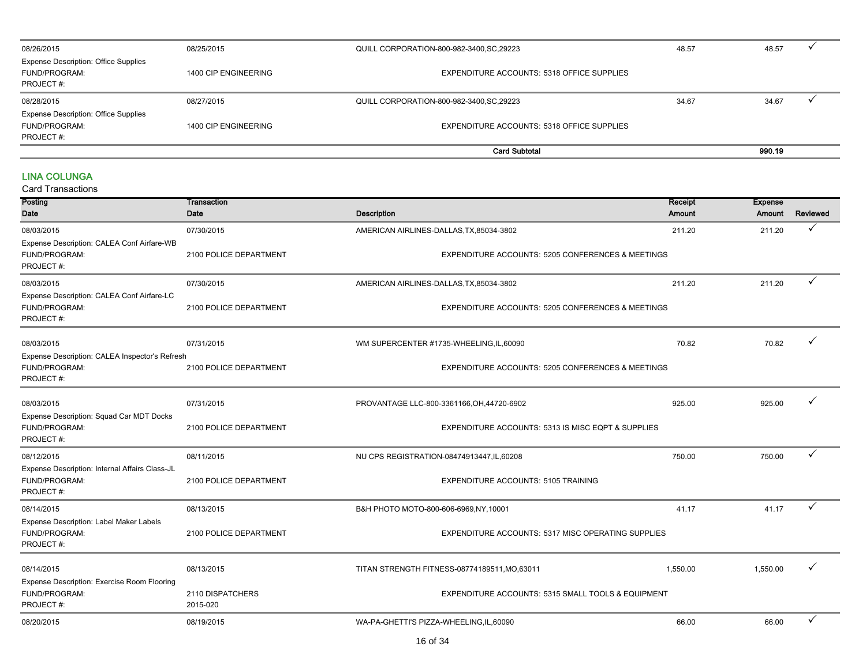| 08/26/2015                                                                | 08/25/2015           | QUILL CORPORATION-800-982-3400, SC, 29223  | 48.57 |        |  |
|---------------------------------------------------------------------------|----------------------|--------------------------------------------|-------|--------|--|
| <b>Expense Description: Office Supplies</b><br>FUND/PROGRAM:<br>PROJECT#: | 1400 CIP ENGINEERING | EXPENDITURE ACCOUNTS: 5318 OFFICE SUPPLIES |       |        |  |
| 08/28/2015                                                                | 08/27/2015           | QUILL CORPORATION-800-982-3400, SC, 29223  | 34.67 | 34.67  |  |
| <b>Expense Description: Office Supplies</b><br>FUND/PROGRAM:<br>PROJECT#: | 1400 CIP ENGINEERING | EXPENDITURE ACCOUNTS: 5318 OFFICE SUPPLIES |       |        |  |
|                                                                           |                      | <b>Card Subtotal</b>                       |       | 990.19 |  |

#### LINA COLUNGA

| Posting                                                                             | Transaction                  | Receipt                                                      | <b>Expense</b> |          |          |
|-------------------------------------------------------------------------------------|------------------------------|--------------------------------------------------------------|----------------|----------|----------|
| Date                                                                                | <b>Description</b><br>Date   |                                                              | Amount         | Amount   | Reviewed |
| 08/03/2015                                                                          | 07/30/2015                   | AMERICAN AIRLINES-DALLAS, TX, 85034-3802                     | 211.20         | 211.20   | ✓        |
| Expense Description: CALEA Conf Airfare-WB<br>FUND/PROGRAM:<br>PROJECT#:            | 2100 POLICE DEPARTMENT       | EXPENDITURE ACCOUNTS: 5205 CONFERENCES & MEETINGS            |                |          |          |
| 08/03/2015                                                                          | 07/30/2015                   | AMERICAN AIRLINES-DALLAS, TX, 85034-3802                     | 211.20         | 211.20   | ✓        |
| Expense Description: CALEA Conf Airfare-LC<br>FUND/PROGRAM:<br>PROJECT#:            | 2100 POLICE DEPARTMENT       | <b>EXPENDITURE ACCOUNTS: 5205 CONFERENCES &amp; MEETINGS</b> |                |          |          |
| 08/03/2015                                                                          | 07/31/2015                   | WM SUPERCENTER #1735-WHEELING, IL, 60090                     | 70.82          | 70.82    |          |
| Expense Description: CALEA Inspector's Refresh<br>FUND/PROGRAM:<br>PROJECT#:        | 2100 POLICE DEPARTMENT       | <b>EXPENDITURE ACCOUNTS: 5205 CONFERENCES &amp; MEETINGS</b> |                |          |          |
| 08/03/2015                                                                          | 07/31/2015                   | PROVANTAGE LLC-800-3361166, OH, 44720-6902                   | 925.00         | 925.00   |          |
| Expense Description: Squad Car MDT Docks<br>FUND/PROGRAM:<br>PROJECT#:              | 2100 POLICE DEPARTMENT       | EXPENDITURE ACCOUNTS: 5313 IS MISC EQPT & SUPPLIES           |                |          |          |
| 08/12/2015                                                                          | 08/11/2015                   | NU CPS REGISTRATION-08474913447, IL, 60208                   | 750.00         | 750.00   | ✓        |
| Expense Description: Internal Affairs Class-JL<br><b>FUND/PROGRAM:</b><br>PROJECT#: | 2100 POLICE DEPARTMENT       | EXPENDITURE ACCOUNTS: 5105 TRAINING                          |                |          |          |
| 08/14/2015                                                                          | 08/13/2015                   | B&H PHOTO MOTO-800-606-6969,NY,10001                         | 41.17          | 41.17    | ✓        |
| Expense Description: Label Maker Labels<br>FUND/PROGRAM:<br>PROJECT#:               | 2100 POLICE DEPARTMENT       | EXPENDITURE ACCOUNTS: 5317 MISC OPERATING SUPPLIES           |                |          |          |
| 08/14/2015                                                                          | 08/13/2015                   | TITAN STRENGTH FITNESS-08774189511, MO, 63011                | 1,550.00       | 1,550.00 |          |
| Expense Description: Exercise Room Flooring<br>FUND/PROGRAM:<br>PROJECT#:           | 2110 DISPATCHERS<br>2015-020 | EXPENDITURE ACCOUNTS: 5315 SMALL TOOLS & EQUIPMENT           |                |          |          |
| 08/20/2015                                                                          | 08/19/2015                   | WA-PA-GHETTI'S PIZZA-WHEELING, IL, 60090                     | 66.00          | 66.00    |          |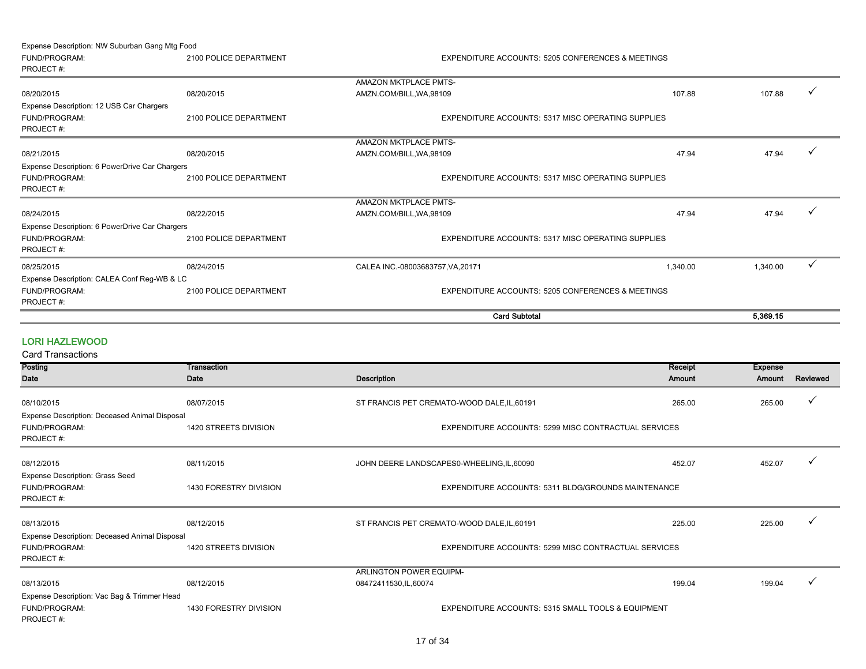Expense Description: NW Suburban Gang Mtg Food

FUND/PROGRAM: 2100 POLICE DEPARTMENT EXPENDITURE ACCOUNTS: 5205 CONFERENCES & MEETINGS PROJECT #: 08/20/2015 08/20/2015 AMAZON MKTPLACE PMTS- $\blacksquare$ AMZN.COM/BILL,WA,98109  $\bigcirc$ FUND/PROGRAM: 2100 POLICE DEPARTMENT EXPENDITURE ACCOUNTS: 5317 MISC OPERATING SUPPLIES PROJECT #: 08/21/2015 08/20/2015 AMAZON MKTPLACE PMTS- $\blacksquare$ AMZN.COM/BILL.WA,98109  $\blacksquare$ FUND/PROGRAM: 2100 POLICE DEPARTMENT EXPENDITURE ACCOUNTS: 5317 MISC OPERATING SUPPLIES PROJECT #: 08/24/2015 08/22/2015 AMAZON MKTPLACE PMTS-AMZN.COM/BILL,WA,98109 47.94 47.94 47.94 47.94 47.94 47.94 47.94 47.94 47.94 47.94 47.94 47.94 47.94 47.94 47.94 47.94 47.94 47.94 47.94 47.94 47.94 47.94 47.94 47.94 47.94 47.94 47.94 47.94 47.94 47.94 47.94 47.94 47.94 FUND/PROGRAM: 2100 POLICE DEPARTMENT EXPENDITURE ACCOUNTS: 5317 MISC OPERATING SUPPLIES PROJECT #:  $08/25/2015$   $08/24/2015$   $08/24/2015$   $08/25/2015$   $08/25/20171$   $08/25/2015$   $08/25/2015$   $08/25/2015$   $08/25/2015$   $08/25/2015$   $08/25/2015$   $08/25/2015$   $08/25/2015$   $08/25/2015$   $08/25/2015$   $08/25/2015$   $08/25/2015$ FUND/PROGRAM: 2100 POLICE DEPARTMENT EXPENDITURE ACCOUNTS: 5205 CONFERENCES & MEETINGS PROJECT #: Expense Description: 12 USB Car Chargers Expense Description: 6 PowerDrive Car Chargers Expense Description: 6 PowerDrive Car Chargers Expense Description: CALEA Conf Reg-WB & LC Card Subtotal 5,369.15

#### LORI HAZLEWOOD

| Posting<br>Transaction                        |                        |                                                               | Receipt       | <b>Expense</b> |          |
|-----------------------------------------------|------------------------|---------------------------------------------------------------|---------------|----------------|----------|
| Date                                          | Date                   | Description                                                   | <b>Amount</b> | Amount         | Reviewed |
|                                               |                        |                                                               |               |                |          |
| 08/10/2015                                    | 08/07/2015             | ST FRANCIS PET CREMATO-WOOD DALE, IL, 60191                   | 265.00        | 265.00         |          |
| Expense Description: Deceased Animal Disposal |                        |                                                               |               |                |          |
| FUND/PROGRAM:                                 | 1420 STREETS DIVISION  | EXPENDITURE ACCOUNTS: 5299 MISC CONTRACTUAL SERVICES          |               |                |          |
| PROJECT#:                                     |                        |                                                               |               |                |          |
| 08/12/2015                                    | 08/11/2015             | JOHN DEERE LANDSCAPES0-WHEELING, IL, 60090                    | 452.07        | 452.07         |          |
| <b>Expense Description: Grass Seed</b>        |                        |                                                               |               |                |          |
| FUND/PROGRAM:                                 | 1430 FORESTRY DIVISION | <b>EXPENDITURE ACCOUNTS: 5311 BLDG/GROUNDS MAINTENANCE</b>    |               |                |          |
| PROJECT#:                                     |                        |                                                               |               |                |          |
|                                               |                        |                                                               |               |                |          |
| 08/13/2015                                    | 08/12/2015             | ST FRANCIS PET CREMATO-WOOD DALE, IL, 60191                   | 225.00        | 225.00         |          |
| Expense Description: Deceased Animal Disposal |                        |                                                               |               |                |          |
| FUND/PROGRAM:                                 | 1420 STREETS DIVISION  | EXPENDITURE ACCOUNTS: 5299 MISC CONTRACTUAL SERVICES          |               |                |          |
| PROJECT#:                                     |                        |                                                               |               |                |          |
|                                               |                        | <b>ARLINGTON POWER EQUIPM-</b>                                |               |                |          |
| 08/13/2015                                    | 08/12/2015             | 08472411530, IL, 60074                                        | 199.04        | 199.04         |          |
| Expense Description: Vac Bag & Trimmer Head   |                        |                                                               |               |                |          |
| FUND/PROGRAM:                                 | 1430 FORESTRY DIVISION | <b>EXPENDITURE ACCOUNTS: 5315 SMALL TOOLS &amp; EQUIPMENT</b> |               |                |          |
| PROJECT#:                                     |                        |                                                               |               |                |          |
|                                               |                        |                                                               |               |                |          |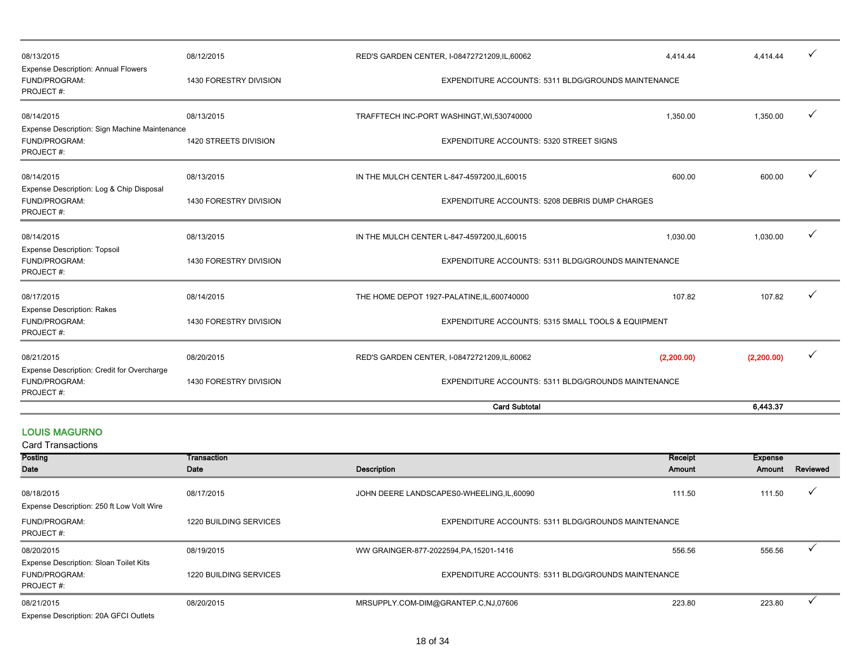| 08/13/2015                                                                  | 08/12/2015             | RED'S GARDEN CENTER, I-08472721209,IL,60062<br>4.414.44 |            | 4.414.44   | ✓ |
|-----------------------------------------------------------------------------|------------------------|---------------------------------------------------------|------------|------------|---|
| Expense Description: Annual Flowers<br>FUND/PROGRAM:<br>PROJECT#:           | 1430 FORESTRY DIVISION | EXPENDITURE ACCOUNTS: 5311 BLDG/GROUNDS MAINTENANCE     |            |            |   |
| 08/14/2015                                                                  | 08/13/2015             | TRAFFTECH INC-PORT WASHINGT, WI,530740000               | 1,350.00   | 1,350.00   | ✓ |
| Expense Description: Sign Machine Maintenance<br>FUND/PROGRAM:<br>PROJECT#: | 1420 STREETS DIVISION  | <b>EXPENDITURE ACCOUNTS: 5320 STREET SIGNS</b>          |            |            |   |
| 08/14/2015                                                                  | 08/13/2015             | IN THE MULCH CENTER L-847-4597200, IL, 60015            | 600.00     | 600.00     | ✓ |
| Expense Description: Log & Chip Disposal<br>FUND/PROGRAM:<br>PROJECT#:      | 1430 FORESTRY DIVISION | EXPENDITURE ACCOUNTS: 5208 DEBRIS DUMP CHARGES          |            |            |   |
| 08/14/2015                                                                  | 08/13/2015             | IN THE MULCH CENTER L-847-4597200, IL, 60015            | 1,030.00   | 1,030.00   | ✓ |
| <b>Expense Description: Topsoil</b><br>FUND/PROGRAM:<br>PROJECT#:           | 1430 FORESTRY DIVISION | EXPENDITURE ACCOUNTS: 5311 BLDG/GROUNDS MAINTENANCE     |            |            |   |
| 08/17/2015                                                                  | 08/14/2015             | THE HOME DEPOT 1927-PALATINE, IL, 600740000             | 107.82     | 107.82     | ✓ |
| <b>Expense Description: Rakes</b><br>FUND/PROGRAM:<br>PROJECT#:             | 1430 FORESTRY DIVISION | EXPENDITURE ACCOUNTS: 5315 SMALL TOOLS & EQUIPMENT      |            |            |   |
| 08/21/2015                                                                  | 08/20/2015             | RED'S GARDEN CENTER, I-08472721209,IL,60062             | (2,200.00) | (2,200.00) | ✓ |
| Expense Description: Credit for Overcharge<br>FUND/PROGRAM:<br>PROJECT#:    | 1430 FORESTRY DIVISION | EXPENDITURE ACCOUNTS: 5311 BLDG/GROUNDS MAINTENANCE     |            |            |   |
|                                                                             |                        | <b>Card Subtotal</b>                                    |            | 6,443.37   |   |

#### LOUIS MAGURNO

| <b>Card Transactions</b>                                                    |                               |                                                     |         |                |          |
|-----------------------------------------------------------------------------|-------------------------------|-----------------------------------------------------|---------|----------------|----------|
| Posting<br>Transaction                                                      |                               |                                                     | Receipt | <b>Expense</b> |          |
| Date                                                                        | Date                          | <b>Description</b>                                  | Amount  | Amount         | Reviewed |
| 08/18/2015<br>Expense Description: 250 ft Low Volt Wire                     | 08/17/2015                    | JOHN DEERE LANDSCAPES0-WHEELING, IL, 60090          | 111.50  | 111.50         |          |
| FUND/PROGRAM:<br>PROJECT#:                                                  | <b>1220 BUILDING SERVICES</b> | EXPENDITURE ACCOUNTS: 5311 BLDG/GROUNDS MAINTENANCE |         |                |          |
| 08/20/2015                                                                  | 08/19/2015                    | WW GRAINGER-877-2022594, PA, 15201-1416             | 556.56  | 556.56         |          |
| Expense Description: Sloan Toilet Kits<br><b>FUND/PROGRAM:</b><br>PROJECT#: | 1220 BUILDING SERVICES        | EXPENDITURE ACCOUNTS: 5311 BLDG/GROUNDS MAINTENANCE |         |                |          |
| 08/21/2015                                                                  | 08/20/2015                    | MRSUPPLY.COM-DIM@GRANTEP.C.NJ,07606                 | 223.80  | 223.80         |          |
| Expense Description: 20A GFCI Outlets                                       |                               |                                                     |         |                |          |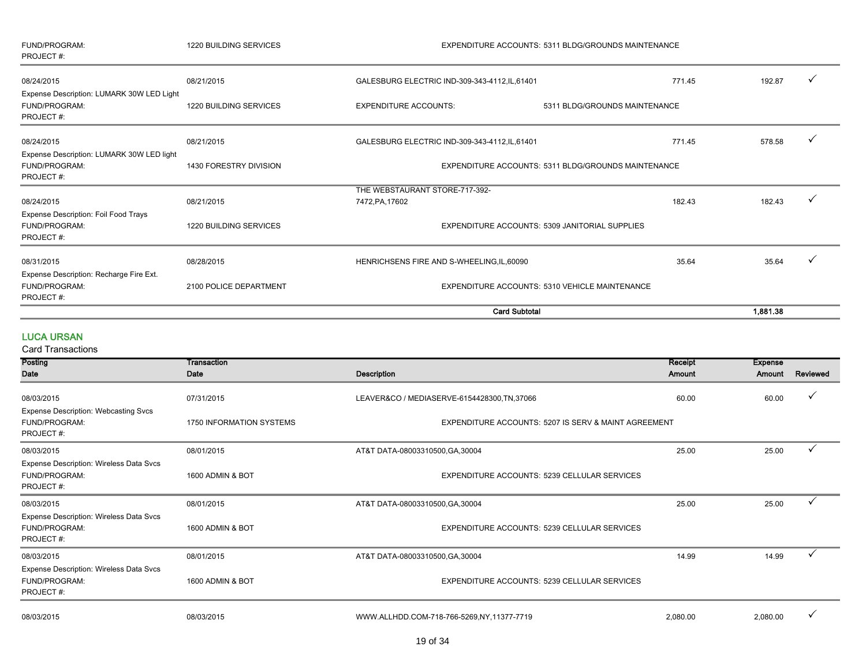| FUND/PROGRAM:<br>PROJECT#:                                         | <b>1220 BUILDING SERVICES</b> | EXPENDITURE ACCOUNTS: 5311 BLDG/GROUNDS MAINTENANCE |                                                |                        |  |  |
|--------------------------------------------------------------------|-------------------------------|-----------------------------------------------------|------------------------------------------------|------------------------|--|--|
| 08/24/2015                                                         | 08/21/2015                    | GALESBURG ELECTRIC IND-309-343-4112, IL, 61401      | 771.45                                         | 192.87<br>$\checkmark$ |  |  |
| Expense Description: LUMARK 30W LED Light                          |                               |                                                     |                                                |                        |  |  |
| <b>FUND/PROGRAM:</b><br>PROJECT#:                                  | <b>1220 BUILDING SERVICES</b> | <b>EXPENDITURE ACCOUNTS:</b>                        | 5311 BLDG/GROUNDS MAINTENANCE                  |                        |  |  |
| 08/24/2015                                                         | 08/21/2015                    | GALESBURG ELECTRIC IND-309-343-4112, IL, 61401      | 771.45                                         | $\checkmark$<br>578.58 |  |  |
| Expense Description: LUMARK 30W LED light                          |                               |                                                     |                                                |                        |  |  |
| FUND/PROGRAM:<br>PROJECT#:                                         | 1430 FORESTRY DIVISION        | EXPENDITURE ACCOUNTS: 5311 BLDG/GROUNDS MAINTENANCE |                                                |                        |  |  |
|                                                                    |                               | THE WEBSTAURANT STORE-717-392-                      |                                                |                        |  |  |
| 08/24/2015                                                         | 08/21/2015                    | 7472, PA, 17602                                     | 182.43                                         | 182.43<br>$\checkmark$ |  |  |
| Expense Description: Foil Food Trays<br>FUND/PROGRAM:<br>PROJECT#: | <b>1220 BUILDING SERVICES</b> |                                                     | EXPENDITURE ACCOUNTS: 5309 JANITORIAL SUPPLIES |                        |  |  |
| 08/31/2015                                                         | 08/28/2015                    | HENRICHSENS FIRE AND S-WHEELING, IL, 60090          | 35.64                                          | 35.64<br>$\checkmark$  |  |  |
| Expense Description: Recharge Fire Ext.                            |                               |                                                     |                                                |                        |  |  |
| FUND/PROGRAM:<br>PROJECT#:                                         | 2100 POLICE DEPARTMENT        |                                                     | EXPENDITURE ACCOUNTS: 5310 VEHICLE MAINTENANCE |                        |  |  |
|                                                                    |                               |                                                     | <b>Card Subtotal</b>                           | 1,881.38               |  |  |

LUCA URSAN Card Transaction

| Card Transactions                                                                   |                          |                                                      |          |                |          |
|-------------------------------------------------------------------------------------|--------------------------|------------------------------------------------------|----------|----------------|----------|
| Posting                                                                             | Transaction              |                                                      | Receipt  | <b>Expense</b> |          |
| Date                                                                                | Date                     | Description                                          | Amount   | Amount         | Reviewed |
| 08/03/2015                                                                          | 07/31/2015               | LEAVER&CO / MEDIASERVE-6154428300, TN, 37066         | 60.00    | 60.00          |          |
| <b>Expense Description: Webcasting Svcs</b><br>FUND/PROGRAM:<br>PROJECT#:           | 1750 INFORMATION SYSTEMS | EXPENDITURE ACCOUNTS: 5207 IS SERV & MAINT AGREEMENT |          |                |          |
| 08/03/2015                                                                          | 08/01/2015               | AT&T DATA-08003310500, GA, 30004                     | 25.00    | 25.00          |          |
| Expense Description: Wireless Data Svcs<br>FUND/PROGRAM:<br>PROJECT#:               | 1600 ADMIN & BOT         | EXPENDITURE ACCOUNTS: 5239 CELLULAR SERVICES         |          |                |          |
| 08/03/2015                                                                          | 08/01/2015               | AT&T DATA-08003310500, GA, 30004                     | 25.00    | 25.00          |          |
| <b>Expense Description: Wireless Data Svcs</b><br><b>FUND/PROGRAM:</b><br>PROJECT#: | 1600 ADMIN & BOT         | EXPENDITURE ACCOUNTS: 5239 CELLULAR SERVICES         |          |                |          |
| 08/03/2015                                                                          | 08/01/2015               | AT&T DATA-08003310500, GA, 30004                     | 14.99    | 14.99          |          |
| Expense Description: Wireless Data Svcs<br>FUND/PROGRAM:<br>PROJECT#:               | 1600 ADMIN & BOT         | EXPENDITURE ACCOUNTS: 5239 CELLULAR SERVICES         |          |                |          |
| 08/03/2015                                                                          | 08/03/2015               | WWW.ALLHDD.COM-718-766-5269.NY.11377-7719            | 2.080.00 | 2,080.00       |          |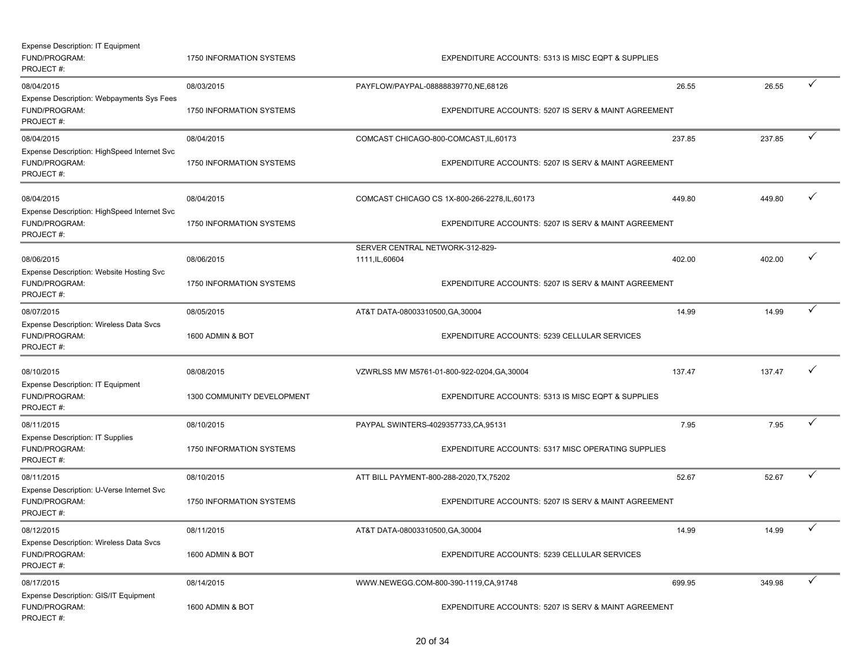| <b>Expense Description: IT Equipment</b><br>FUND/PROGRAM:<br>PROJECT#:                  | 1750 INFORMATION SYSTEMS<br>EXPENDITURE ACCOUNTS: 5313 IS MISC EQPT & SUPPLIES |                                                    |                                                                                                       |        |        |              |
|-----------------------------------------------------------------------------------------|--------------------------------------------------------------------------------|----------------------------------------------------|-------------------------------------------------------------------------------------------------------|--------|--------|--------------|
| 08/04/2015<br>Expense Description: Webpayments Sys Fees<br>FUND/PROGRAM:<br>PROJECT#:   | 08/03/2015<br>1750 INFORMATION SYSTEMS                                         | PAYFLOW/PAYPAL-08888839770,NE,68126                | EXPENDITURE ACCOUNTS: 5207 IS SERV & MAINT AGREEMENT                                                  | 26.55  | 26.55  | $\checkmark$ |
| 08/04/2015<br>Expense Description: HighSpeed Internet Svc<br>FUND/PROGRAM:<br>PROJECT#: | 08/04/2015<br><b>1750 INFORMATION SYSTEMS</b>                                  |                                                    | COMCAST CHICAGO-800-COMCAST, IL, 60173<br>EXPENDITURE ACCOUNTS: 5207 IS SERV & MAINT AGREEMENT        | 237.85 | 237.85 | $\checkmark$ |
| 08/04/2015<br>Expense Description: HighSpeed Internet Svc<br>FUND/PROGRAM:<br>PROJECT#: | 08/04/2015<br>1750 INFORMATION SYSTEMS                                         |                                                    | COMCAST CHICAGO CS 1X-800-266-2278, IL, 60173<br>EXPENDITURE ACCOUNTS: 5207 IS SERV & MAINT AGREEMENT | 449.80 | 449.80 | $\checkmark$ |
| 08/06/2015<br>Expense Description: Website Hosting Svc<br>FUND/PROGRAM:<br>PROJECT#:    | 08/06/2015<br>1750 INFORMATION SYSTEMS                                         | SERVER CENTRAL NETWORK-312-829-<br>1111, IL, 60604 | EXPENDITURE ACCOUNTS: 5207 IS SERV & MAINT AGREEMENT                                                  | 402.00 | 402.00 | $\checkmark$ |
| 08/07/2015<br>Expense Description: Wireless Data Svcs<br>FUND/PROGRAM:<br>PROJECT#:     | 08/05/2015<br>1600 ADMIN & BOT                                                 | AT&T DATA-08003310500, GA, 30004                   | EXPENDITURE ACCOUNTS: 5239 CELLULAR SERVICES                                                          | 14.99  | 14.99  | $\checkmark$ |
| 08/10/2015<br>Expense Description: IT Equipment<br>FUND/PROGRAM:<br>PROJECT#:           | 08/08/2015<br>1300 COMMUNITY DEVELOPMENT                                       |                                                    | VZWRLSS MW M5761-01-800-922-0204, GA, 30004<br>EXPENDITURE ACCOUNTS: 5313 IS MISC EQPT & SUPPLIES     | 137.47 | 137.47 | ✓            |
| 08/11/2015<br><b>Expense Description: IT Supplies</b><br>FUND/PROGRAM:<br>PROJECT#:     | 08/10/2015<br>1750 INFORMATION SYSTEMS                                         | PAYPAL SWINTERS-4029357733, CA, 95131              | EXPENDITURE ACCOUNTS: 5317 MISC OPERATING SUPPLIES                                                    | 7.95   | 7.95   | $\checkmark$ |
| 08/11/2015<br>Expense Description: U-Verse Internet Svc<br>FUND/PROGRAM:<br>PROJECT#:   | 08/10/2015<br>1750 INFORMATION SYSTEMS                                         | ATT BILL PAYMENT-800-288-2020, TX, 75202           | EXPENDITURE ACCOUNTS: 5207 IS SERV & MAINT AGREEMENT                                                  | 52.67  | 52.67  | ✓            |
| 08/12/2015<br>Expense Description: Wireless Data Svcs<br>FUND/PROGRAM:<br>PROJECT#:     | 08/11/2015<br>1600 ADMIN & BOT                                                 | AT&T DATA-08003310500, GA, 30004                   | EXPENDITURE ACCOUNTS: 5239 CELLULAR SERVICES                                                          | 14.99  | 14.99  | $\checkmark$ |
| 08/17/2015<br>Expense Description: GIS/IT Equipment<br>FUND/PROGRAM:<br>PROJECT#:       | 08/14/2015<br>1600 ADMIN & BOT                                                 |                                                    | WWW.NEWEGG.COM-800-390-1119,CA,91748<br>EXPENDITURE ACCOUNTS: 5207 IS SERV & MAINT AGREEMENT          | 699.95 | 349.98 | $\checkmark$ |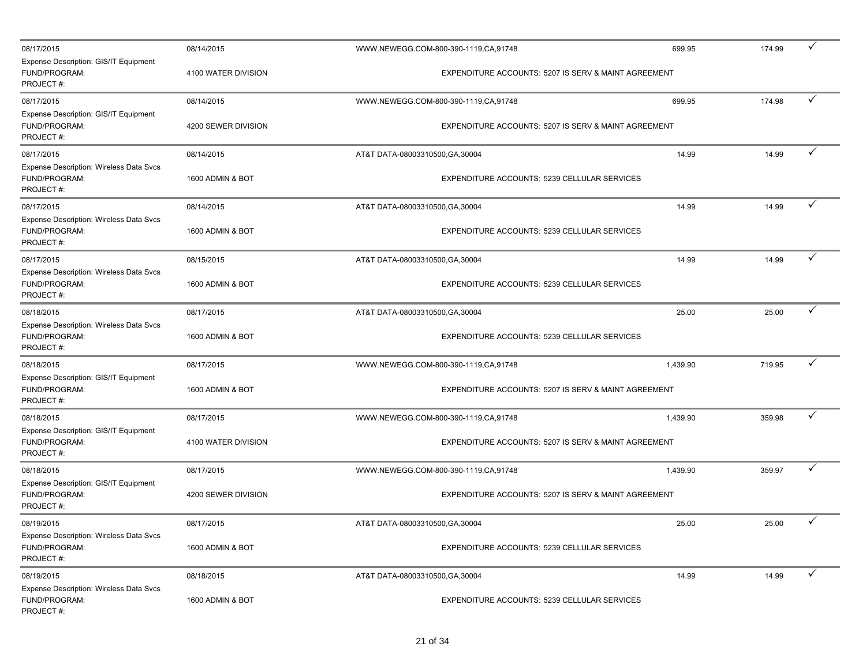| 08/17/2015                                                                   | 08/14/2015          |                                  | WWW.NEWEGG.COM-800-390-1119,CA,91748                 | 699.95   | 174.99 | ✓            |
|------------------------------------------------------------------------------|---------------------|----------------------------------|------------------------------------------------------|----------|--------|--------------|
| Expense Description: GIS/IT Equipment<br>FUND/PROGRAM:<br>PROJECT#:          | 4100 WATER DIVISION |                                  | EXPENDITURE ACCOUNTS: 5207 IS SERV & MAINT AGREEMENT |          |        |              |
| 08/17/2015                                                                   | 08/14/2015          |                                  | WWW.NEWEGG.COM-800-390-1119,CA,91748                 | 699.95   | 174.98 | ✓            |
| Expense Description: GIS/IT Equipment<br>FUND/PROGRAM:<br>PROJECT#:          | 4200 SEWER DIVISION |                                  | EXPENDITURE ACCOUNTS: 5207 IS SERV & MAINT AGREEMENT |          |        |              |
| 08/17/2015                                                                   | 08/14/2015          | AT&T DATA-08003310500, GA, 30004 |                                                      | 14.99    | 14.99  | ✓            |
| Expense Description: Wireless Data Svcs<br>FUND/PROGRAM:<br>PROJECT#:        | 1600 ADMIN & BOT    |                                  | EXPENDITURE ACCOUNTS: 5239 CELLULAR SERVICES         |          |        |              |
| 08/17/2015                                                                   | 08/14/2015          | AT&T DATA-08003310500, GA, 30004 |                                                      | 14.99    | 14.99  | ✓            |
| Expense Description: Wireless Data Svcs<br>FUND/PROGRAM:<br>PROJECT#:        | 1600 ADMIN & BOT    |                                  | EXPENDITURE ACCOUNTS: 5239 CELLULAR SERVICES         |          |        |              |
| 08/17/2015                                                                   | 08/15/2015          | AT&T DATA-08003310500, GA, 30004 |                                                      | 14.99    | 14.99  | ✓            |
| Expense Description: Wireless Data Svcs<br>FUND/PROGRAM:<br>PROJECT#:        | 1600 ADMIN & BOT    |                                  | EXPENDITURE ACCOUNTS: 5239 CELLULAR SERVICES         |          |        |              |
| 08/18/2015                                                                   | 08/17/2015          | AT&T DATA-08003310500, GA, 30004 |                                                      | 25.00    | 25.00  | ✓            |
| Expense Description: Wireless Data Svcs<br>FUND/PROGRAM:<br>PROJECT#:        | 1600 ADMIN & BOT    |                                  | EXPENDITURE ACCOUNTS: 5239 CELLULAR SERVICES         |          |        |              |
| 08/18/2015                                                                   | 08/17/2015          |                                  | WWW.NEWEGG.COM-800-390-1119,CA,91748                 | 1,439.90 | 719.95 | ✓            |
| Expense Description: GIS/IT Equipment<br>FUND/PROGRAM:<br>PROJECT#:          | 1600 ADMIN & BOT    |                                  | EXPENDITURE ACCOUNTS: 5207 IS SERV & MAINT AGREEMENT |          |        |              |
| 08/18/2015                                                                   | 08/17/2015          |                                  | WWW.NEWEGG.COM-800-390-1119,CA,91748                 | 1,439.90 | 359.98 | ✓            |
| Expense Description: GIS/IT Equipment<br>FUND/PROGRAM:<br>PROJECT#:          | 4100 WATER DIVISION |                                  | EXPENDITURE ACCOUNTS: 5207 IS SERV & MAINT AGREEMENT |          |        |              |
| 08/18/2015                                                                   | 08/17/2015          |                                  | WWW.NEWEGG.COM-800-390-1119,CA,91748                 | 1,439.90 | 359.97 | $\checkmark$ |
| Expense Description: GIS/IT Equipment<br>FUND/PROGRAM:<br>PROJECT#:          | 4200 SEWER DIVISION |                                  | EXPENDITURE ACCOUNTS: 5207 IS SERV & MAINT AGREEMENT |          |        |              |
| 08/19/2015                                                                   | 08/17/2015          | AT&T DATA-08003310500, GA, 30004 |                                                      | 25.00    | 25.00  | $\checkmark$ |
| <b>Expense Description: Wireless Data Svcs</b><br>FUND/PROGRAM:<br>PROJECT#: | 1600 ADMIN & BOT    |                                  | EXPENDITURE ACCOUNTS: 5239 CELLULAR SERVICES         |          |        |              |
| 08/19/2015                                                                   | 08/18/2015          | AT&T DATA-08003310500, GA, 30004 |                                                      | 14.99    | 14.99  | $\checkmark$ |
| <b>Expense Description: Wireless Data Svcs</b><br>FUND/PROGRAM:<br>PROJECT#: | 1600 ADMIN & BOT    |                                  | EXPENDITURE ACCOUNTS: 5239 CELLULAR SERVICES         |          |        |              |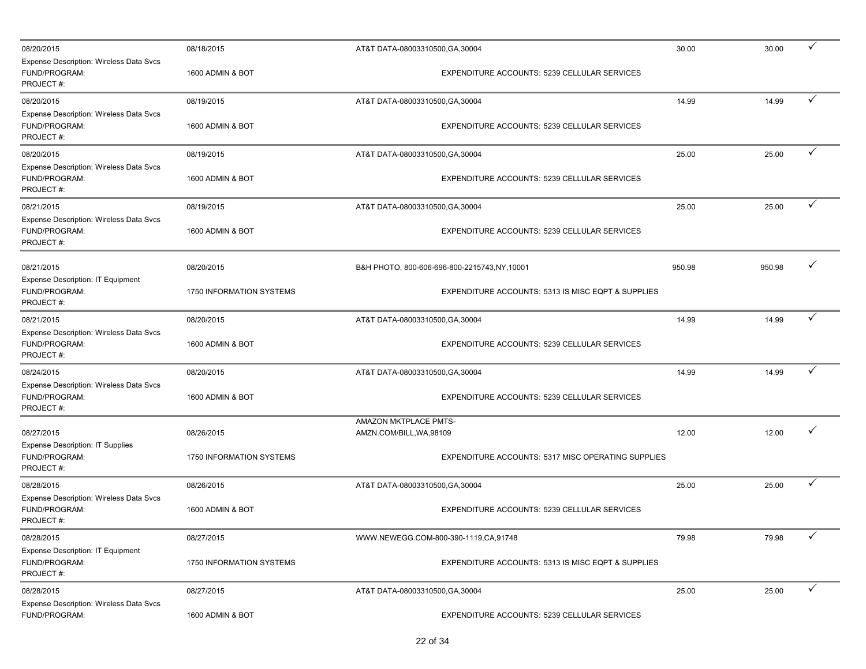| 08/20/2015                                                                          | 08/18/2015                             | AT&T DATA-08003310500, GA, 30004 |                                                    | 30.00  | 30.00  | ✓            |
|-------------------------------------------------------------------------------------|----------------------------------------|----------------------------------|----------------------------------------------------|--------|--------|--------------|
| Expense Description: Wireless Data Svcs<br>FUND/PROGRAM:<br>PROJECT#:               | 1600 ADMIN & BOT                       |                                  | EXPENDITURE ACCOUNTS: 5239 CELLULAR SERVICES       |        |        |              |
| 08/20/2015                                                                          | 08/19/2015                             | AT&T DATA-08003310500, GA, 30004 |                                                    | 14.99  | 14.99  | $\checkmark$ |
| Expense Description: Wireless Data Svcs<br>FUND/PROGRAM:<br>PROJECT#:               | 1600 ADMIN & BOT                       |                                  | EXPENDITURE ACCOUNTS: 5239 CELLULAR SERVICES       |        |        |              |
| 08/20/2015                                                                          | 08/19/2015                             | AT&T DATA-08003310500, GA, 30004 |                                                    | 25.00  | 25.00  | ✓            |
| <b>Expense Description: Wireless Data Svcs</b><br>FUND/PROGRAM:<br>PROJECT#:        | 1600 ADMIN & BOT                       |                                  | EXPENDITURE ACCOUNTS: 5239 CELLULAR SERVICES       |        |        |              |
| 08/21/2015                                                                          | 08/19/2015                             | AT&T DATA-08003310500, GA, 30004 |                                                    | 25.00  | 25.00  | ✓            |
| Expense Description: Wireless Data Svcs<br>FUND/PROGRAM:<br>PROJECT#:               | 1600 ADMIN & BOT                       |                                  | EXPENDITURE ACCOUNTS: 5239 CELLULAR SERVICES       |        |        |              |
| 08/21/2015                                                                          | 08/20/2015                             |                                  | B&H PHOTO, 800-606-696-800-2215743, NY, 10001      | 950.98 | 950.98 | ✓            |
| <b>Expense Description: IT Equipment</b><br>FUND/PROGRAM:<br>PROJECT#:              | 1750 INFORMATION SYSTEMS               |                                  | EXPENDITURE ACCOUNTS: 5313 IS MISC EQPT & SUPPLIES |        |        |              |
| 08/21/2015                                                                          | 08/20/2015                             | AT&T DATA-08003310500, GA, 30004 |                                                    | 14.99  | 14.99  |              |
| Expense Description: Wireless Data Svcs<br>FUND/PROGRAM:<br>PROJECT#:               | 1600 ADMIN & BOT                       |                                  | EXPENDITURE ACCOUNTS: 5239 CELLULAR SERVICES       |        |        |              |
| 08/24/2015                                                                          | 08/20/2015                             | AT&T DATA-08003310500, GA, 30004 |                                                    | 14.99  | 14.99  | $\checkmark$ |
| Expense Description: Wireless Data Svcs<br>FUND/PROGRAM:<br>PROJECT#:               | 1600 ADMIN & BOT                       |                                  | EXPENDITURE ACCOUNTS: 5239 CELLULAR SERVICES       |        |        |              |
|                                                                                     |                                        | AMAZON MKTPLACE PMTS-            |                                                    |        |        | ✓            |
| 08/27/2015<br><b>Expense Description: IT Supplies</b><br>FUND/PROGRAM:<br>PROJECT#: | 08/26/2015<br>1750 INFORMATION SYSTEMS | AMZN.COM/BILL, WA, 98109         | EXPENDITURE ACCOUNTS: 5317 MISC OPERATING SUPPLIES | 12.00  | 12.00  |              |
| 08/28/2015                                                                          | 08/26/2015                             | AT&T DATA-08003310500, GA, 30004 |                                                    | 25.00  | 25.00  | ✓            |
| Expense Description: Wireless Data Svcs<br>FUND/PROGRAM:<br>PROJECT#:               | 1600 ADMIN & BOT                       |                                  | EXPENDITURE ACCOUNTS: 5239 CELLULAR SERVICES       |        |        |              |
| 08/28/2015                                                                          | 08/27/2015                             |                                  | WWW.NEWEGG.COM-800-390-1119,CA,91748               | 79.98  | 79.98  | ✓            |
| <b>Expense Description: IT Equipment</b><br>FUND/PROGRAM:<br>PROJECT#:              | 1750 INFORMATION SYSTEMS               |                                  | EXPENDITURE ACCOUNTS: 5313 IS MISC EQPT & SUPPLIES |        |        |              |
| 08/28/2015                                                                          | 08/27/2015                             | AT&T DATA-08003310500, GA, 30004 |                                                    | 25.00  | 25.00  | $\checkmark$ |
| Expense Description: Wireless Data Svcs<br>FUND/PROGRAM:                            | 1600 ADMIN & BOT                       |                                  | EXPENDITURE ACCOUNTS: 5239 CELLULAR SERVICES       |        |        |              |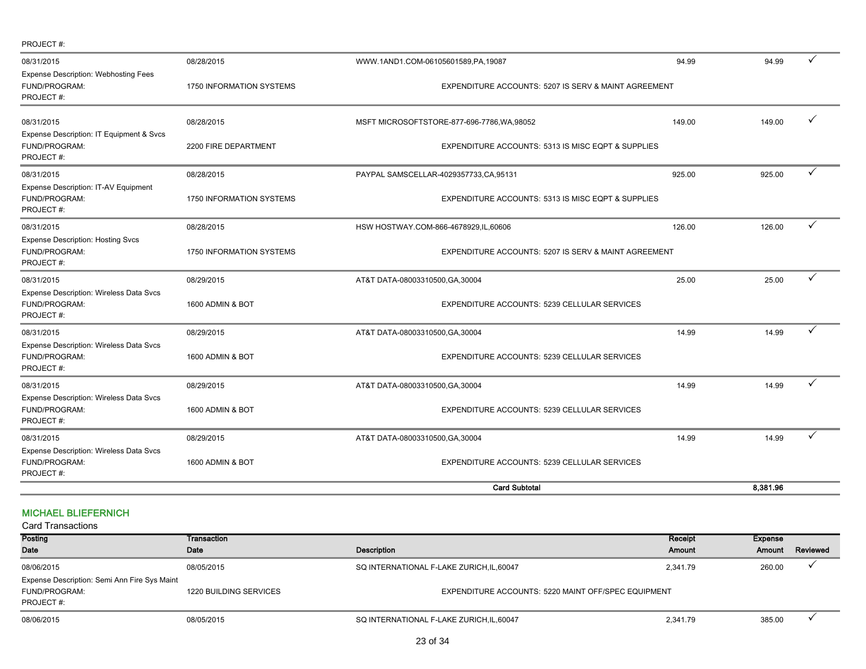| PROJECT#:                                                                    |                                        |                                                                                            |        |          |   |
|------------------------------------------------------------------------------|----------------------------------------|--------------------------------------------------------------------------------------------|--------|----------|---|
| 08/31/2015<br><b>Expense Description: Webhosting Fees</b><br>FUND/PROGRAM:   | 08/28/2015<br>1750 INFORMATION SYSTEMS | WWW.1AND1.COM-06105601589,PA,19087<br>EXPENDITURE ACCOUNTS: 5207 IS SERV & MAINT AGREEMENT | 94.99  | 94.99    | ✓ |
| PROJECT#:                                                                    |                                        |                                                                                            |        |          |   |
| 08/31/2015<br>Expense Description: IT Equipment & Svcs                       | 08/28/2015                             | MSFT MICROSOFTSTORE-877-696-7786, WA, 98052                                                | 149.00 | 149.00   |   |
| FUND/PROGRAM:<br>PROJECT#:                                                   | 2200 FIRE DEPARTMENT                   | EXPENDITURE ACCOUNTS: 5313 IS MISC EQPT & SUPPLIES                                         |        |          |   |
| 08/31/2015                                                                   | 08/28/2015                             | PAYPAL SAMSCELLAR-4029357733,CA,95131                                                      | 925.00 | 925.00   | ✓ |
| <b>Expense Description: IT-AV Equipment</b><br>FUND/PROGRAM:<br>PROJECT#:    | 1750 INFORMATION SYSTEMS               | EXPENDITURE ACCOUNTS: 5313 IS MISC EQPT & SUPPLIES                                         |        |          |   |
| 08/31/2015                                                                   | 08/28/2015                             | HSW HOSTWAY.COM-866-4678929, IL, 60606                                                     | 126.00 | 126.00   | ✓ |
| <b>Expense Description: Hosting Svcs</b><br>FUND/PROGRAM:<br>PROJECT#:       | 1750 INFORMATION SYSTEMS               | EXPENDITURE ACCOUNTS: 5207 IS SERV & MAINT AGREEMENT                                       |        |          |   |
| 08/31/2015                                                                   | 08/29/2015                             | AT&T DATA-08003310500, GA, 30004                                                           | 25.00  | 25.00    | ✓ |
| Expense Description: Wireless Data Svcs<br>FUND/PROGRAM:<br>PROJECT#:        | 1600 ADMIN & BOT                       | EXPENDITURE ACCOUNTS: 5239 CELLULAR SERVICES                                               |        |          |   |
| 08/31/2015                                                                   | 08/29/2015                             | AT&T DATA-08003310500, GA, 30004                                                           | 14.99  | 14.99    | ✓ |
| Expense Description: Wireless Data Svcs<br>FUND/PROGRAM:<br>PROJECT#:        | 1600 ADMIN & BOT                       | EXPENDITURE ACCOUNTS: 5239 CELLULAR SERVICES                                               |        |          |   |
| 08/31/2015                                                                   | 08/29/2015                             | AT&T DATA-08003310500, GA, 30004                                                           | 14.99  | 14.99    | ✓ |
| <b>Expense Description: Wireless Data Svcs</b><br>FUND/PROGRAM:<br>PROJECT#: | 1600 ADMIN & BOT                       | EXPENDITURE ACCOUNTS: 5239 CELLULAR SERVICES                                               |        |          |   |
| 08/31/2015                                                                   | 08/29/2015                             | AT&T DATA-08003310500, GA, 30004                                                           | 14.99  | 14.99    | ✓ |
| Expense Description: Wireless Data Svcs<br>FUND/PROGRAM:<br>PROJECT#:        | 1600 ADMIN & BOT                       | EXPENDITURE ACCOUNTS: 5239 CELLULAR SERVICES                                               |        |          |   |
|                                                                              |                                        | <b>Card Subtotal</b>                                                                       |        | 8.381.96 |   |

### MICHAEL BLIEFERNICH

Posting Date Transaction Date **Date Description** Receipt Amount Expense Amount Reviewed 08/06/2015 08/05/2015 SQ INTERNATIONAL F-LAKE ZURICH,IL,60047 2,341.79 260.00 P FUND/PROGRAM: 1220 BUILDING SERVICES EQUIPMENT EXPENDITURE ACCOUNTS: 5220 MAINT OFF/SPEC EQUIPMENT PROJECT #: 08/06/2015 08/05/2015 08/05/2015 SQ INTERNATIONAL F-LAKE ZURICH,IL,60047 2,341.79 2,341.79 385.00 <del>V</del> Card Transactions Expense Description: Semi Ann Fire Sys Maint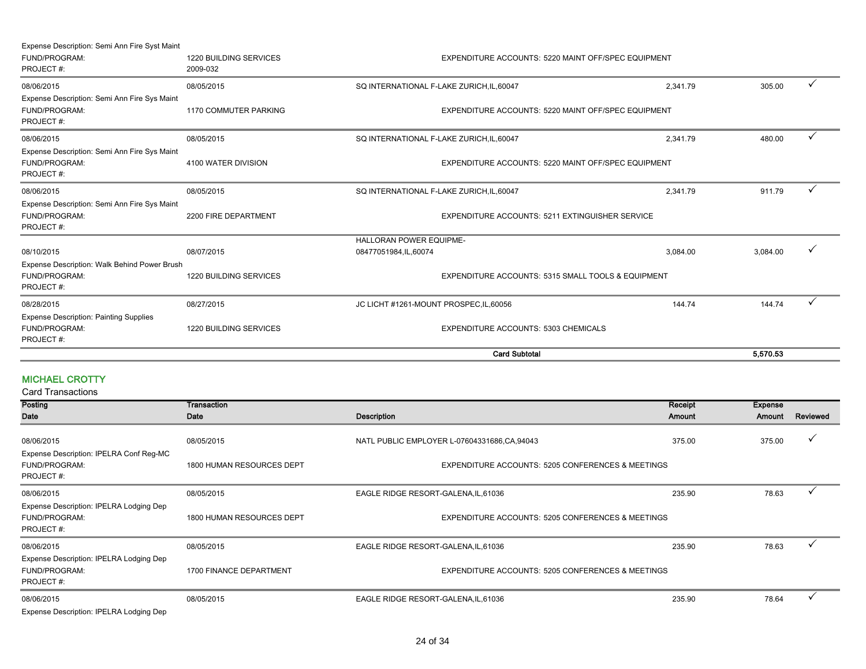| Expense Description: Semi Ann Fire Syst Maint |                               |                                                     |          |          |   |
|-----------------------------------------------|-------------------------------|-----------------------------------------------------|----------|----------|---|
| FUND/PROGRAM:                                 | 1220 BUILDING SERVICES        | EXPENDITURE ACCOUNTS: 5220 MAINT OFF/SPEC EQUIPMENT |          |          |   |
| PROJECT#:                                     | 2009-032                      |                                                     |          |          |   |
| 08/06/2015                                    | 08/05/2015                    | SQ INTERNATIONAL F-LAKE ZURICH, IL, 60047           | 2.341.79 | 305.00   | ✓ |
| Expense Description: Semi Ann Fire Sys Maint  |                               |                                                     |          |          |   |
| FUND/PROGRAM:                                 | 1170 COMMUTER PARKING         | EXPENDITURE ACCOUNTS: 5220 MAINT OFF/SPEC EQUIPMENT |          |          |   |
| PROJECT#:                                     |                               |                                                     |          |          |   |
| 08/06/2015                                    | 08/05/2015                    | SQ INTERNATIONAL F-LAKE ZURICH, IL, 60047           | 2.341.79 | 480.00   | ✓ |
| Expense Description: Semi Ann Fire Sys Maint  |                               |                                                     |          |          |   |
| FUND/PROGRAM:                                 | 4100 WATER DIVISION           | EXPENDITURE ACCOUNTS: 5220 MAINT OFF/SPEC EQUIPMENT |          |          |   |
| PROJECT#:                                     |                               |                                                     |          |          |   |
| 08/06/2015                                    | 08/05/2015                    | SQ INTERNATIONAL F-LAKE ZURICH, IL, 60047           | 2,341.79 | 911.79   |   |
| Expense Description: Semi Ann Fire Sys Maint  |                               |                                                     |          |          |   |
| FUND/PROGRAM:                                 | 2200 FIRE DEPARTMENT          | EXPENDITURE ACCOUNTS: 5211 EXTINGUISHER SERVICE     |          |          |   |
| PROJECT#:                                     |                               |                                                     |          |          |   |
|                                               |                               | <b>HALLORAN POWER EQUIPME-</b>                      |          |          |   |
| 08/10/2015                                    | 08/07/2015                    | 08477051984,IL,60074                                | 3,084.00 | 3,084.00 | ✓ |
| Expense Description: Walk Behind Power Brush  |                               |                                                     |          |          |   |
| FUND/PROGRAM:                                 | <b>1220 BUILDING SERVICES</b> | EXPENDITURE ACCOUNTS: 5315 SMALL TOOLS & EQUIPMENT  |          |          |   |
| PROJECT#:                                     |                               |                                                     |          |          |   |
| 08/28/2015                                    | 08/27/2015                    | JC LICHT #1261-MOUNT PROSPEC, IL, 60056             | 144.74   | 144.74   | ✓ |
| <b>Expense Description: Painting Supplies</b> |                               |                                                     |          |          |   |
| FUND/PROGRAM:                                 | 1220 BUILDING SERVICES        | <b>EXPENDITURE ACCOUNTS: 5303 CHEMICALS</b>         |          |          |   |
| PROJECT#:                                     |                               |                                                     |          |          |   |
|                                               |                               | <b>Card Subtotal</b>                                |          | 5.570.53 |   |

#### MICHAEL CROTTY

| Posting                                                                      | Transaction               |                                                   | Receipt | <b>Expense</b> |              |
|------------------------------------------------------------------------------|---------------------------|---------------------------------------------------|---------|----------------|--------------|
| Date                                                                         | Date                      | <b>Description</b>                                | Amount  | Amount         | Reviewed     |
| 08/06/2015<br>Expense Description: IPELRA Conf Reg-MC                        | 08/05/2015                | NATL PUBLIC EMPLOYER L-07604331686,CA,94043       | 375.00  | 375.00         | ✓            |
| <b>FUND/PROGRAM:</b><br>PROJECT#:                                            | 1800 HUMAN RESOURCES DEPT | EXPENDITURE ACCOUNTS: 5205 CONFERENCES & MEETINGS |         |                |              |
| 08/06/2015                                                                   | 08/05/2015                | EAGLE RIDGE RESORT-GALENA, IL, 61036              | 235.90  | 78.63          |              |
| Expense Description: IPELRA Lodging Dep<br><b>FUND/PROGRAM:</b><br>PROJECT#: | 1800 HUMAN RESOURCES DEPT | EXPENDITURE ACCOUNTS: 5205 CONFERENCES & MEETINGS |         |                |              |
| 08/06/2015                                                                   | 08/05/2015                | EAGLE RIDGE RESORT-GALENA, IL, 61036              | 235.90  | 78.63          |              |
| Expense Description: IPELRA Lodging Dep<br><b>FUND/PROGRAM:</b><br>PROJECT#: | 1700 FINANCE DEPARTMENT   | EXPENDITURE ACCOUNTS: 5205 CONFERENCES & MEETINGS |         |                |              |
| 08/06/2015                                                                   | 08/05/2015                | EAGLE RIDGE RESORT-GALENA, IL, 61036              | 235.90  | 78.64          | $\checkmark$ |
| Expense Description: IPELRA Lodging Dep                                      |                           |                                                   |         |                |              |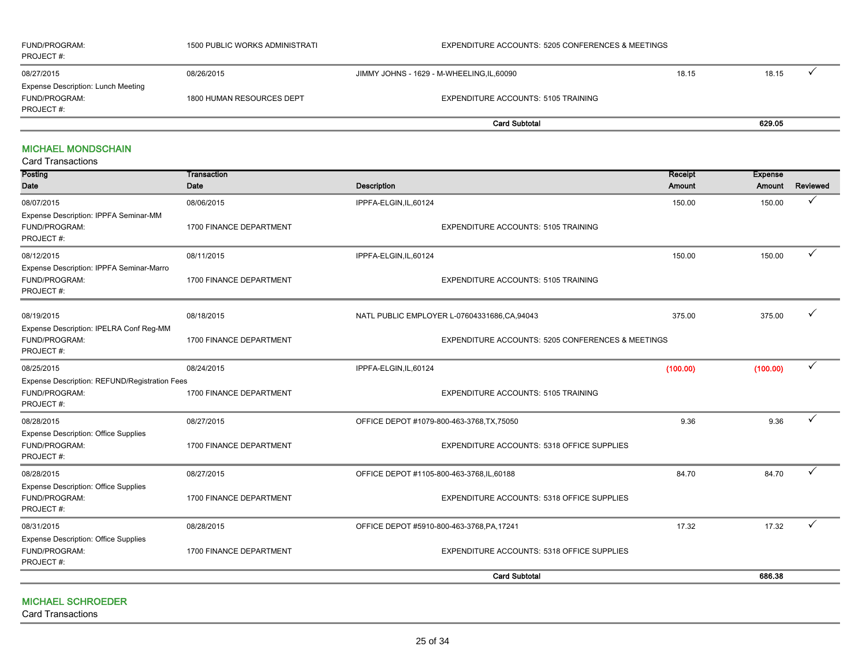| FUND/PROGRAM:<br>PROJECT #:                                             | 1500 PUBLIC WORKS ADMINISTRATI | EXPENDITURE ACCOUNTS: 5205 CONFERENCES & MEETINGS |       |        |  |
|-------------------------------------------------------------------------|--------------------------------|---------------------------------------------------|-------|--------|--|
| 08/27/2015                                                              | 08/26/2015                     | JIMMY JOHNS - 1629 - M-WHEELING, IL, 60090        | 18.15 | 18.15  |  |
| <b>Expense Description: Lunch Meeting</b><br>FUND/PROGRAM:<br>PROJECT#: | 1800 HUMAN RESOURCES DEPT      | <b>EXPENDITURE ACCOUNTS: 5105 TRAINING</b>        |       |        |  |
|                                                                         |                                | <b>Card Subtotal</b>                              |       | 629.05 |  |

#### MICHAEL MONDSCHAIN

| <b>Card Transactions</b> |  |  |  |
|--------------------------|--|--|--|
|--------------------------|--|--|--|

| Posting<br><b>Date</b>                                                      | Transaction<br>Date     | <b>Description</b>                                           | Receipt<br>Amount | <b>Expense</b><br>Amount | Reviewed |
|-----------------------------------------------------------------------------|-------------------------|--------------------------------------------------------------|-------------------|--------------------------|----------|
| 08/07/2015                                                                  | 08/06/2015              | IPPFA-ELGIN, IL, 60124                                       | 150.00            | 150.00                   | ✓        |
| Expense Description: IPPFA Seminar-MM<br>FUND/PROGRAM:<br>PROJECT#:         | 1700 FINANCE DEPARTMENT | <b>EXPENDITURE ACCOUNTS: 5105 TRAINING</b>                   |                   |                          |          |
| 08/12/2015                                                                  | 08/11/2015              | IPPFA-ELGIN, IL, 60124                                       | 150.00            | 150.00                   |          |
| Expense Description: IPPFA Seminar-Marro<br>FUND/PROGRAM:<br>PROJECT#:      | 1700 FINANCE DEPARTMENT | <b>EXPENDITURE ACCOUNTS: 5105 TRAINING</b>                   |                   |                          |          |
| 08/19/2015                                                                  | 08/18/2015              | NATL PUBLIC EMPLOYER L-07604331686,CA,94043                  | 375.00            | 375.00                   | ✓        |
| Expense Description: IPELRA Conf Reg-MM<br>FUND/PROGRAM:<br>PROJECT#:       | 1700 FINANCE DEPARTMENT | <b>EXPENDITURE ACCOUNTS: 5205 CONFERENCES &amp; MEETINGS</b> |                   |                          |          |
| 08/25/2015                                                                  | 08/24/2015              | IPPFA-ELGIN, IL, 60124                                       | (100.00)          | (100.00)                 |          |
| Expense Description: REFUND/Registration Fees<br>FUND/PROGRAM:<br>PROJECT#: | 1700 FINANCE DEPARTMENT | <b>EXPENDITURE ACCOUNTS: 5105 TRAINING</b>                   |                   |                          |          |
| 08/28/2015                                                                  | 08/27/2015              | OFFICE DEPOT #1079-800-463-3768, TX, 75050                   | 9.36              | 9.36                     |          |
| <b>Expense Description: Office Supplies</b><br>FUND/PROGRAM:<br>PROJECT#:   | 1700 FINANCE DEPARTMENT | EXPENDITURE ACCOUNTS: 5318 OFFICE SUPPLIES                   |                   |                          |          |
| 08/28/2015                                                                  | 08/27/2015              | OFFICE DEPOT #1105-800-463-3768,IL,60188                     | 84.70             | 84.70                    |          |
| <b>Expense Description: Office Supplies</b><br>FUND/PROGRAM:<br>PROJECT#:   | 1700 FINANCE DEPARTMENT | EXPENDITURE ACCOUNTS: 5318 OFFICE SUPPLIES                   |                   |                          |          |
| 08/31/2015                                                                  | 08/28/2015              | OFFICE DEPOT #5910-800-463-3768, PA, 17241                   | 17.32             | 17.32                    |          |
| <b>Expense Description: Office Supplies</b><br>FUND/PROGRAM:<br>PROJECT#:   | 1700 FINANCE DEPARTMENT | EXPENDITURE ACCOUNTS: 5318 OFFICE SUPPLIES                   |                   |                          |          |
|                                                                             |                         | <b>Card Subtotal</b>                                         |                   | 686.38                   |          |

#### MICHAEL SCHROEDER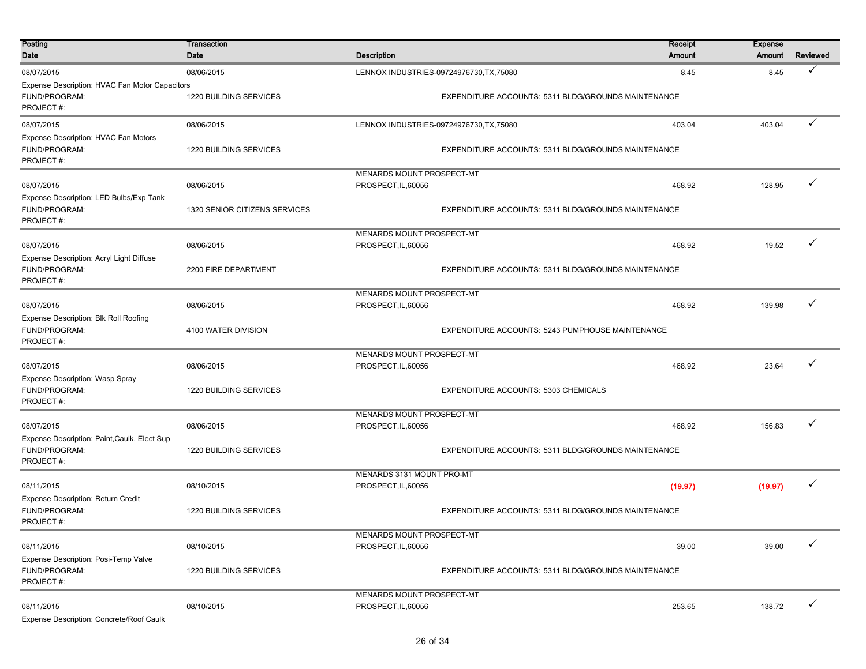| Posting<br>Date                                                              | Transaction<br>Date                  | <b>Description</b>                                      |                                                                                                 | <b>Receipt</b><br>Amount | <b>Expense</b><br>Amount | Reviewed     |  |
|------------------------------------------------------------------------------|--------------------------------------|---------------------------------------------------------|-------------------------------------------------------------------------------------------------|--------------------------|--------------------------|--------------|--|
| 08/07/2015                                                                   |                                      |                                                         |                                                                                                 |                          |                          | ✓            |  |
| Expense Description: HVAC Fan Motor Capacitors<br>FUND/PROGRAM:<br>PROJECT#: | 08/06/2015<br>1220 BUILDING SERVICES |                                                         | LENNOX INDUSTRIES-09724976730, TX, 75080<br>EXPENDITURE ACCOUNTS: 5311 BLDG/GROUNDS MAINTENANCE | 8.45                     | 8.45                     |              |  |
| 08/07/2015                                                                   | 08/06/2015                           |                                                         | LENNOX INDUSTRIES-09724976730, TX, 75080                                                        | 403.04                   | 403.04                   | $\checkmark$ |  |
| Expense Description: HVAC Fan Motors<br>FUND/PROGRAM:<br>PROJECT#:           | 1220 BUILDING SERVICES               |                                                         | EXPENDITURE ACCOUNTS: 5311 BLDG/GROUNDS MAINTENANCE                                             |                          |                          |              |  |
| 08/07/2015                                                                   | 08/06/2015                           | <b>MENARDS MOUNT PROSPECT-MT</b><br>PROSPECT, IL, 60056 |                                                                                                 | 468.92                   | 128.95                   | $\checkmark$ |  |
| Expense Description: LED Bulbs/Exp Tank<br>FUND/PROGRAM:<br>PROJECT#:        | 1320 SENIOR CITIZENS SERVICES        |                                                         | EXPENDITURE ACCOUNTS: 5311 BLDG/GROUNDS MAINTENANCE                                             |                          |                          |              |  |
| 08/07/2015                                                                   | 08/06/2015                           | MENARDS MOUNT PROSPECT-MT<br>PROSPECT, IL, 60056        |                                                                                                 | 468.92                   | 19.52                    | $\checkmark$ |  |
| Expense Description: Acryl Light Diffuse<br>FUND/PROGRAM:<br>PROJECT#:       | 2200 FIRE DEPARTMENT                 |                                                         | EXPENDITURE ACCOUNTS: 5311 BLDG/GROUNDS MAINTENANCE                                             |                          |                          |              |  |
| 08/07/2015                                                                   | 08/06/2015                           | MENARDS MOUNT PROSPECT-MT<br>PROSPECT, IL, 60056        |                                                                                                 | 468.92                   | 139.98                   |              |  |
| Expense Description: Blk Roll Roofing<br>FUND/PROGRAM:<br>PROJECT#:          | 4100 WATER DIVISION                  |                                                         | EXPENDITURE ACCOUNTS: 5243 PUMPHOUSE MAINTENANCE                                                |                          |                          |              |  |
| 08/07/2015<br>Expense Description: Wasp Spray                                | 08/06/2015                           | MENARDS MOUNT PROSPECT-MT<br>PROSPECT, IL, 60056        |                                                                                                 | 468.92                   | 23.64                    | ✓            |  |
| FUND/PROGRAM:<br>PROJECT#:                                                   | 1220 BUILDING SERVICES               |                                                         | <b>EXPENDITURE ACCOUNTS: 5303 CHEMICALS</b>                                                     |                          |                          |              |  |
| 08/07/2015                                                                   | 08/06/2015                           | MENARDS MOUNT PROSPECT-MT<br>PROSPECT, IL, 60056        |                                                                                                 | 468.92                   | 156.83                   | ✓            |  |
| Expense Description: Paint, Caulk, Elect Sup<br>FUND/PROGRAM:<br>PROJECT#:   | 1220 BUILDING SERVICES               |                                                         | EXPENDITURE ACCOUNTS: 5311 BLDG/GROUNDS MAINTENANCE                                             |                          |                          |              |  |
| 08/11/2015                                                                   | 08/10/2015                           | MENARDS 3131 MOUNT PRO-MT<br>PROSPECT, IL, 60056        |                                                                                                 | (19.97)                  | (19.97)                  | $\checkmark$ |  |
| Expense Description: Return Credit<br>FUND/PROGRAM:<br>PROJECT#:             | 1220 BUILDING SERVICES               |                                                         | EXPENDITURE ACCOUNTS: 5311 BLDG/GROUNDS MAINTENANCE                                             |                          |                          |              |  |
| 08/11/2015                                                                   | 08/10/2015                           | MENARDS MOUNT PROSPECT-MT<br>PROSPECT, IL, 60056        |                                                                                                 | 39.00                    | 39.00                    | $\checkmark$ |  |
| Expense Description: Posi-Temp Valve<br>FUND/PROGRAM:<br>PROJECT#:           | 1220 BUILDING SERVICES               |                                                         | EXPENDITURE ACCOUNTS: 5311 BLDG/GROUNDS MAINTENANCE                                             |                          |                          |              |  |
| 08/11/2015<br>Expense Description: Concrete/Roof Caulk                       | 08/10/2015                           | MENARDS MOUNT PROSPECT-MT<br>PROSPECT, IL, 60056        |                                                                                                 | 253.65                   | 138.72                   | $\checkmark$ |  |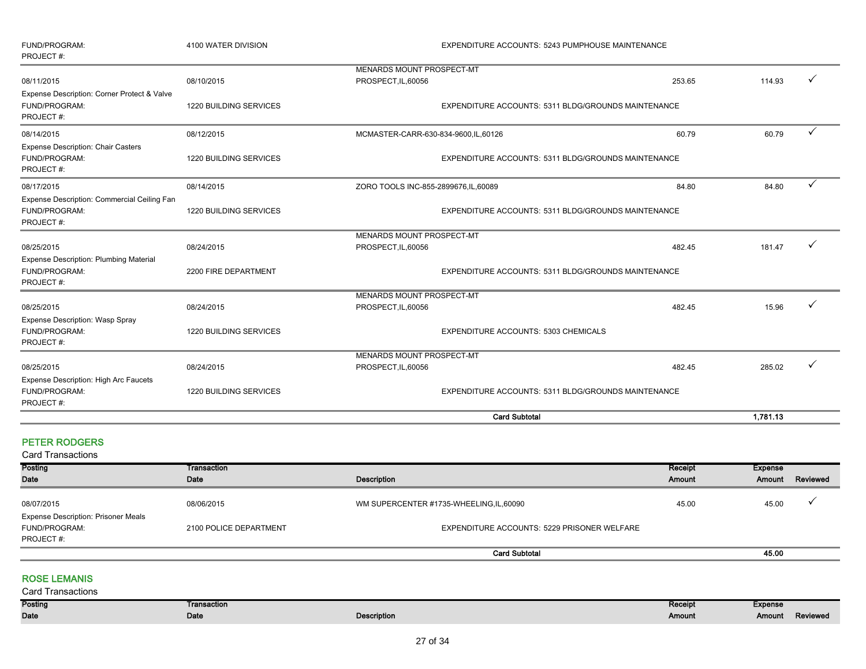|                                                                             |                        | <b>Card Subtotal</b>                                    |        | 1,781.13 |              |
|-----------------------------------------------------------------------------|------------------------|---------------------------------------------------------|--------|----------|--------------|
|                                                                             |                        |                                                         |        |          |              |
| FUND/PROGRAM:<br>PROJECT#:                                                  | 1220 BUILDING SERVICES | EXPENDITURE ACCOUNTS: 5311 BLDG/GROUNDS MAINTENANCE     |        |          |              |
| Expense Description: High Arc Faucets                                       |                        |                                                         |        |          |              |
| 08/25/2015                                                                  | 08/24/2015             | MENARDS MOUNT PROSPECT-MT<br>PROSPECT, IL, 60056        | 482.45 | 285.02   |              |
| <b>Expense Description: Wasp Spray</b><br>FUND/PROGRAM:<br>PROJECT#:        | 1220 BUILDING SERVICES | EXPENDITURE ACCOUNTS: 5303 CHEMICALS                    |        |          |              |
| 08/25/2015                                                                  | 08/24/2015             | MENARDS MOUNT PROSPECT-MT<br>PROSPECT, IL, 60056        | 482.45 | 15.96    |              |
| <b>Expense Description: Plumbing Material</b><br>FUND/PROGRAM:<br>PROJECT#: | 2200 FIRE DEPARTMENT   | EXPENDITURE ACCOUNTS: 5311 BLDG/GROUNDS MAINTENANCE     |        |          |              |
| 08/25/2015                                                                  | 08/24/2015             | MENARDS MOUNT PROSPECT-MT<br>PROSPECT, IL, 60056        | 482.45 | 181.47   |              |
| Expense Description: Commercial Ceiling Fan<br>FUND/PROGRAM:<br>PROJECT#:   | 1220 BUILDING SERVICES | EXPENDITURE ACCOUNTS: 5311 BLDG/GROUNDS MAINTENANCE     |        |          |              |
| 08/17/2015                                                                  | 08/14/2015             | ZORO TOOLS INC-855-2899676,IL,60089                     | 84.80  | 84.80    | ✓            |
| <b>Expense Description: Chair Casters</b><br>FUND/PROGRAM:<br>PROJECT#:     | 1220 BUILDING SERVICES | EXPENDITURE ACCOUNTS: 5311 BLDG/GROUNDS MAINTENANCE     |        |          |              |
| 08/14/2015                                                                  | 08/12/2015             | MCMASTER-CARR-630-834-9600, IL, 60126                   | 60.79  | 60.79    | $\checkmark$ |
| Expense Description: Corner Protect & Valve<br>FUND/PROGRAM:<br>PROJECT#:   | 1220 BUILDING SERVICES | EXPENDITURE ACCOUNTS: 5311 BLDG/GROUNDS MAINTENANCE     |        |          |              |
| 08/11/2015                                                                  | 08/10/2015             | <b>MENARDS MOUNT PROSPECT-MT</b><br>PROSPECT, IL, 60056 | 253.65 | 114.93   |              |
| FUND/PROGRAM:<br>PROJECT#:                                                  | 4100 WATER DIVISION    | EXPENDITURE ACCOUNTS: 5243 PUMPHOUSE MAINTENANCE        |        |          |              |

#### PETER RODGERS

Card Transactions

| Posting                                    | Transaction            |                                             | Receipt | <b>Expense</b> |          |
|--------------------------------------------|------------------------|---------------------------------------------|---------|----------------|----------|
| <b>Date</b>                                | Date                   | <b>Description</b>                          | Amount  | Amount         | Reviewed |
|                                            |                        |                                             |         |                |          |
| 08/07/2015                                 | 08/06/2015             | WM SUPERCENTER #1735-WHEELING,IL,60090      | 45.00   | 45.00          |          |
| <b>Expense Description: Prisoner Meals</b> |                        |                                             |         |                |          |
| FUND/PROGRAM:                              | 2100 POLICE DEPARTMENT | EXPENDITURE ACCOUNTS: 5229 PRISONER WELFARE |         |                |          |
| PROJECT#:                                  |                        |                                             |         |                |          |
|                                            |                        | <b>Card Subtotal</b>                        |         | 45.00          |          |

#### ROSE LEMANIS

| <b>Card Transactions</b> |                    |             |         |                |          |
|--------------------------|--------------------|-------------|---------|----------------|----------|
| Posting                  | <b>Fransaction</b> |             | Receipt | <b>Expense</b> |          |
| Date                     | Date               | Description | Amount  | Amount         | Reviewed |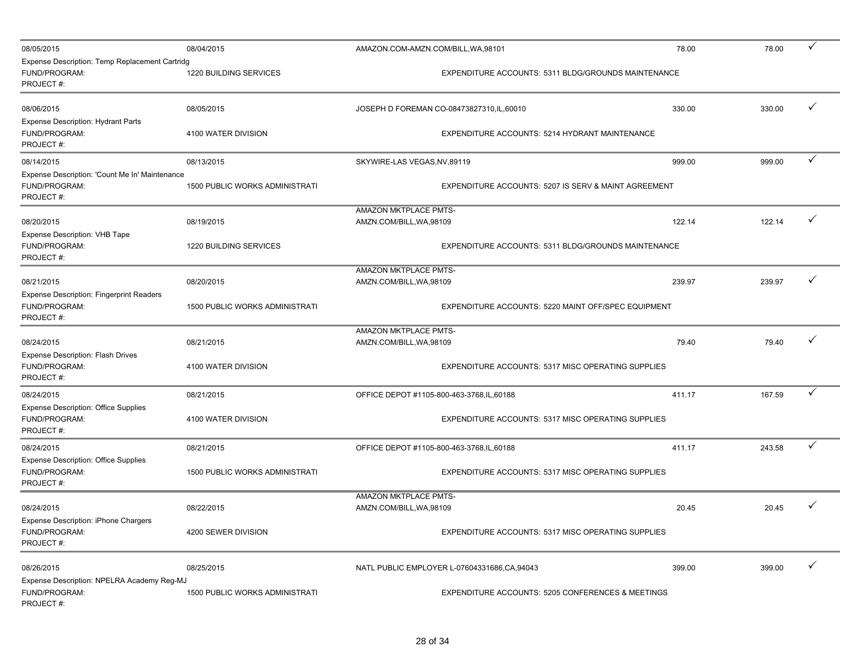| 08/05/2015                                                                    | 08/04/2015                            | AMAZON.COM-AMZN.COM/BILL, WA, 98101               |                                                              | 78.00  | 78.00  | ✓            |
|-------------------------------------------------------------------------------|---------------------------------------|---------------------------------------------------|--------------------------------------------------------------|--------|--------|--------------|
| Expense Description: Temp Replacement Cartridg<br>FUND/PROGRAM:<br>PROJECT#:  | 1220 BUILDING SERVICES                |                                                   | EXPENDITURE ACCOUNTS: 5311 BLDG/GROUNDS MAINTENANCE          |        |        |              |
| 08/06/2015                                                                    | 08/05/2015                            |                                                   | JOSEPH D FOREMAN CO-08473827310, IL, 60010                   | 330.00 | 330.00 | $\checkmark$ |
| <b>Expense Description: Hydrant Parts</b><br>FUND/PROGRAM:<br>PROJECT#:       | 4100 WATER DIVISION                   |                                                   | EXPENDITURE ACCOUNTS: 5214 HYDRANT MAINTENANCE               |        |        |              |
| 08/14/2015                                                                    | 08/13/2015                            | SKYWIRE-LAS VEGAS, NV, 89119                      |                                                              | 999.00 | 999.00 | $\checkmark$ |
| Expense Description: 'Count Me In' Maintenance<br>FUND/PROGRAM:<br>PROJECT#:  | <b>1500 PUBLIC WORKS ADMINISTRATI</b> |                                                   | EXPENDITURE ACCOUNTS: 5207 IS SERV & MAINT AGREEMENT         |        |        |              |
| 08/20/2015                                                                    | 08/19/2015                            | AMAZON MKTPLACE PMTS-<br>AMZN.COM/BILL, WA, 98109 |                                                              | 122.14 | 122.14 | ✓            |
| Expense Description: VHB Tape<br>FUND/PROGRAM:<br>PROJECT#:                   | 1220 BUILDING SERVICES                |                                                   | EXPENDITURE ACCOUNTS: 5311 BLDG/GROUNDS MAINTENANCE          |        |        |              |
|                                                                               |                                       | <b>AMAZON MKTPLACE PMTS-</b>                      |                                                              |        |        |              |
| 08/21/2015                                                                    | 08/20/2015                            | AMZN.COM/BILL, WA, 98109                          |                                                              | 239.97 | 239.97 | ✓            |
| <b>Expense Description: Fingerprint Readers</b><br>FUND/PROGRAM:<br>PROJECT#: | 1500 PUBLIC WORKS ADMINISTRATI        |                                                   | EXPENDITURE ACCOUNTS: 5220 MAINT OFF/SPEC EQUIPMENT          |        |        |              |
|                                                                               |                                       | AMAZON MKTPLACE PMTS-                             |                                                              |        |        | ✓            |
| 08/24/2015<br><b>Expense Description: Flash Drives</b>                        | 08/21/2015                            | AMZN.COM/BILL, WA, 98109                          |                                                              | 79.40  | 79.40  |              |
| FUND/PROGRAM:<br>PROJECT#:                                                    | 4100 WATER DIVISION                   |                                                   | <b>EXPENDITURE ACCOUNTS: 5317 MISC OPERATING SUPPLIES</b>    |        |        |              |
| 08/24/2015                                                                    | 08/21/2015                            |                                                   | OFFICE DEPOT #1105-800-463-3768, IL, 60188                   | 411.17 | 167.59 | ✓            |
| <b>Expense Description: Office Supplies</b><br>FUND/PROGRAM:<br>PROJECT#:     | 4100 WATER DIVISION                   |                                                   | EXPENDITURE ACCOUNTS: 5317 MISC OPERATING SUPPLIES           |        |        |              |
| 08/24/2015                                                                    | 08/21/2015                            |                                                   | OFFICE DEPOT #1105-800-463-3768, IL, 60188                   | 411.17 | 243.58 | ✓            |
| <b>Expense Description: Office Supplies</b><br>FUND/PROGRAM:<br>PROJECT#:     | 1500 PUBLIC WORKS ADMINISTRATI        |                                                   | EXPENDITURE ACCOUNTS: 5317 MISC OPERATING SUPPLIES           |        |        |              |
| 08/24/2015                                                                    | 08/22/2015                            | AMAZON MKTPLACE PMTS-<br>AMZN.COM/BILL, WA, 98109 |                                                              | 20.45  | 20.45  |              |
| <b>Expense Description: iPhone Chargers</b><br>FUND/PROGRAM:<br>PROJECT#:     | 4200 SEWER DIVISION                   |                                                   | EXPENDITURE ACCOUNTS: 5317 MISC OPERATING SUPPLIES           |        |        |              |
| 08/26/2015                                                                    | 08/25/2015                            |                                                   | NATL PUBLIC EMPLOYER L-07604331686, CA, 94043                | 399.00 | 399.00 | $\checkmark$ |
| Expense Description: NPELRA Academy Reg-MJ<br>FUND/PROGRAM:<br>PROJECT#:      | <b>1500 PUBLIC WORKS ADMINISTRATI</b> |                                                   | <b>EXPENDITURE ACCOUNTS: 5205 CONFERENCES &amp; MEETINGS</b> |        |        |              |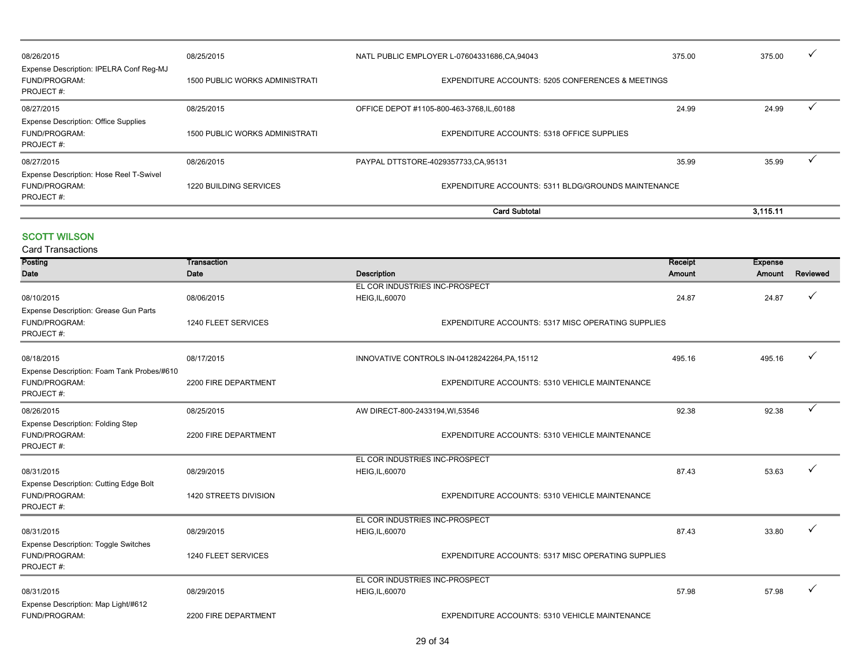|                                                                           |                                       | <b>Card Subtotal</b>                                         |        | 3.115.11 |              |
|---------------------------------------------------------------------------|---------------------------------------|--------------------------------------------------------------|--------|----------|--------------|
| Expense Description: Hose Reel T-Swivel<br>FUND/PROGRAM:<br>PROJECT#:     | 1220 BUILDING SERVICES                | EXPENDITURE ACCOUNTS: 5311 BLDG/GROUNDS MAINTENANCE          |        |          |              |
| 08/27/2015                                                                | 08/26/2015                            | PAYPAL DTTSTORE-4029357733,CA,95131                          | 35.99  | 35.99    |              |
| <b>Expense Description: Office Supplies</b><br>FUND/PROGRAM:<br>PROJECT#: | <b>1500 PUBLIC WORKS ADMINISTRATI</b> | EXPENDITURE ACCOUNTS: 5318 OFFICE SUPPLIES                   |        |          |              |
| 08/27/2015                                                                | 08/25/2015                            | OFFICE DEPOT #1105-800-463-3768, IL, 60188                   | 24.99  | 24.99    |              |
| Expense Description: IPELRA Conf Reg-MJ<br>FUND/PROGRAM:<br>PROJECT#:     | 1500 PUBLIC WORKS ADMINISTRATI        | <b>EXPENDITURE ACCOUNTS: 5205 CONFERENCES &amp; MEETINGS</b> |        |          |              |
| 08/26/2015                                                                | 08/25/2015                            | NATL PUBLIC EMPLOYER L-07604331686,CA,94043                  | 375.00 | 375.00   | $\checkmark$ |

#### **SCOTT WILSON**

| <b>Card Transactions</b>                    |                       |                                 |                                                    |         |                |          |
|---------------------------------------------|-----------------------|---------------------------------|----------------------------------------------------|---------|----------------|----------|
| Posting                                     | Transaction           |                                 |                                                    | Receipt | <b>Expense</b> |          |
| Date                                        | Date                  | <b>Description</b>              |                                                    | Amount  | Amount         | Reviewed |
|                                             |                       | EL COR INDUSTRIES INC-PROSPECT  |                                                    |         |                |          |
| 08/10/2015                                  | 08/06/2015            | <b>HEIG, IL, 60070</b>          |                                                    | 24.87   | 24.87          |          |
| Expense Description: Grease Gun Parts       |                       |                                 |                                                    |         |                |          |
| FUND/PROGRAM:                               | 1240 FLEET SERVICES   |                                 | EXPENDITURE ACCOUNTS: 5317 MISC OPERATING SUPPLIES |         |                |          |
| PROJECT#:                                   |                       |                                 |                                                    |         |                |          |
| 08/18/2015                                  | 08/17/2015            |                                 | INNOVATIVE CONTROLS IN-04128242264, PA, 15112      | 495.16  | 495.16         |          |
| Expense Description: Foam Tank Probes/#610  |                       |                                 |                                                    |         |                |          |
| FUND/PROGRAM:                               | 2200 FIRE DEPARTMENT  |                                 | EXPENDITURE ACCOUNTS: 5310 VEHICLE MAINTENANCE     |         |                |          |
| PROJECT#:                                   |                       |                                 |                                                    |         |                |          |
| 08/26/2015                                  | 08/25/2015            | AW DIRECT-800-2433194, WI,53546 |                                                    | 92.38   | 92.38          |          |
| <b>Expense Description: Folding Step</b>    |                       |                                 |                                                    |         |                |          |
| FUND/PROGRAM:                               | 2200 FIRE DEPARTMENT  |                                 | EXPENDITURE ACCOUNTS: 5310 VEHICLE MAINTENANCE     |         |                |          |
| PROJECT#:                                   |                       |                                 |                                                    |         |                |          |
|                                             |                       | EL COR INDUSTRIES INC-PROSPECT  |                                                    |         |                |          |
| 08/31/2015                                  | 08/29/2015            | HEIG, IL, 60070                 |                                                    | 87.43   | 53.63          |          |
| Expense Description: Cutting Edge Bolt      |                       |                                 |                                                    |         |                |          |
| FUND/PROGRAM:                               | 1420 STREETS DIVISION |                                 | EXPENDITURE ACCOUNTS: 5310 VEHICLE MAINTENANCE     |         |                |          |
| PROJECT#:                                   |                       |                                 |                                                    |         |                |          |
|                                             |                       | EL COR INDUSTRIES INC-PROSPECT  |                                                    |         |                |          |
| 08/31/2015                                  | 08/29/2015            | <b>HEIG, IL, 60070</b>          |                                                    | 87.43   | 33.80          |          |
| <b>Expense Description: Toggle Switches</b> |                       |                                 |                                                    |         |                |          |
| FUND/PROGRAM:                               | 1240 FLEET SERVICES   |                                 | EXPENDITURE ACCOUNTS: 5317 MISC OPERATING SUPPLIES |         |                |          |
| PROJECT#:                                   |                       |                                 |                                                    |         |                |          |
|                                             |                       | EL COR INDUSTRIES INC-PROSPECT  |                                                    |         |                |          |
| 08/31/2015                                  | 08/29/2015            | <b>HEIG, IL, 60070</b>          |                                                    | 57.98   | 57.98          |          |
| Expense Description: Map Light/#612         |                       |                                 |                                                    |         |                |          |
| FUND/PROGRAM:                               | 2200 FIRE DEPARTMENT  |                                 | EXPENDITURE ACCOUNTS: 5310 VEHICLE MAINTENANCE     |         |                |          |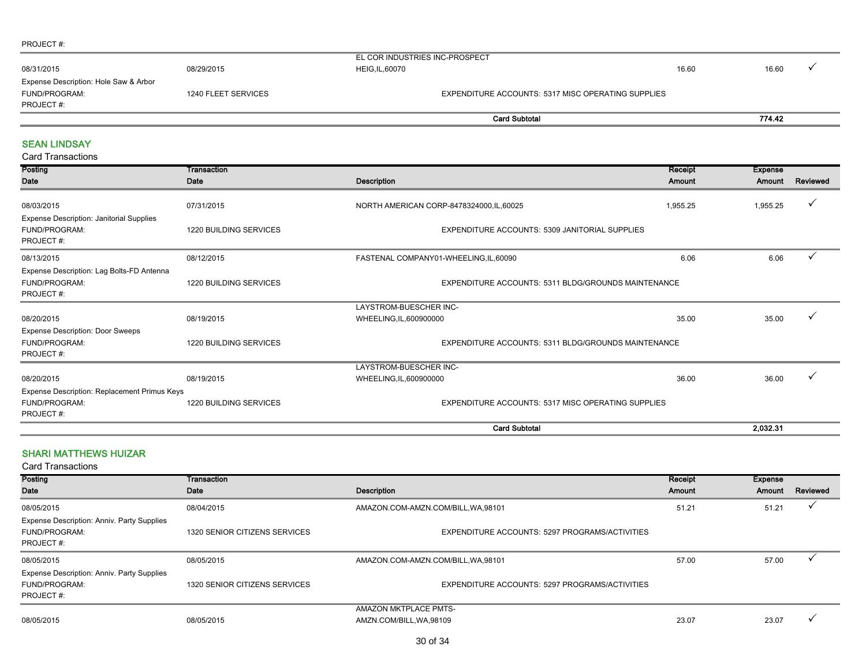#### PROJECT #: - 11

| 08/31/2015                                                                                 | 08/29/2015 | EL COR INDUSTRIES INC-PROSPECT<br><b>HEIG, IL, 60070</b> | 16.60 | 16.60  |  |
|--------------------------------------------------------------------------------------------|------------|----------------------------------------------------------|-------|--------|--|
| Expense Description: Hole Saw & Arbor<br>FUND/PROGRAM:<br>1240 FLEET SERVICES<br>PROJECT#: |            | EXPENDITURE ACCOUNTS: 5317 MISC OPERATING SUPPLIES       |       |        |  |
|                                                                                            |            | <b>Card Subtotal</b>                                     |       | 774.42 |  |
| <b>SEAN LINDSAY</b><br><b>Card Transactions</b>                                            |            |                                                          |       |        |  |

| Posting                                                                                         | Transaction                   |                                                       | Receipt  | <b>Expense</b> |              |
|-------------------------------------------------------------------------------------------------|-------------------------------|-------------------------------------------------------|----------|----------------|--------------|
| Date                                                                                            | Date                          | <b>Description</b>                                    | Amount   | Amount         | Reviewed     |
| 08/03/2015                                                                                      | 07/31/2015                    | NORTH AMERICAN CORP-8478324000, IL, 60025             | 1,955.25 | 1,955.25       | ✓            |
| <b>Expense Description: Janitorial Supplies</b><br>FUND/PROGRAM:<br>PROJECT#:                   | <b>1220 BUILDING SERVICES</b> | <b>EXPENDITURE ACCOUNTS: 5309 JANITORIAL SUPPLIES</b> |          |                |              |
| 08/13/2015                                                                                      | 08/12/2015                    | FASTENAL COMPANY01-WHEELING,IL,60090                  | 6.06     | 6.06           | $\checkmark$ |
| Expense Description: Lag Bolts-FD Antenna<br><b>FUND/PROGRAM:</b><br>PROJECT#:                  | <b>1220 BUILDING SERVICES</b> | EXPENDITURE ACCOUNTS: 5311 BLDG/GROUNDS MAINTENANCE   |          |                |              |
|                                                                                                 |                               | LAYSTROM-BUESCHER INC-                                |          |                |              |
| 08/20/2015                                                                                      | 08/19/2015                    | WHEELING, IL, 600900000                               | 35.00    | 35.00          | $\checkmark$ |
| <b>Expense Description: Door Sweeps</b><br>FUND/PROGRAM:<br>1220 BUILDING SERVICES<br>PROJECT#: |                               | EXPENDITURE ACCOUNTS: 5311 BLDG/GROUNDS MAINTENANCE   |          |                |              |
|                                                                                                 |                               | LAYSTROM-BUESCHER INC-                                |          |                |              |
| 08/20/2015                                                                                      | 08/19/2015                    | WHEELING, IL, 600900000                               | 36.00    | 36.00          |              |
| Expense Description: Replacement Primus Keys                                                    |                               |                                                       |          |                |              |
| FUND/PROGRAM:<br>PROJECT#:                                                                      | 1220 BUILDING SERVICES        | EXPENDITURE ACCOUNTS: 5317 MISC OPERATING SUPPLIES    |          |                |              |
|                                                                                                 |                               | <b>Card Subtotal</b>                                  |          | 2.032.31       |              |

#### SHARI MATTHEWS HUIZAR

| Posting<br>Date                                                                 | Transaction<br>Date           | Description                                       | Receipt<br>Amount | Expense<br>Amount | Reviewed |
|---------------------------------------------------------------------------------|-------------------------------|---------------------------------------------------|-------------------|-------------------|----------|
| 08/05/2015                                                                      | 08/04/2015                    | AMAZON.COM-AMZN.COM/BILL, WA, 98101               | 51.21             | 51.21             |          |
| Expense Description: Anniv. Party Supplies<br>FUND/PROGRAM:<br>PROJECT#:        | 1320 SENIOR CITIZENS SERVICES | EXPENDITURE ACCOUNTS: 5297 PROGRAMS/ACTIVITIES    |                   |                   |          |
| 08/05/2015                                                                      | 08/05/2015                    | AMAZON.COM-AMZN.COM/BILL, WA, 98101               | 57.00             | 57.00             |          |
| <b>Expense Description: Anniv. Party Supplies</b><br>FUND/PROGRAM:<br>PROJECT#: | 1320 SENIOR CITIZENS SERVICES | EXPENDITURE ACCOUNTS: 5297 PROGRAMS/ACTIVITIES    |                   |                   |          |
| 08/05/2015                                                                      | 08/05/2015                    | AMAZON MKTPLACE PMTS-<br>AMZN.COM/BILL, WA, 98109 | 23.07             | 23.07             |          |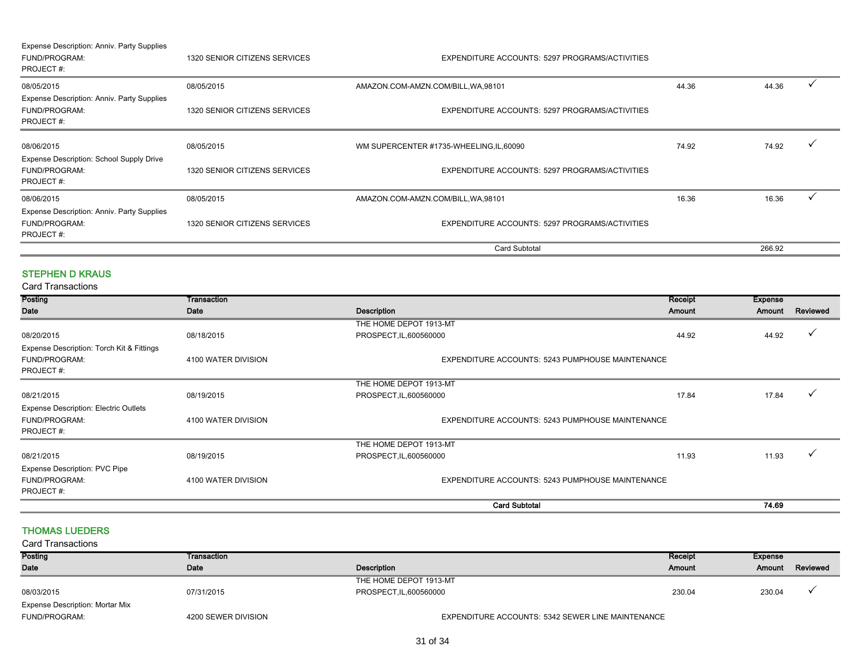| Expense Description: Anniv. Party Supplies<br>FUND/PROGRAM:<br>PROJECT#:      | 1320 SENIOR CITIZENS SERVICES | EXPENDITURE ACCOUNTS: 5297 PROGRAMS/ACTIVITIES |       |        |  |
|-------------------------------------------------------------------------------|-------------------------------|------------------------------------------------|-------|--------|--|
| 08/05/2015                                                                    | 08/05/2015                    | AMAZON.COM-AMZN.COM/BILL, WA, 98101            | 44.36 | 44.36  |  |
| Expense Description: Anniv. Party Supplies<br>FUND/PROGRAM:<br>PROJECT#:      | 1320 SENIOR CITIZENS SERVICES | EXPENDITURE ACCOUNTS: 5297 PROGRAMS/ACTIVITIES |       |        |  |
| 08/06/2015                                                                    | 08/05/2015                    | WM SUPERCENTER #1735-WHEELING, IL, 60090       | 74.92 | 74.92  |  |
| <b>Expense Description: School Supply Drive</b><br>FUND/PROGRAM:<br>PROJECT#: | 1320 SENIOR CITIZENS SERVICES | EXPENDITURE ACCOUNTS: 5297 PROGRAMS/ACTIVITIES |       |        |  |
| 08/06/2015                                                                    | 08/05/2015                    | AMAZON.COM-AMZN.COM/BILL, WA, 98101            | 16.36 | 16.36  |  |
| Expense Description: Anniv. Party Supplies<br>FUND/PROGRAM:<br>PROJECT#:      | 1320 SENIOR CITIZENS SERVICES | EXPENDITURE ACCOUNTS: 5297 PROGRAMS/ACTIVITIES |       |        |  |
|                                                                               |                               | <b>Card Subtotal</b>                           |       | 266.92 |  |

#### STEPHEN D KRAUS

Card Transactions

| <b>Posting</b>                               | Transaction         |                                                         | Receipt | <b>Expense</b> |          |
|----------------------------------------------|---------------------|---------------------------------------------------------|---------|----------------|----------|
| Date                                         | Date                | <b>Description</b>                                      | Amount  | Amount         | Reviewed |
|                                              |                     | THE HOME DEPOT 1913-MT                                  |         |                |          |
| 08/20/2015                                   | 08/18/2015          | PROSPECT, IL, 600560000                                 | 44.92   | 44.92          |          |
| Expense Description: Torch Kit & Fittings    |                     |                                                         |         |                |          |
| FUND/PROGRAM:                                | 4100 WATER DIVISION | EXPENDITURE ACCOUNTS: 5243 PUMPHOUSE MAINTENANCE        |         |                |          |
| PROJECT#:                                    |                     |                                                         |         |                |          |
|                                              |                     | THE HOME DEPOT 1913-MT                                  |         |                |          |
| 08/21/2015                                   | 08/19/2015          | PROSPECT, IL, 600560000                                 | 17.84   | 17.84          |          |
| <b>Expense Description: Electric Outlets</b> |                     |                                                         |         |                |          |
| FUND/PROGRAM:                                | 4100 WATER DIVISION | <b>EXPENDITURE ACCOUNTS: 5243 PUMPHOUSE MAINTENANCE</b> |         |                |          |
| PROJECT#:                                    |                     |                                                         |         |                |          |
|                                              |                     | THE HOME DEPOT 1913-MT                                  |         |                |          |
| 08/21/2015                                   | 08/19/2015          | PROSPECT, IL, 600560000                                 | 11.93   | 11.93          | ✓        |
| <b>Expense Description: PVC Pipe</b>         |                     |                                                         |         |                |          |
| FUND/PROGRAM:                                | 4100 WATER DIVISION | EXPENDITURE ACCOUNTS: 5243 PUMPHOUSE MAINTENANCE        |         |                |          |
| PROJECT#:                                    |                     |                                                         |         |                |          |
|                                              |                     | <b>Card Subtotal</b>                                    |         | 74.69          |          |

#### THOMAS LUEDERS

| <b>Card Transactions</b>               |                     |                                                   |         |         |          |
|----------------------------------------|---------------------|---------------------------------------------------|---------|---------|----------|
| Posting                                | Transaction         |                                                   | Receipt | Expense |          |
| Date                                   | Date                | Description                                       | Amount  | Amount  | Reviewed |
|                                        |                     | THE HOME DEPOT 1913-MT                            |         |         |          |
| 08/03/2015                             | 07/31/2015          | PROSPECT, IL, 600560000                           | 230.04  | 230.04  |          |
| <b>Expense Description: Mortar Mix</b> |                     |                                                   |         |         |          |
| <b>FUND/PROGRAM:</b>                   | 4200 SEWER DIVISION | EXPENDITURE ACCOUNTS: 5342 SEWER LINE MAINTENANCE |         |         |          |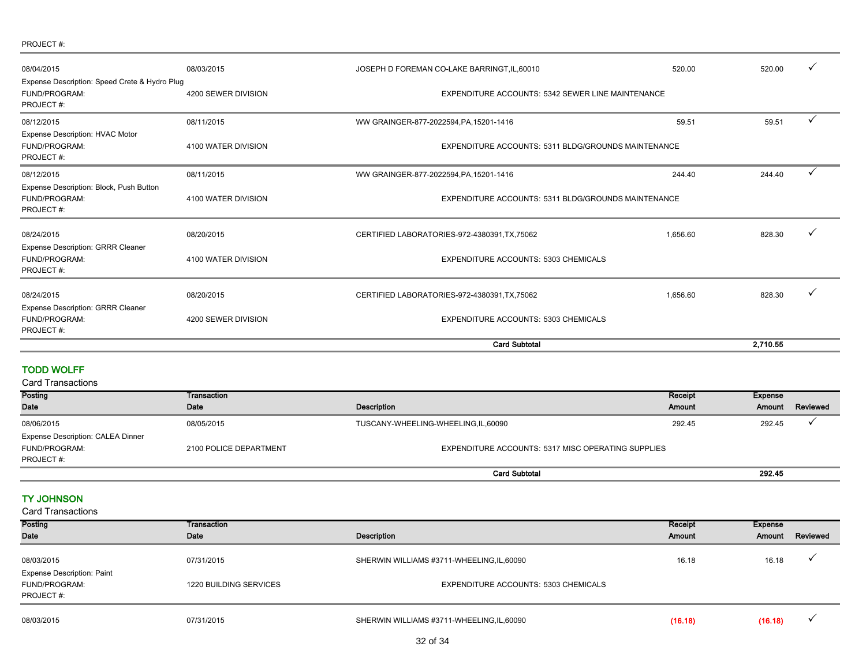#### PROJECT #:

| 08/04/2015                                                                         | 08/03/2015          | JOSEPH D FOREMAN CO-LAKE BARRINGT, IL, 60010               | 520.00                                            | 520.00   |   |
|------------------------------------------------------------------------------------|---------------------|------------------------------------------------------------|---------------------------------------------------|----------|---|
| Expense Description: Speed Crete & Hydro Plug<br><b>FUND/PROGRAM:</b><br>PROJECT#: | 4200 SEWER DIVISION |                                                            | EXPENDITURE ACCOUNTS: 5342 SEWER LINE MAINTENANCE |          |   |
| 08/12/2015                                                                         | 08/11/2015          | WW GRAINGER-877-2022594, PA, 15201-1416                    | 59.51                                             | 59.51    |   |
| <b>Expense Description: HVAC Motor</b><br><b>FUND/PROGRAM:</b><br>PROJECT#:        | 4100 WATER DIVISION | <b>EXPENDITURE ACCOUNTS: 5311 BLDG/GROUNDS MAINTENANCE</b> |                                                   |          |   |
| 08/12/2015                                                                         | 08/11/2015          | WW GRAINGER-877-2022594, PA, 15201-1416                    | 244.40                                            | 244.40   | ✓ |
| Expense Description: Block, Push Button<br>FUND/PROGRAM:<br>PROJECT#:              | 4100 WATER DIVISION | <b>EXPENDITURE ACCOUNTS: 5311 BLDG/GROUNDS MAINTENANCE</b> |                                                   |          |   |
| 08/24/2015<br><b>Expense Description: GRRR Cleaner</b>                             | 08/20/2015          | CERTIFIED LABORATORIES-972-4380391, TX, 75062              | 1.656.60                                          | 828.30   |   |
| FUND/PROGRAM:<br>PROJECT#:                                                         | 4100 WATER DIVISION | <b>EXPENDITURE ACCOUNTS: 5303 CHEMICALS</b>                |                                                   |          |   |
| 08/24/2015                                                                         | 08/20/2015          | CERTIFIED LABORATORIES-972-4380391, TX, 75062              | 1,656.60                                          | 828.30   |   |
| <b>Expense Description: GRRR Cleaner</b><br>FUND/PROGRAM:<br>PROJECT#:             | 4200 SEWER DIVISION | <b>EXPENDITURE ACCOUNTS: 5303 CHEMICALS</b>                |                                                   |          |   |
|                                                                                    |                     | <b>Card Subtotal</b>                                       |                                                   | 2.710.55 |   |

TODD WOLFF

| <b>Card Transactions</b>                 |                        |                                                    |         |         |          |
|------------------------------------------|------------------------|----------------------------------------------------|---------|---------|----------|
| Posting                                  | Transaction            |                                                    | Receipt | Expense |          |
| Date                                     | Date                   | <b>Description</b>                                 | Amount  | Amount  | Reviewed |
| 08/06/2015                               | 08/05/2015             | TUSCANY-WHEELING-WHEELING,IL,60090                 | 292.45  | 292.45  |          |
| <b>Expense Description: CALEA Dinner</b> |                        |                                                    |         |         |          |
| FUND/PROGRAM:                            | 2100 POLICE DEPARTMENT | EXPENDITURE ACCOUNTS: 5317 MISC OPERATING SUPPLIES |         |         |          |
| PROJECT#:                                |                        |                                                    |         |         |          |
|                                          |                        | <b>Card Subtotal</b>                               |         | 292.45  |          |

TY JOHNSON

| <b>Card Transactions</b>          |                        |                                            |         |                |          |
|-----------------------------------|------------------------|--------------------------------------------|---------|----------------|----------|
| Posting                           | Transaction            |                                            | Receipt | <b>Expense</b> |          |
| Date                              | Date                   | Description                                | Amount  | Amount         | Reviewed |
| 08/03/2015                        | 07/31/2015             | SHERWIN WILLIAMS #3711-WHEELING,IL,60090   | 16.18   | 16.18          |          |
| <b>Expense Description: Paint</b> |                        |                                            |         |                |          |
| FUND/PROGRAM:<br>PROJECT#:        | 1220 BUILDING SERVICES | EXPENDITURE ACCOUNTS: 5303 CHEMICALS       |         |                |          |
| 08/03/2015                        | 07/31/2015             | SHERWIN WILLIAMS #3711-WHEELING, IL, 60090 | (16.18) | (16.18)        |          |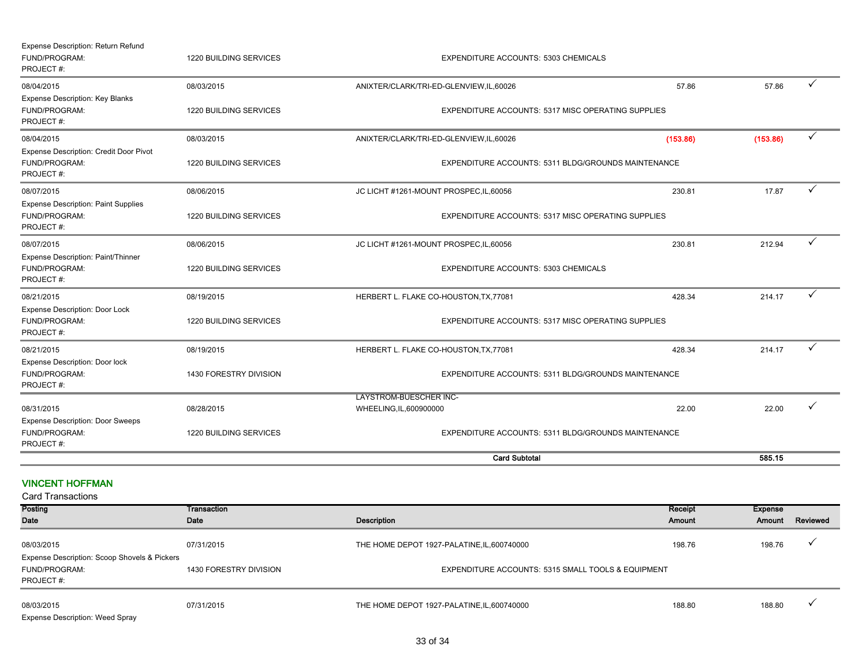| Expense Description: Return Refund<br>FUND/PROGRAM:<br>PROJECT#:         | 1220 BUILDING SERVICES        | EXPENDITURE ACCOUNTS: 5303 CHEMICALS                      |          |          |              |
|--------------------------------------------------------------------------|-------------------------------|-----------------------------------------------------------|----------|----------|--------------|
| 08/04/2015                                                               | 08/03/2015                    | ANIXTER/CLARK/TRI-ED-GLENVIEW,IL,60026                    | 57.86    | 57.86    | ✓            |
| Expense Description: Key Blanks<br>FUND/PROGRAM:<br>PROJECT#:            | 1220 BUILDING SERVICES        | EXPENDITURE ACCOUNTS: 5317 MISC OPERATING SUPPLIES        |          |          |              |
| 08/04/2015                                                               | 08/03/2015                    | ANIXTER/CLARK/TRI-ED-GLENVIEW,IL,60026                    | (153.86) | (153.86) | $\checkmark$ |
| Expense Description: Credit Door Pivot<br>FUND/PROGRAM:<br>PROJECT#:     | 1220 BUILDING SERVICES        | EXPENDITURE ACCOUNTS: 5311 BLDG/GROUNDS MAINTENANCE       |          |          |              |
| 08/07/2015                                                               | 08/06/2015                    | JC LICHT #1261-MOUNT PROSPEC, IL, 60056                   | 230.81   | 17.87    | $\checkmark$ |
| <b>Expense Description: Paint Supplies</b><br>FUND/PROGRAM:<br>PROJECT#: | <b>1220 BUILDING SERVICES</b> | <b>EXPENDITURE ACCOUNTS: 5317 MISC OPERATING SUPPLIES</b> |          |          |              |
| 08/07/2015                                                               | 08/06/2015                    | JC LICHT #1261-MOUNT PROSPEC, IL, 60056                   | 230.81   | 212.94   | ✓            |
| Expense Description: Paint/Thinner<br>FUND/PROGRAM:<br>PROJECT#:         | 1220 BUILDING SERVICES        | EXPENDITURE ACCOUNTS: 5303 CHEMICALS                      |          |          |              |
| 08/21/2015                                                               | 08/19/2015                    | HERBERT L. FLAKE CO-HOUSTON, TX, 77081                    | 428.34   | 214.17   | ✓            |
| Expense Description: Door Lock<br>FUND/PROGRAM:<br>PROJECT#:             | 1220 BUILDING SERVICES        | <b>EXPENDITURE ACCOUNTS: 5317 MISC OPERATING SUPPLIES</b> |          |          |              |
| 08/21/2015                                                               | 08/19/2015                    | HERBERT L. FLAKE CO-HOUSTON, TX, 77081                    | 428.34   | 214.17   | $\checkmark$ |
| Expense Description: Door lock<br>FUND/PROGRAM:<br>PROJECT#:             | 1430 FORESTRY DIVISION        | EXPENDITURE ACCOUNTS: 5311 BLDG/GROUNDS MAINTENANCE       |          |          |              |
| 08/31/2015                                                               | 08/28/2015                    | <b>LAYSTROM-BUESCHER INC-</b><br>WHEELING, IL, 600900000  | 22.00    | 22.00    |              |
| <b>Expense Description: Door Sweeps</b>                                  |                               |                                                           |          |          |              |
| FUND/PROGRAM:<br>PROJECT#:                                               | 1220 BUILDING SERVICES        | EXPENDITURE ACCOUNTS: 5311 BLDG/GROUNDS MAINTENANCE       |          |          |              |
|                                                                          |                               | <b>Card Subtotal</b>                                      |          | 585.15   |              |

VINCENT HOFFMAN

| <b>Card Transactions</b>                                                   |                        |                                                    |         |         |          |
|----------------------------------------------------------------------------|------------------------|----------------------------------------------------|---------|---------|----------|
| <b>Posting</b>                                                             | Transaction            |                                                    | Receipt | Expense |          |
| Date                                                                       | Date                   | Description                                        | Amount  | Amount  | Reviewed |
| 08/03/2015                                                                 | 07/31/2015             | THE HOME DEPOT 1927-PALATINE, IL, 600740000        | 198.76  | 198.76  |          |
| Expense Description: Scoop Shovels & Pickers<br>FUND/PROGRAM:<br>PROJECT#: | 1430 FORESTRY DIVISION | EXPENDITURE ACCOUNTS: 5315 SMALL TOOLS & EQUIPMENT |         |         |          |
| 08/03/2015<br><b>Expense Description: Weed Spray</b>                       | 07/31/2015             | THE HOME DEPOT 1927-PALATINE, IL, 600740000        | 188.80  | 188.80  |          |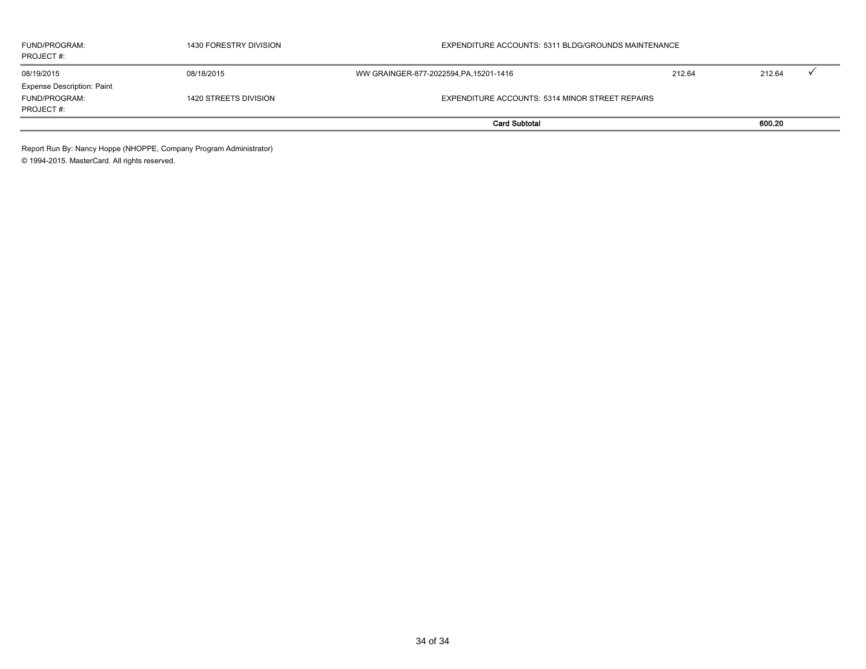| FUND/PROGRAM:<br>PROJECT#:        | 1430 FORESTRY DIVISION | EXPENDITURE ACCOUNTS: 5311 BLDG/GROUNDS MAINTENANCE |        |        |  |
|-----------------------------------|------------------------|-----------------------------------------------------|--------|--------|--|
| 08/19/2015                        | 08/18/2015             | WW GRAINGER-877-2022594, PA, 15201-1416             | 212.64 | 212.64 |  |
| <b>Expense Description: Paint</b> |                        |                                                     |        |        |  |
| FUND/PROGRAM:                     | 1420 STREETS DIVISION  | EXPENDITURE ACCOUNTS: 5314 MINOR STREET REPAIRS     |        |        |  |
| PROJECT#:                         |                        |                                                     |        |        |  |
|                                   |                        | <b>Card Subtotal</b>                                |        | 600.20 |  |

Report Run By: Nancy Hoppe (NHOPPE, Company Program Administrator) © 1994-2015. MasterCard. All rights reserved.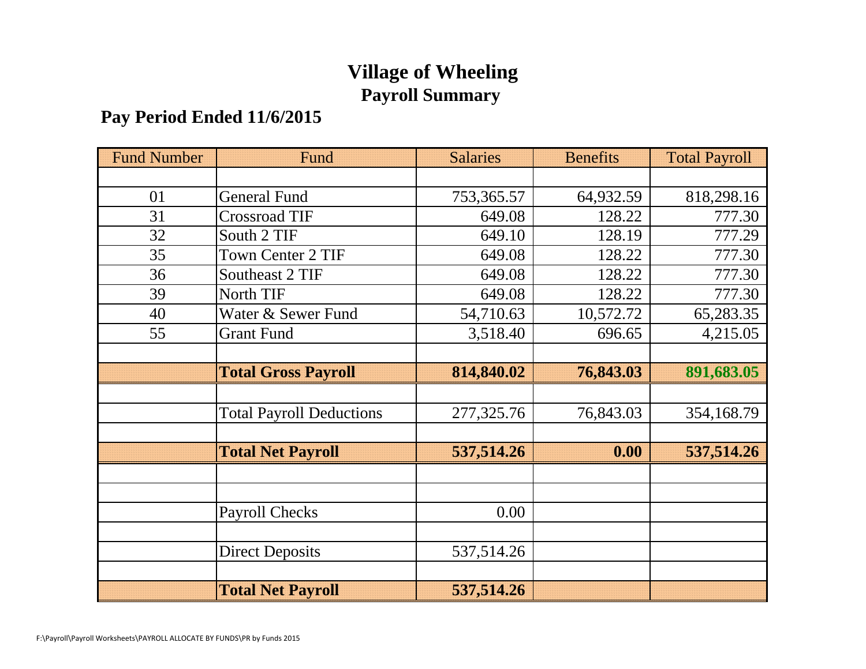## **Village of Wheeling Payroll Summary**

### **Pay Period Ended 11/6/2015**

| <b>Fund Number</b> | Fund                            | <b>Salaries</b> | <b>Benefits</b> | <b>Total Payroll</b> |
|--------------------|---------------------------------|-----------------|-----------------|----------------------|
|                    |                                 |                 |                 |                      |
| 01                 | <b>General Fund</b>             | 753,365.57      | 64,932.59       | 818,298.16           |
| 31                 | <b>Crossroad TIF</b>            | 649.08          | 128.22          | 777.30               |
| 32                 | South 2 TIF                     | 649.10          | 128.19          | 777.29               |
| 35                 | <b>Town Center 2 TIF</b>        | 649.08          | 128.22          | 777.30               |
| 36                 | Southeast 2 TIF                 | 649.08          | 128.22          | 777.30               |
| 39                 | North TIF                       | 649.08          | 128.22          | 777.30               |
| 40                 | Water & Sewer Fund              | 54,710.63       | 10,572.72       | 65,283.35            |
| 55                 | <b>Grant Fund</b>               | 3,518.40        | 696.65          | 4,215.05             |
|                    |                                 |                 |                 |                      |
|                    | <b>Total Gross Payroll</b>      | 814,840.02      | 76,843.03       | 891,683.05           |
|                    |                                 |                 |                 |                      |
|                    | <b>Total Payroll Deductions</b> | 277,325.76      | 76,843.03       | 354,168.79           |
|                    |                                 |                 |                 |                      |
|                    | <b>Total Net Payroll</b>        | 537,514.26      | 0.00            | 537,514.26           |
|                    |                                 |                 |                 |                      |
|                    |                                 |                 |                 |                      |
|                    | <b>Payroll Checks</b>           | 0.00            |                 |                      |
|                    |                                 |                 |                 |                      |
|                    | <b>Direct Deposits</b>          | 537,514.26      |                 |                      |
|                    |                                 |                 |                 |                      |
|                    | <b>Total Net Payroll</b>        | 537,514.26      |                 |                      |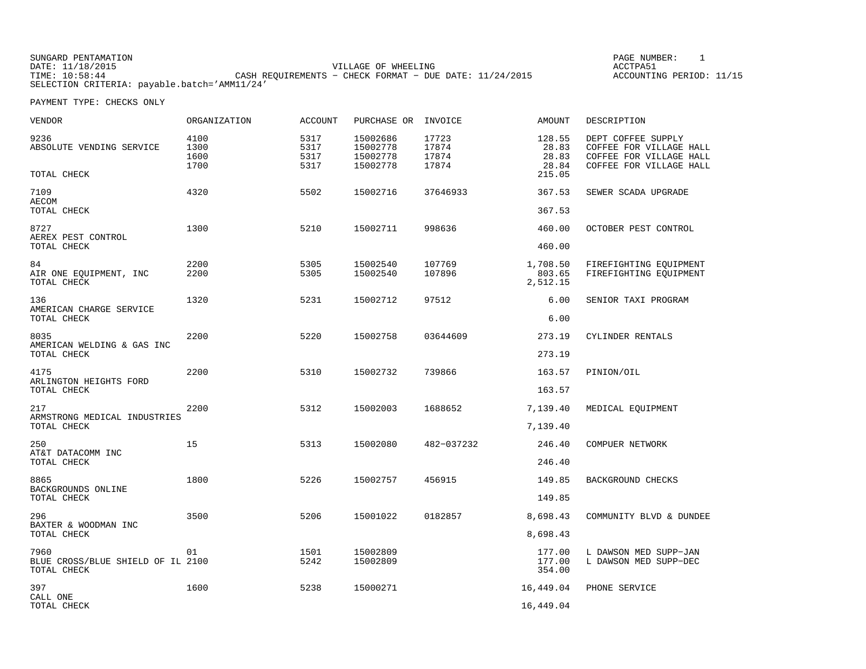SUNGARD PENTAMATION SUNGARD PENTAMATION SUNG PAGE NUMBER: 1 SUNGARD PENTAMATION SUNG PAGE NUMBER: 1 SUNG PAGE NUMBER: 1 SUNG PAGE NUMBER: 1 SUNG PAGE NUMBER: 1 SUNG PAGE NUMBER: 1 SUNG PAGE NUMBER: 1 SUNG PAGE NUMBER: 1 SU VILLAGE OF WHEELING **ACCTPA51** TIME: 10:58:44 CASH REQUIREMENTS − CHECK FORMAT − DUE DATE: 11/24/2015 SELECTION CRITERIA: payable.batch='AMM11/24'

ACCOUNTING PERIOD: 11/15

| VENDOR                                                   | <b>ORGANIZATION</b>          | <b>ACCOUNT</b>               | PURCHASE OR INVOICE                          |                                  | AMOUNT                            | DESCRIPTION                                                                                         |
|----------------------------------------------------------|------------------------------|------------------------------|----------------------------------------------|----------------------------------|-----------------------------------|-----------------------------------------------------------------------------------------------------|
| 9236<br>ABSOLUTE VENDING SERVICE                         | 4100<br>1300<br>1600<br>1700 | 5317<br>5317<br>5317<br>5317 | 15002686<br>15002778<br>15002778<br>15002778 | 17723<br>17874<br>17874<br>17874 | 128.55<br>28.83<br>28.83<br>28.84 | DEPT COFFEE SUPPLY<br>COFFEE FOR VILLAGE HALL<br>COFFEE FOR VILLAGE HALL<br>COFFEE FOR VILLAGE HALL |
| TOTAL CHECK                                              |                              |                              |                                              |                                  | 215.05                            |                                                                                                     |
| 7109<br><b>AECOM</b><br>TOTAL CHECK                      | 4320                         | 5502                         | 15002716                                     | 37646933                         | 367.53<br>367.53                  | SEWER SCADA UPGRADE                                                                                 |
| 8727<br>AEREX PEST CONTROL<br>TOTAL CHECK                | 1300                         | 5210                         | 15002711                                     | 998636                           | 460.00<br>460.00                  | OCTOBER PEST CONTROL                                                                                |
| 84<br>AIR ONE EQUIPMENT, INC<br>TOTAL CHECK              | 2200<br>2200                 | 5305<br>5305                 | 15002540<br>15002540                         | 107769<br>107896                 | 1,708.50<br>803.65<br>2,512.15    | FIREFIGHTING EQUIPMENT<br>FIREFIGHTING EOUIPMENT                                                    |
| 136<br>AMERICAN CHARGE SERVICE<br>TOTAL CHECK            | 1320                         | 5231                         | 15002712                                     | 97512                            | 6.00<br>6.00                      | SENIOR TAXI PROGRAM                                                                                 |
| 8035<br>AMERICAN WELDING & GAS INC<br>TOTAL CHECK        | 2200                         | 5220                         | 15002758                                     | 03644609                         | 273.19<br>273.19                  | CYLINDER RENTALS                                                                                    |
| 4175<br>ARLINGTON HEIGHTS FORD<br>TOTAL CHECK            | 2200                         | 5310                         | 15002732                                     | 739866                           | 163.57<br>163.57                  | PINION/OIL                                                                                          |
| 217<br>ARMSTRONG MEDICAL INDUSTRIES<br>TOTAL CHECK       | 2200                         | 5312                         | 15002003                                     | 1688652                          | 7,139.40<br>7,139.40              | MEDICAL EQUIPMENT                                                                                   |
| 250<br>AT&T DATACOMM INC<br>TOTAL CHECK                  | 15                           | 5313                         | 15002080                                     | 482-037232                       | 246.40<br>246.40                  | COMPUER NETWORK                                                                                     |
| 8865<br>BACKGROUNDS ONLINE<br>TOTAL CHECK                | 1800                         | 5226                         | 15002757                                     | 456915                           | 149.85<br>149.85                  | BACKGROUND CHECKS                                                                                   |
| 296<br>BAXTER & WOODMAN INC<br>TOTAL CHECK               | 3500                         | 5206                         | 15001022                                     | 0182857                          | 8,698.43<br>8,698.43              | COMMUNITY BLVD & DUNDEE                                                                             |
| 7960<br>BLUE CROSS/BLUE SHIELD OF IL 2100<br>TOTAL CHECK | 01                           | 1501<br>5242                 | 15002809<br>15002809                         |                                  | 177.00<br>177.00<br>354.00        | L DAWSON MED SUPP-JAN<br>L DAWSON MED SUPP-DEC                                                      |
| 397<br>CALL ONE<br>TOTAL CHECK                           | 1600                         | 5238                         | 15000271                                     |                                  | 16,449.04<br>16,449.04            | PHONE SERVICE                                                                                       |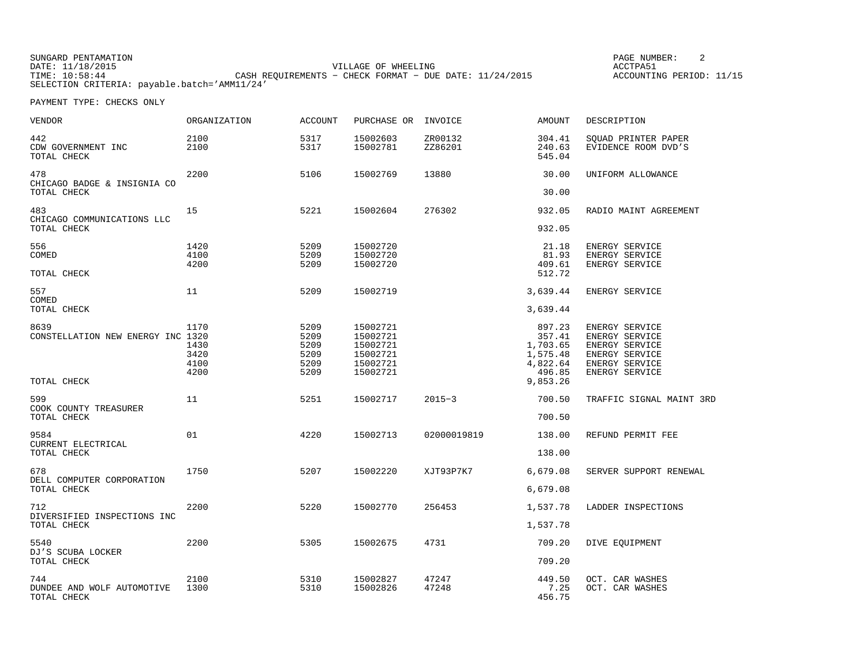SUNGARD PENTAMATION SUNGARD PENTAMATION SUNG PAGE NUMBER: 2 DATE: 11/18/2015 VILLAGE OF WHEELING ACCTPA51CASH REQUIREMENTS - CHECK FORMAT - DUE DATE: 11/24/2015 SELECTION CRITERIA: payable.batch='AMM11/24'

ACCOUNTING PERIOD: 11/15

| VENDOR                                           | <b>ORGANIZATION</b>                  | <b>ACCOUNT</b>                               | PURCHASE OR                                                          | INVOICE            | <b>AMOUNT</b>                                                  | DESCRIPTION                                                                                              |
|--------------------------------------------------|--------------------------------------|----------------------------------------------|----------------------------------------------------------------------|--------------------|----------------------------------------------------------------|----------------------------------------------------------------------------------------------------------|
| 442<br>CDW GOVERNMENT INC<br>TOTAL CHECK         | 2100<br>2100                         | 5317<br>5317                                 | 15002603<br>15002781                                                 | ZR00132<br>ZZ86201 | 304.41<br>240.63<br>545.04                                     | SQUAD PRINTER PAPER<br>EVIDENCE ROOM DVD'S                                                               |
| 478<br>CHICAGO BADGE & INSIGNIA CO               | 2200                                 | 5106                                         | 15002769                                                             | 13880              | 30.00                                                          | UNIFORM ALLOWANCE                                                                                        |
| TOTAL CHECK                                      |                                      |                                              |                                                                      |                    | 30.00                                                          |                                                                                                          |
| 483<br>CHICAGO COMMUNICATIONS LLC                | 15                                   | 5221                                         | 15002604                                                             | 276302             | 932.05                                                         | RADIO MAINT AGREEMENT                                                                                    |
| TOTAL CHECK                                      |                                      |                                              |                                                                      |                    | 932.05                                                         |                                                                                                          |
| 556<br>COMED                                     | 1420<br>4100<br>4200                 | 5209<br>5209<br>5209                         | 15002720<br>15002720<br>15002720                                     |                    | 21.18<br>81.93<br>409.61                                       | ENERGY SERVICE<br>ENERGY SERVICE<br>ENERGY SERVICE                                                       |
| TOTAL CHECK                                      |                                      |                                              |                                                                      |                    | 512.72                                                         |                                                                                                          |
| 557<br>COMED                                     | 11                                   | 5209                                         | 15002719                                                             |                    | 3,639.44                                                       | ENERGY SERVICE                                                                                           |
| TOTAL CHECK                                      |                                      |                                              |                                                                      |                    | 3,639.44                                                       |                                                                                                          |
| 8639<br>CONSTELLATION NEW ENERGY INC 1320        | 1170<br>1430<br>3420<br>4100<br>4200 | 5209<br>5209<br>5209<br>5209<br>5209<br>5209 | 15002721<br>15002721<br>15002721<br>15002721<br>15002721<br>15002721 |                    | 897.23<br>357.41<br>1,703.65<br>1,575.48<br>4,822.64<br>496.85 | ENERGY SERVICE<br>ENERGY SERVICE<br>ENERGY SERVICE<br>ENERGY SERVICE<br>ENERGY SERVICE<br>ENERGY SERVICE |
| TOTAL CHECK                                      |                                      |                                              |                                                                      |                    | 9,853.26                                                       |                                                                                                          |
| 599<br>COOK COUNTY TREASURER                     | 11                                   | 5251                                         | 15002717                                                             | $2015 - 3$         | 700.50                                                         | TRAFFIC SIGNAL MAINT 3RD                                                                                 |
| TOTAL CHECK                                      |                                      |                                              |                                                                      |                    | 700.50                                                         |                                                                                                          |
| 9584<br>CURRENT ELECTRICAL                       | 01                                   | 4220                                         | 15002713                                                             | 02000019819        | 138.00                                                         | REFUND PERMIT FEE                                                                                        |
| TOTAL CHECK                                      |                                      |                                              |                                                                      |                    | 138.00                                                         |                                                                                                          |
| 678<br>DELL COMPUTER CORPORATION                 | 1750                                 | 5207                                         | 15002220                                                             | XJT93P7K7          | 6,679.08                                                       | SERVER SUPPORT RENEWAL                                                                                   |
| TOTAL CHECK                                      |                                      |                                              |                                                                      |                    | 6,679.08                                                       |                                                                                                          |
| 712<br>DIVERSIFIED INSPECTIONS INC               | 2200                                 | 5220                                         | 15002770                                                             | 256453             | 1,537.78                                                       | LADDER INSPECTIONS                                                                                       |
| TOTAL CHECK                                      |                                      |                                              |                                                                      |                    | 1,537.78                                                       |                                                                                                          |
| 5540<br>DJ'S SCUBA LOCKER                        | 2200                                 | 5305                                         | 15002675                                                             | 4731               | 709.20                                                         | DIVE EQUIPMENT                                                                                           |
| TOTAL CHECK                                      |                                      |                                              |                                                                      |                    | 709.20                                                         |                                                                                                          |
| 744<br>DUNDEE AND WOLF AUTOMOTIVE<br>TOTAL CHECK | 2100<br>1300                         | 5310<br>5310                                 | 15002827<br>15002826                                                 | 47247<br>47248     | 449.50<br>7.25<br>456.75                                       | OCT. CAR WASHES<br>OCT. CAR WASHES                                                                       |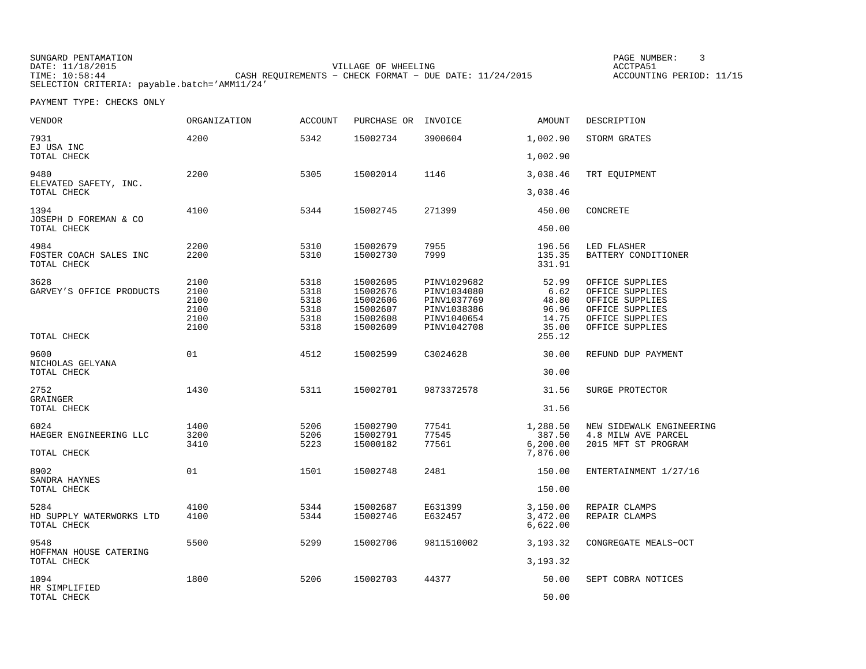SUNGARD PENTAMATION SUNGARD PENTAMATION SUNG PAGE NUMBER: 3 VILLAGE OF WHEELING **ACCTPA51** TIME: 10:58:44 CASH REQUIREMENTS − CHECK FORMAT − DUE DATE: 11/24/2015 SELECTION CRITERIA: payable.batch='AMM11/24'

ACCOUNTING PERIOD: 11/15

| <b>VENDOR</b>                                   | <b>ORGANIZATION</b>                          | <b>ACCOUNT</b>                               | PURCHASE OR                                                          | INVOICE                                                                                | <b>AMOUNT</b>                                     | DESCRIPTION                                                                                                    |
|-------------------------------------------------|----------------------------------------------|----------------------------------------------|----------------------------------------------------------------------|----------------------------------------------------------------------------------------|---------------------------------------------------|----------------------------------------------------------------------------------------------------------------|
| 7931<br>EJ USA INC                              | 4200                                         | 5342                                         | 15002734                                                             | 3900604                                                                                | 1,002.90                                          | STORM GRATES                                                                                                   |
| TOTAL CHECK                                     |                                              |                                              |                                                                      |                                                                                        | 1,002.90                                          |                                                                                                                |
| 9480<br>ELEVATED SAFETY, INC.<br>TOTAL CHECK    | 2200                                         | 5305                                         | 15002014                                                             | 1146                                                                                   | 3,038.46<br>3,038.46                              | TRT EQUIPMENT                                                                                                  |
| 1394<br>JOSEPH D FOREMAN & CO<br>TOTAL CHECK    | 4100                                         | 5344                                         | 15002745                                                             | 271399                                                                                 | 450.00<br>450.00                                  | CONCRETE                                                                                                       |
|                                                 |                                              |                                              |                                                                      |                                                                                        |                                                   |                                                                                                                |
| 4984<br>FOSTER COACH SALES INC<br>TOTAL CHECK   | 2200<br>2200                                 | 5310<br>5310                                 | 15002679<br>15002730                                                 | 7955<br>7999                                                                           | 196.56<br>135.35<br>331.91                        | LED FLASHER<br>BATTERY CONDITIONER                                                                             |
| 3628<br>GARVEY'S OFFICE PRODUCTS                | 2100<br>2100<br>2100<br>2100<br>2100<br>2100 | 5318<br>5318<br>5318<br>5318<br>5318<br>5318 | 15002605<br>15002676<br>15002606<br>15002607<br>15002608<br>15002609 | PINV1029682<br>PINV1034080<br>PINV1037769<br>PINV1038386<br>PINV1040654<br>PINV1042708 | 52.99<br>6.62<br>48.80<br>96.96<br>14.75<br>35.00 | OFFICE SUPPLIES<br>OFFICE SUPPLIES<br>OFFICE SUPPLIES<br>OFFICE SUPPLIES<br>OFFICE SUPPLIES<br>OFFICE SUPPLIES |
| TOTAL CHECK                                     |                                              |                                              |                                                                      |                                                                                        | 255.12                                            |                                                                                                                |
| 9600<br>NICHOLAS GELYANA<br>TOTAL CHECK         | 01                                           | 4512                                         | 15002599                                                             | C3024628                                                                               | 30.00<br>30.00                                    | REFUND DUP PAYMENT                                                                                             |
|                                                 |                                              |                                              |                                                                      |                                                                                        |                                                   |                                                                                                                |
| 2752<br>GRAINGER                                | 1430                                         | 5311                                         | 15002701                                                             | 9873372578                                                                             | 31.56                                             | SURGE PROTECTOR                                                                                                |
| TOTAL CHECK                                     |                                              |                                              |                                                                      |                                                                                        | 31.56                                             |                                                                                                                |
| 6024<br>HAEGER ENGINEERING LLC<br>TOTAL CHECK   | 1400<br>3200<br>3410                         | 5206<br>5206<br>5223                         | 15002790<br>15002791<br>15000182                                     | 77541<br>77545<br>77561                                                                | 1,288.50<br>387.50<br>6, 200.00<br>7,876.00       | NEW SIDEWALK ENGINEERING<br>4.8 MILW AVE PARCEL<br>2015 MFT ST PROGRAM                                         |
| 8902                                            | 01                                           | 1501                                         | 15002748                                                             | 2481                                                                                   | 150.00                                            | ENTERTAINMENT 1/27/16                                                                                          |
| SANDRA HAYNES<br>TOTAL CHECK                    |                                              |                                              |                                                                      |                                                                                        | 150.00                                            |                                                                                                                |
| 5284<br>HD SUPPLY WATERWORKS LTD<br>TOTAL CHECK | 4100<br>4100                                 | 5344<br>5344                                 | 15002687<br>15002746                                                 | E631399<br>E632457                                                                     | 3,150.00<br>3,472.00<br>6,622.00                  | REPAIR CLAMPS<br>REPAIR CLAMPS                                                                                 |
| 9548                                            | 5500                                         | 5299                                         | 15002706                                                             | 9811510002                                                                             | 3, 193. 32                                        | CONGREGATE MEALS-OCT                                                                                           |
| HOFFMAN HOUSE CATERING<br>TOTAL CHECK           |                                              |                                              |                                                                      |                                                                                        | 3, 193. 32                                        |                                                                                                                |
| 1094<br>HR SIMPLIFIED<br>TOTAL CHECK            | 1800                                         | 5206                                         | 15002703                                                             | 44377                                                                                  | 50.00<br>50.00                                    | SEPT COBRA NOTICES                                                                                             |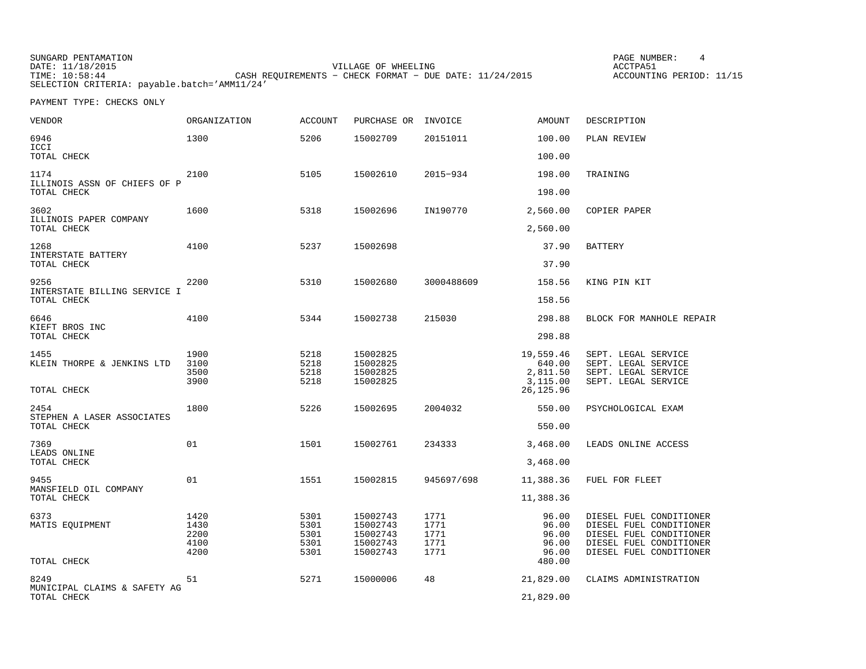| SUNGARD PENTAMATION |                                                           | PAGE NUMBER:             |
|---------------------|-----------------------------------------------------------|--------------------------|
| DATE: 11/18/2015    | VILLAGE OF WHEELING                                       | ACCTPA51                 |
| TIME: 10:58:44      | CASH REOUIREMENTS - CHECK FORMAT - DUE DATE: $11/24/2015$ | ACCOUNTING PERIOD: 11/15 |
|                     | SELECTION CRITERIA: payable.batch='AMM11/24'              |                          |

PAGE NUMBER: 4

| VENDOR                                              | ORGANIZATION                         | <b>ACCOUNT</b>                       | PURCHASE OR                                              | INVOICE                              | <b>AMOUNT</b>                                            | DESCRIPTION                                                                                                                         |
|-----------------------------------------------------|--------------------------------------|--------------------------------------|----------------------------------------------------------|--------------------------------------|----------------------------------------------------------|-------------------------------------------------------------------------------------------------------------------------------------|
| 6946<br>ICCI                                        | 1300                                 | 5206                                 | 15002709                                                 | 20151011                             | 100.00                                                   | PLAN REVIEW                                                                                                                         |
| TOTAL CHECK                                         |                                      |                                      |                                                          |                                      | 100.00                                                   |                                                                                                                                     |
| 1174<br>ILLINOIS ASSN OF CHIEFS OF P<br>TOTAL CHECK | 2100                                 | 5105                                 | 15002610                                                 | 2015-934                             | 198.00<br>198.00                                         | TRAINING                                                                                                                            |
| 3602<br>ILLINOIS PAPER COMPANY<br>TOTAL CHECK       | 1600                                 | 5318                                 | 15002696                                                 | IN190770                             | 2,560.00<br>2,560.00                                     | COPIER PAPER                                                                                                                        |
| 1268<br>INTERSTATE BATTERY<br>TOTAL CHECK           | 4100                                 | 5237                                 | 15002698                                                 |                                      | 37.90<br>37.90                                           | <b>BATTERY</b>                                                                                                                      |
| 9256<br>INTERSTATE BILLING SERVICE I<br>TOTAL CHECK | 2200                                 | 5310                                 | 15002680                                                 | 3000488609                           | 158.56<br>158.56                                         | KING PIN KIT                                                                                                                        |
| 6646<br>KIEFT BROS INC<br>TOTAL CHECK               | 4100                                 | 5344                                 | 15002738                                                 | 215030                               | 298.88<br>298.88                                         | BLOCK FOR MANHOLE REPAIR                                                                                                            |
| 1455<br>KLEIN THORPE & JENKINS LTD<br>TOTAL CHECK   | 1900<br>3100<br>3500<br>3900         | 5218<br>5218<br>5218<br>5218         | 15002825<br>15002825<br>15002825<br>15002825             |                                      | 19,559.46<br>640.00<br>2,811.50<br>3,115.00<br>26,125.96 | SEPT. LEGAL SERVICE<br>SEPT. LEGAL SERVICE<br>SEPT. LEGAL SERVICE<br>SEPT. LEGAL SERVICE                                            |
| 2454<br>STEPHEN A LASER ASSOCIATES<br>TOTAL CHECK   | 1800                                 | 5226                                 | 15002695                                                 | 2004032                              | 550.00<br>550.00                                         | PSYCHOLOGICAL EXAM                                                                                                                  |
| 7369<br>LEADS ONLINE<br>TOTAL CHECK                 | 01                                   | 1501                                 | 15002761                                                 | 234333                               | 3,468.00<br>3,468.00                                     | LEADS ONLINE ACCESS                                                                                                                 |
| 9455<br>MANSFIELD OIL COMPANY<br>TOTAL CHECK        | 01                                   | 1551                                 | 15002815                                                 | 945697/698                           | 11,388.36<br>11,388.36                                   | FUEL FOR FLEET                                                                                                                      |
| 6373<br>MATIS EOUIPMENT<br>TOTAL CHECK              | 1420<br>1430<br>2200<br>4100<br>4200 | 5301<br>5301<br>5301<br>5301<br>5301 | 15002743<br>15002743<br>15002743<br>15002743<br>15002743 | 1771<br>1771<br>1771<br>1771<br>1771 | 96.00<br>96.00<br>96.00<br>96.00<br>96.00<br>480.00      | DIESEL FUEL CONDITIONER<br>DIESEL FUEL CONDITIONER<br>DIESEL FUEL CONDITIONER<br>DIESEL FUEL CONDITIONER<br>DIESEL FUEL CONDITIONER |
| 8249<br>MUNICIPAL CLAIMS & SAFETY AG<br>TOTAL CHECK | 51                                   | 5271                                 | 15000006                                                 | 48                                   | 21,829.00<br>21,829.00                                   | CLAIMS ADMINISTRATION                                                                                                               |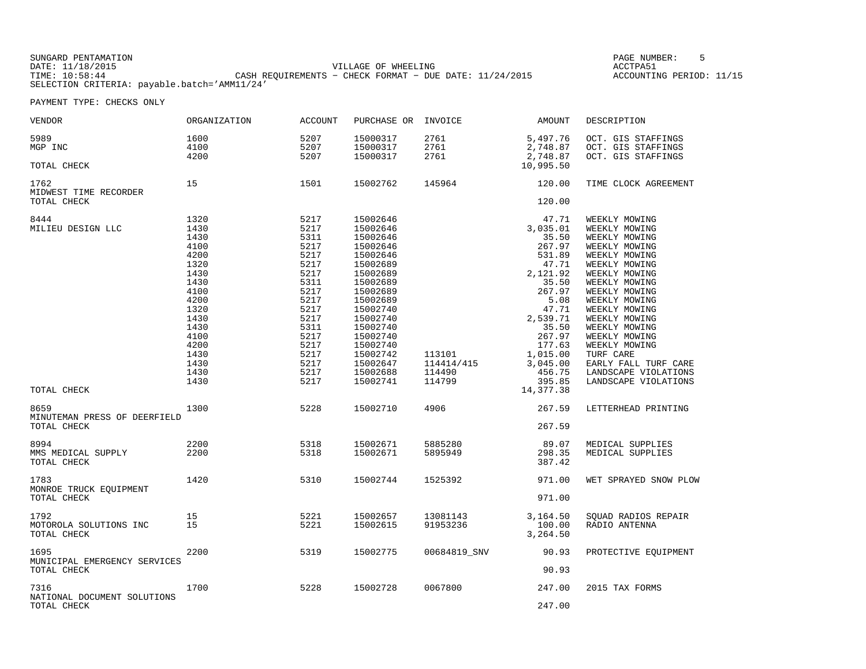SUNGARD PENTAMATION SUNGARD PENTAMATION SUNG PAGE NUMBER: 5 SENSING PAGE NUMBER: 5 SENSING PAGE NUMBER: 5 SENSI VILLAGE OF WHEELING **ACCTPA51** TIME: 10:58:44 CASH REQUIREMENTS − CHECK FORMAT − DUE DATE: 11/24/2015 SELECTION CRITERIA: payable.batch='AMM11/24'

ACCOUNTING PERIOD: 11/15

| VENDOR                                              | ORGANIZATION                                                                                                                                         | ACCOUNT                                                                                                                                              | PURCHASE OR                                                                                                                                                                                                                      | INVOICE                                  | AMOUNT                                                                                                                                                                                                    | DESCRIPTION                                                                                                                                                                                                                                                                                                                                      |
|-----------------------------------------------------|------------------------------------------------------------------------------------------------------------------------------------------------------|------------------------------------------------------------------------------------------------------------------------------------------------------|----------------------------------------------------------------------------------------------------------------------------------------------------------------------------------------------------------------------------------|------------------------------------------|-----------------------------------------------------------------------------------------------------------------------------------------------------------------------------------------------------------|--------------------------------------------------------------------------------------------------------------------------------------------------------------------------------------------------------------------------------------------------------------------------------------------------------------------------------------------------|
| 5989<br>MGP INC<br>TOTAL CHECK                      | 1600<br>4100<br>4200                                                                                                                                 | 5207<br>5207<br>5207                                                                                                                                 | 15000317<br>15000317<br>15000317                                                                                                                                                                                                 | 2761<br>2761<br>2761                     | 5,497.76<br>2,748.87<br>2,748.87<br>10,995.50                                                                                                                                                             | OCT. GIS STAFFINGS<br>OCT. GIS STAFFINGS<br>OCT. GIS STAFFINGS                                                                                                                                                                                                                                                                                   |
| 1762<br>MIDWEST TIME RECORDER<br>TOTAL CHECK        | 15                                                                                                                                                   | 1501                                                                                                                                                 | 15002762                                                                                                                                                                                                                         | 145964                                   | 120.00<br>120.00                                                                                                                                                                                          | TIME CLOCK AGREEMENT                                                                                                                                                                                                                                                                                                                             |
| 8444<br>MILIEU DESIGN LLC<br>TOTAL CHECK            | 1320<br>1430<br>1430<br>4100<br>4200<br>1320<br>1430<br>1430<br>4100<br>4200<br>1320<br>1430<br>1430<br>4100<br>4200<br>1430<br>1430<br>1430<br>1430 | 5217<br>5217<br>5311<br>5217<br>5217<br>5217<br>5217<br>5311<br>5217<br>5217<br>5217<br>5217<br>5311<br>5217<br>5217<br>5217<br>5217<br>5217<br>5217 | 15002646<br>15002646<br>15002646<br>15002646<br>15002646<br>15002689<br>15002689<br>15002689<br>15002689<br>15002689<br>15002740<br>15002740<br>15002740<br>15002740<br>15002740<br>15002742<br>15002647<br>15002688<br>15002741 | 113101<br>114414/415<br>114490<br>114799 | 47.71<br>3,035.01<br>35.50<br>267.97<br>531.89<br>47.71<br>2,121.92<br>35.50<br>267.97<br>5.08<br>47.71<br>2,539.71<br>35.50<br>267.97<br>177.63<br>1,015.00<br>3,045.00<br>456.75<br>395.85<br>14,377.38 | WEEKLY MOWING<br>WEEKLY MOWING<br>WEEKLY MOWING<br>WEEKLY MOWING<br>WEEKLY MOWING<br>WEEKLY MOWING<br>WEEKLY MOWING<br>WEEKLY MOWING<br>WEEKLY MOWING<br>WEEKLY MOWING<br>WEEKLY MOWING<br>WEEKLY MOWING<br>WEEKLY MOWING<br>WEEKLY MOWING<br>WEEKLY MOWING<br>TURF CARE<br>EARLY FALL TURF CARE<br>LANDSCAPE VIOLATIONS<br>LANDSCAPE VIOLATIONS |
| 8659<br>MINUTEMAN PRESS OF DEERFIELD<br>TOTAL CHECK | 1300                                                                                                                                                 | 5228                                                                                                                                                 | 15002710                                                                                                                                                                                                                         | 4906                                     | 267.59<br>267.59                                                                                                                                                                                          | LETTERHEAD PRINTING                                                                                                                                                                                                                                                                                                                              |
| 8994<br>MMS MEDICAL SUPPLY<br>TOTAL CHECK           | 2200<br>2200                                                                                                                                         | 5318<br>5318                                                                                                                                         | 15002671<br>15002671                                                                                                                                                                                                             | 5885280<br>5895949                       | 89.07<br>298.35<br>387.42                                                                                                                                                                                 | MEDICAL SUPPLIES<br>MEDICAL SUPPLIES                                                                                                                                                                                                                                                                                                             |
| 1783<br>MONROE TRUCK EQUIPMENT<br>TOTAL CHECK       | 1420                                                                                                                                                 | 5310                                                                                                                                                 | 15002744                                                                                                                                                                                                                         | 1525392                                  | 971.00<br>971.00                                                                                                                                                                                          | WET SPRAYED SNOW PLOW                                                                                                                                                                                                                                                                                                                            |
| 1792<br>MOTOROLA SOLUTIONS INC<br>TOTAL CHECK       | 15<br>15                                                                                                                                             | 5221<br>5221                                                                                                                                         | 15002657<br>15002615                                                                                                                                                                                                             | 13081143<br>91953236                     | 3,164.50<br>100.00<br>3,264.50                                                                                                                                                                            | SOUAD RADIOS REPAIR<br>RADIO ANTENNA                                                                                                                                                                                                                                                                                                             |
| 1695<br>MUNICIPAL EMERGENCY SERVICES<br>TOTAL CHECK | 2200                                                                                                                                                 | 5319                                                                                                                                                 | 15002775                                                                                                                                                                                                                         | 00684819_SNV                             | 90.93<br>90.93                                                                                                                                                                                            | PROTECTIVE EQUIPMENT                                                                                                                                                                                                                                                                                                                             |
| 7316<br>NATIONAL DOCUMENT SOLUTIONS<br>TOTAL CHECK  | 1700                                                                                                                                                 | 5228                                                                                                                                                 | 15002728                                                                                                                                                                                                                         | 0067800                                  | 247.00<br>247.00                                                                                                                                                                                          | 2015 TAX FORMS                                                                                                                                                                                                                                                                                                                                   |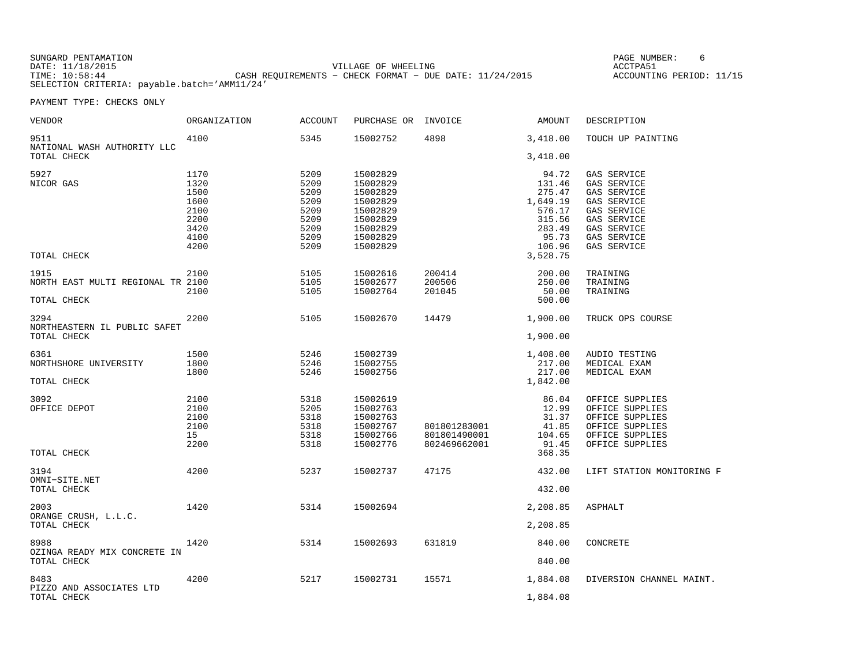SUNGARD PENTAMATION PAGE NUMBER: 6VILLAGE OF WHEELING **ACCTPA51** TIME: 10:58:44 CASH REQUIREMENTS − CHECK FORMAT − DUE DATE: 11/24/2015 SELECTION CRITERIA: payable.batch='AMM11/24'

ACCOUNTING PERIOD: 11/15

| VENDOR                                              | <b>ORGANIZATION</b>                                                  | <b>ACCOUNT</b>                                                       | PURCHASE OR                                                                                              | INVOICE                                      | AMOUNT                                                                                             | DESCRIPTION                                                                                                                                |
|-----------------------------------------------------|----------------------------------------------------------------------|----------------------------------------------------------------------|----------------------------------------------------------------------------------------------------------|----------------------------------------------|----------------------------------------------------------------------------------------------------|--------------------------------------------------------------------------------------------------------------------------------------------|
| 9511<br>NATIONAL WASH AUTHORITY LLC                 | 4100                                                                 | 5345                                                                 | 15002752                                                                                                 | 4898                                         | 3,418.00                                                                                           | TOUCH UP PAINTING                                                                                                                          |
| TOTAL CHECK                                         |                                                                      |                                                                      |                                                                                                          |                                              | 3,418.00                                                                                           |                                                                                                                                            |
| 5927<br>NICOR GAS<br>TOTAL CHECK                    | 1170<br>1320<br>1500<br>1600<br>2100<br>2200<br>3420<br>4100<br>4200 | 5209<br>5209<br>5209<br>5209<br>5209<br>5209<br>5209<br>5209<br>5209 | 15002829<br>15002829<br>15002829<br>15002829<br>15002829<br>15002829<br>15002829<br>15002829<br>15002829 |                                              | 94.72<br>131.46<br>275.47<br>1,649.19<br>576.17<br>315.56<br>283.49<br>95.73<br>106.96<br>3,528.75 | GAS SERVICE<br>GAS SERVICE<br>GAS SERVICE<br>GAS SERVICE<br>GAS SERVICE<br>GAS SERVICE<br>GAS SERVICE<br>GAS SERVICE<br><b>GAS SERVICE</b> |
| 1915                                                | 2100                                                                 | 5105                                                                 | 15002616                                                                                                 | 200414                                       | 200.00                                                                                             | TRAINING                                                                                                                                   |
| NORTH EAST MULTI REGIONAL TR 2100<br>TOTAL CHECK    | 2100                                                                 | 5105<br>5105                                                         | 15002677<br>15002764                                                                                     | 200506<br>201045                             | 250.00<br>50.00<br>500.00                                                                          | TRAINING<br>TRAINING                                                                                                                       |
|                                                     |                                                                      |                                                                      |                                                                                                          |                                              |                                                                                                    |                                                                                                                                            |
| 3294<br>NORTHEASTERN IL PUBLIC SAFET<br>TOTAL CHECK | 2200                                                                 | 5105                                                                 | 15002670                                                                                                 | 14479                                        | 1,900.00<br>1,900.00                                                                               | TRUCK OPS COURSE                                                                                                                           |
| 6361<br>NORTHSHORE UNIVERSITY<br>TOTAL CHECK        | 1500<br>1800<br>1800                                                 | 5246<br>5246<br>5246                                                 | 15002739<br>15002755<br>15002756                                                                         |                                              | 1,408.00<br>217.00<br>217.00<br>1,842.00                                                           | AUDIO TESTING<br>MEDICAL EXAM<br>MEDICAL EXAM                                                                                              |
| 3092<br>OFFICE DEPOT<br>TOTAL CHECK                 | 2100<br>2100<br>2100<br>2100<br>15<br>2200                           | 5318<br>5205<br>5318<br>5318<br>5318<br>5318                         | 15002619<br>15002763<br>15002763<br>15002767<br>15002766<br>15002776                                     | 801801283001<br>801801490001<br>802469662001 | 86.04<br>12.99<br>31.37<br>41.85<br>104.65<br>91.45<br>368.35                                      | OFFICE SUPPLIES<br>OFFICE SUPPLIES<br>OFFICE SUPPLIES<br>OFFICE SUPPLIES<br>OFFICE SUPPLIES<br>OFFICE SUPPLIES                             |
| 3194<br>OMNI-SITE.NET                               | 4200                                                                 | 5237                                                                 | 15002737                                                                                                 | 47175                                        | 432.00                                                                                             | LIFT STATION MONITORING F                                                                                                                  |
| TOTAL CHECK                                         |                                                                      |                                                                      |                                                                                                          |                                              | 432.00                                                                                             |                                                                                                                                            |
| 2003<br>ORANGE CRUSH, L.L.C.<br>TOTAL CHECK         | 1420                                                                 | 5314                                                                 | 15002694                                                                                                 |                                              | 2,208.85<br>2,208.85                                                                               | ASPHALT                                                                                                                                    |
|                                                     |                                                                      |                                                                      |                                                                                                          |                                              |                                                                                                    |                                                                                                                                            |
| 8988<br>OZINGA READY MIX CONCRETE IN<br>TOTAL CHECK | 1420                                                                 | 5314                                                                 | 15002693                                                                                                 | 631819                                       | 840.00<br>840.00                                                                                   | CONCRETE                                                                                                                                   |
| 8483                                                | 4200                                                                 | 5217                                                                 | 15002731                                                                                                 | 15571                                        | 1,884.08                                                                                           | DIVERSION CHANNEL MAINT.                                                                                                                   |
| PIZZO AND ASSOCIATES LTD<br>TOTAL CHECK             |                                                                      |                                                                      |                                                                                                          |                                              | 1,884.08                                                                                           |                                                                                                                                            |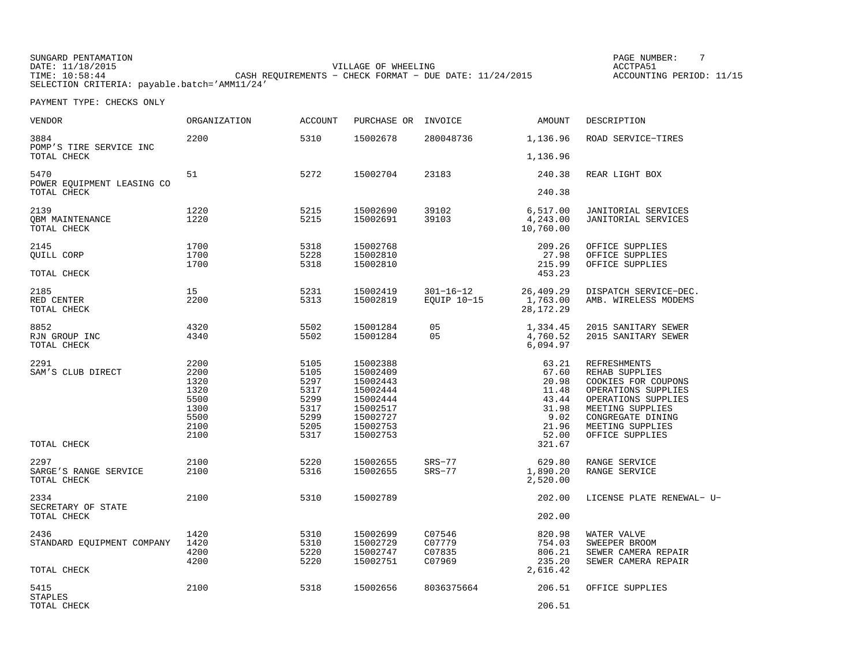SUNGARD PENTAMATION PAGE NUMBER: 7VILLAGE OF WHEELING **ACCTPA51** TIME: 10:58:44 CASH REQUIREMENTS − CHECK FORMAT − DUE DATE: 11/24/2015 SELECTION CRITERIA: payable.batch='AMM11/24'

ACCOUNTING PERIOD: 11/15

| VENDOR                                | <b>ORGANIZATION</b> | <b>ACCOUNT</b> | PURCHASE OR          | INVOICE         | AMOUNT                  | DESCRIPTION                                |
|---------------------------------------|---------------------|----------------|----------------------|-----------------|-------------------------|--------------------------------------------|
| 3884<br>POMP'S TIRE SERVICE INC       | 2200                | 5310           | 15002678             | 280048736       | 1,136.96                | ROAD SERVICE-TIRES                         |
| TOTAL CHECK                           |                     |                |                      |                 | 1,136.96                |                                            |
| 5470<br>POWER EQUIPMENT LEASING CO    | 51                  | 5272           | 15002704             | 23183           | 240.38                  | REAR LIGHT BOX                             |
| TOTAL CHECK                           |                     |                |                      |                 | 240.38                  |                                            |
| 2139                                  | 1220                | 5215           | 15002690             | 39102           | 6,517.00                | JANITORIAL SERVICES                        |
| <b>QBM MAINTENANCE</b><br>TOTAL CHECK | 1220                | 5215           | 15002691             | 39103           | 4,243.00<br>10,760.00   | JANITORIAL SERVICES                        |
| 2145                                  | 1700                | 5318           | 15002768             |                 | 209.26                  | OFFICE SUPPLIES                            |
| OUILL CORP                            | 1700                | 5228           | 15002810             |                 | 27.98                   | OFFICE SUPPLIES                            |
| TOTAL CHECK                           | 1700                | 5318           | 15002810             |                 | 215.99<br>453.23        | OFFICE SUPPLIES                            |
| 2185                                  | 15                  | 5231           | 15002419             | $301 - 16 - 12$ | 26,409.29               | DISPATCH SERVICE-DEC.                      |
| RED CENTER<br>TOTAL CHECK             | 2200                | 5313           | 15002819             | EQUIP 10-15     | 1,763.00<br>28, 172. 29 | AMB. WIRELESS MODEMS                       |
| 8852                                  | 4320                | 5502           | 15001284             | 05              | 1,334.45                | 2015 SANITARY SEWER                        |
| RJN GROUP INC<br>TOTAL CHECK          | 4340                | 5502           | 15001284             | 05              | 4,760.52<br>6,094.97    | 2015 SANITARY SEWER                        |
| 2291                                  | 2200                | 5105           | 15002388             |                 | 63.21                   | <b>REFRESHMENTS</b>                        |
| SAM'S CLUB DIRECT                     | 2200                | 5105           | 15002409             |                 | 67.60                   | REHAB SUPPLIES                             |
|                                       | 1320                | 5297           | 15002443             |                 | 20.98                   | COOKIES FOR COUPONS                        |
|                                       | 1320<br>5500        | 5317<br>5299   | 15002444<br>15002444 |                 | 11.48<br>43.44          | OPERATIONS SUPPLIES<br>OPERATIONS SUPPLIES |
|                                       | 1300                | 5317           | 15002517             |                 | 31.98                   | MEETING SUPPLIES                           |
|                                       | 5500                | 5299           | 15002727             |                 | 9.02                    | CONGREGATE DINING                          |
|                                       | 2100                | 5205           | 15002753             |                 | 21.96                   | MEETING SUPPLIES                           |
| TOTAL CHECK                           | 2100                | 5317           | 15002753             |                 | 52.00<br>321.67         | OFFICE SUPPLIES                            |
|                                       |                     |                |                      |                 |                         |                                            |
| 2297                                  | 2100                | 5220           | 15002655             | $SRS-77$        | 629.80                  | RANGE SERVICE                              |
| SARGE'S RANGE SERVICE<br>TOTAL CHECK  | 2100                | 5316           | 15002655             | $SRS-77$        | 1,890.20<br>2,520.00    | RANGE SERVICE                              |
| 2334<br>SECRETARY OF STATE            | 2100                | 5310           | 15002789             |                 | 202.00                  | LICENSE PLATE RENEWAL- U-                  |
| TOTAL CHECK                           |                     |                |                      |                 | 202.00                  |                                            |
| 2436                                  | 1420                | 5310           | 15002699             | C07546          | 820.98                  | WATER VALVE                                |
| STANDARD EQUIPMENT COMPANY            | 1420                | 5310           | 15002729             | C07779          | 754.03                  | SWEEPER BROOM                              |
|                                       | 4200                | 5220           | 15002747             | C07835          | 806.21                  | SEWER CAMERA REPAIR                        |
| TOTAL CHECK                           | 4200                | 5220           | 15002751             | C07969          | 235.20<br>2,616.42      | SEWER CAMERA REPAIR                        |
| 5415<br><b>STAPLES</b>                | 2100                | 5318           | 15002656             | 8036375664      | 206.51                  | OFFICE SUPPLIES                            |
| TOTAL CHECK                           |                     |                |                      |                 | 206.51                  |                                            |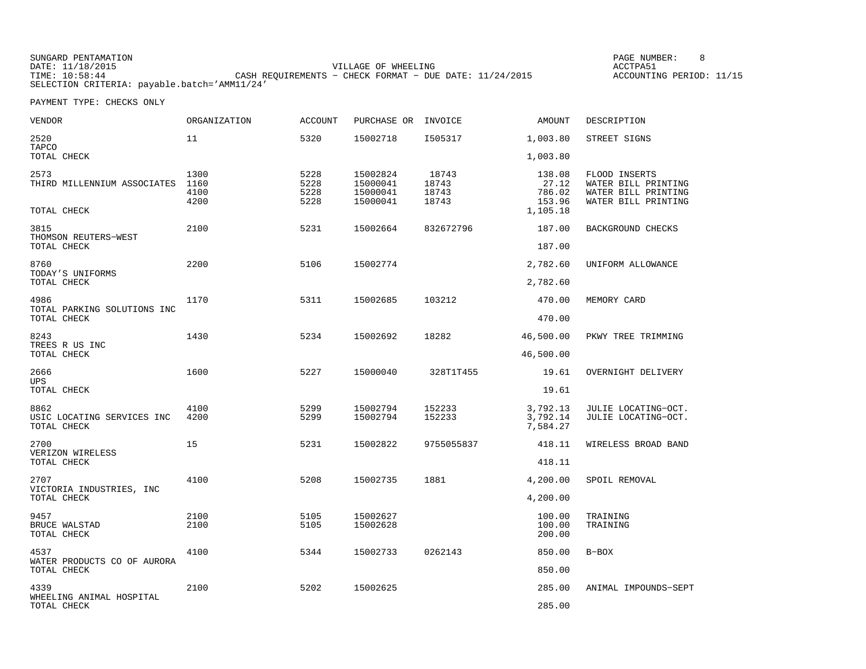SUNGARD PENTAMATION SUNGARD PENTAMATION SUNG PAGE NUMBER: 8 SUNGARD PAGE NUMBER: 8 SUNGARD PAGE NUMBER: 8 SUNG VILLAGE OF WHEELING **ACCTPA51** TIME: 10:58:44 CASH REQUIREMENTS − CHECK FORMAT − DUE DATE: 11/24/2015 SELECTION CRITERIA: payable.batch='AMM11/24'

ACCOUNTING PERIOD: 11/15

| VENDOR                                            | ORGANIZATION                 | <b>ACCOUNT</b>               | PURCHASE OR                                  | INVOICE                          | AMOUNT                              | DESCRIPTION                                                                        |
|---------------------------------------------------|------------------------------|------------------------------|----------------------------------------------|----------------------------------|-------------------------------------|------------------------------------------------------------------------------------|
| 2520<br>TAPCO                                     | 11                           | 5320                         | 15002718                                     | I505317                          | 1,003.80                            | STREET SIGNS                                                                       |
| TOTAL CHECK                                       |                              |                              |                                              |                                  | 1,003.80                            |                                                                                    |
| 2573<br>THIRD MILLENNIUM ASSOCIATES               | 1300<br>1160<br>4100<br>4200 | 5228<br>5228<br>5228<br>5228 | 15002824<br>15000041<br>15000041<br>15000041 | 18743<br>18743<br>18743<br>18743 | 138.08<br>27.12<br>786.02<br>153.96 | FLOOD INSERTS<br>WATER BILL PRINTING<br>WATER BILL PRINTING<br>WATER BILL PRINTING |
| TOTAL CHECK                                       |                              |                              |                                              |                                  | 1,105.18                            |                                                                                    |
| 3815<br>THOMSON REUTERS-WEST<br>TOTAL CHECK       | 2100                         | 5231                         | 15002664                                     | 832672796                        | 187.00<br>187.00                    | BACKGROUND CHECKS                                                                  |
| 8760                                              | 2200                         | 5106                         | 15002774                                     |                                  | 2,782.60                            | UNIFORM ALLOWANCE                                                                  |
| TODAY'S UNIFORMS<br>TOTAL CHECK                   |                              |                              |                                              |                                  | 2,782.60                            |                                                                                    |
| 4986                                              | 1170                         | 5311                         | 15002685                                     | 103212                           | 470.00                              | MEMORY CARD                                                                        |
| TOTAL PARKING SOLUTIONS INC<br>TOTAL CHECK        |                              |                              |                                              |                                  | 470.00                              |                                                                                    |
| 8243                                              | 1430                         | 5234                         | 15002692                                     | 18282                            | 46,500.00                           | PKWY TREE TRIMMING                                                                 |
| TREES R US INC<br>TOTAL CHECK                     |                              |                              |                                              |                                  | 46,500.00                           |                                                                                    |
| 2666                                              | 1600                         | 5227                         | 15000040                                     | 328T1T455                        | 19.61                               | OVERNIGHT DELIVERY                                                                 |
| UPS<br>TOTAL CHECK                                |                              |                              |                                              |                                  | 19.61                               |                                                                                    |
| 8862<br>USIC LOCATING SERVICES INC<br>TOTAL CHECK | 4100<br>4200                 | 5299<br>5299                 | 15002794<br>15002794                         | 152233<br>152233                 | 3,792.13<br>3,792.14<br>7,584.27    | JULIE LOCATING-OCT.<br>JULIE LOCATING-OCT.                                         |
| 2700                                              | 15                           | 5231                         | 15002822                                     | 9755055837                       | 418.11                              | WIRELESS BROAD BAND                                                                |
| VERIZON WIRELESS<br>TOTAL CHECK                   |                              |                              |                                              |                                  | 418.11                              |                                                                                    |
| 2707                                              | 4100                         | 5208                         | 15002735                                     | 1881                             | 4,200.00                            | SPOIL REMOVAL                                                                      |
| VICTORIA INDUSTRIES, INC<br>TOTAL CHECK           |                              |                              |                                              |                                  | 4,200.00                            |                                                                                    |
| 9457<br><b>BRUCE WALSTAD</b><br>TOTAL CHECK       | 2100<br>2100                 | 5105<br>5105                 | 15002627<br>15002628                         |                                  | 100.00<br>100.00<br>200.00          | TRAINING<br>TRAINING                                                               |
| 4537                                              | 4100                         | 5344                         | 15002733                                     | 0262143                          | 850.00                              | $B-BOX$                                                                            |
| WATER PRODUCTS CO OF AURORA<br>TOTAL CHECK        |                              |                              |                                              |                                  | 850.00                              |                                                                                    |
| 4339                                              | 2100                         | 5202                         | 15002625                                     |                                  | 285.00                              | ANIMAL IMPOUNDS-SEPT                                                               |
| WHEELING ANIMAL HOSPITAL<br>TOTAL CHECK           |                              |                              |                                              |                                  | 285.00                              |                                                                                    |